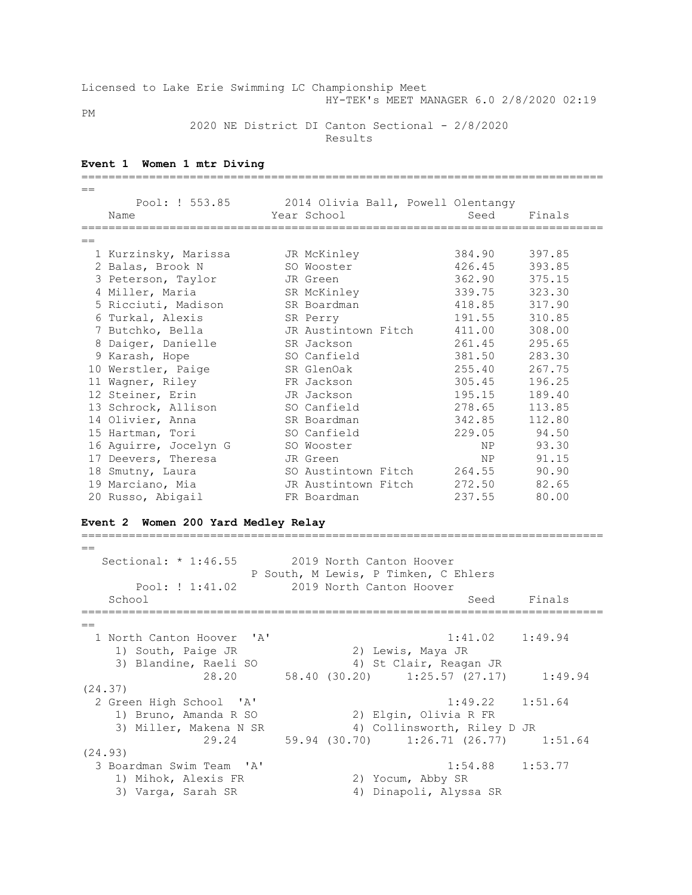Licensed to Lake Erie Swimming LC Championship Meet HY-TEK's MEET MANAGER 6.0 2/8/2020 02:19

PM

2020 NE District DI Canton Sectional - 2/8/2020

Results

#### **Event 1 Women 1 mtr Diving**

| $==$ |                                      |                                                   |              |
|------|--------------------------------------|---------------------------------------------------|--------------|
|      |                                      | Pool: ! 553.85 2014 Olivia Ball, Powell Olentangy |              |
|      | Name                                 | Seed<br>Year School                               | Finals       |
|      |                                      |                                                   |              |
| $=$  |                                      |                                                   |              |
|      | 1 Kurzinsky, Marissa     JR McKinley | 384.90                                            | 397.85       |
|      | 2 Balas, Brook N                     | 426.45<br>SO Wooster                              | 393.85       |
|      | 3 Peterson, Taylor                   | 362.90<br>JR Green                                | 375.15       |
|      | 4 Miller, Maria                      | 339.75<br>SR McKinley                             | 323.30       |
|      | 5 Ricciuti, Madison                  | 418.85<br>SR Boardman                             | 317.90       |
|      | 6 Turkal, Alexis                     | 191.55<br>SR Perry                                | 310.85       |
|      | 7 Butchko, Bella                     | 411.00<br>JR Austintown Fitch                     | 308.00       |
|      | 8 Daiger, Danielle                   | 261.45<br>SR Jackson                              | 295.65       |
|      | 9 Karash, Hope                       | 381.50<br>SO Canfield                             | 283.30       |
|      | 10 Werstler, Paige                   | 255.40<br>SR GlenOak                              | 267.75       |
|      | 11 Wagner, Riley                     | 305.45<br>FR Jackson                              | 196.25       |
|      | 12 Steiner, Erin                     | 195.15<br>JR Jackson                              | 189.40       |
|      | 13 Schrock, Allison                  | 278.65<br>SO Canfield                             | 113.85       |
|      | 14 Olivier, Anna                     | 342.85<br>SR Boardman                             | 112.80       |
|      | 15 Hartman, Tori                     | SO Canfield                                       | 229.05 94.50 |
|      | 16 Aquirre, Jocelyn G                | SO Wooster<br>NP <sub>2</sub>                     | 93.30        |
|      | 17 Deevers, Theresa                  | NP<br>JR Green                                    | 91.15        |
|      | 18 Smutny, Laura                     | SO Austintown Fitch 264.55                        | 90.90        |
|      | 19 Marciano, Mia                     | 272.50<br>JR Austintown Fitch                     | 82.65        |
|      | 20 Russo, Abigail                    | 237.55<br>FR Boardman                             | 80.00        |

#### **Event 2 Women 200 Yard Medley Relay**

 $=$ Sectional: \* 1:46.55 2019 North Canton Hoover P South, M Lewis, P Timken, C Ehlers Pool: ! 1:41.02 2019 North Canton Hoover School School Seed Finals =============================================================================  $=$  1 North Canton Hoover 'A' 1:41.02 1:49.94 vorth Cancon noover<br>1) South, Paige JR 2) Lewis, Maya JR 3) Blandine, Raeli SO 4) St Clair, Reagan JR 28.20 58.40 (30.20) 1:25.57 (27.17) 1:49.94 (24.37) 2 Green High School 'A' 1:49.22 1:51.64 1) Bruno, Amanda R SO 2) Elgin, Olivia R FR 3) Miller, Makena N SR 4) Collinsworth, Riley D JR 29.24 59.94 (30.70) 1:26.71 (26.77) 1:51.64 (24.93) 3 Boardman Swim Team 'A' 1:54.88 1:53.77 1) Mihok, Alexis FR 2) Yocum, Abby SR 3) Varga, Sarah SR 4) Dinapoli, Alyssa SR

=============================================================================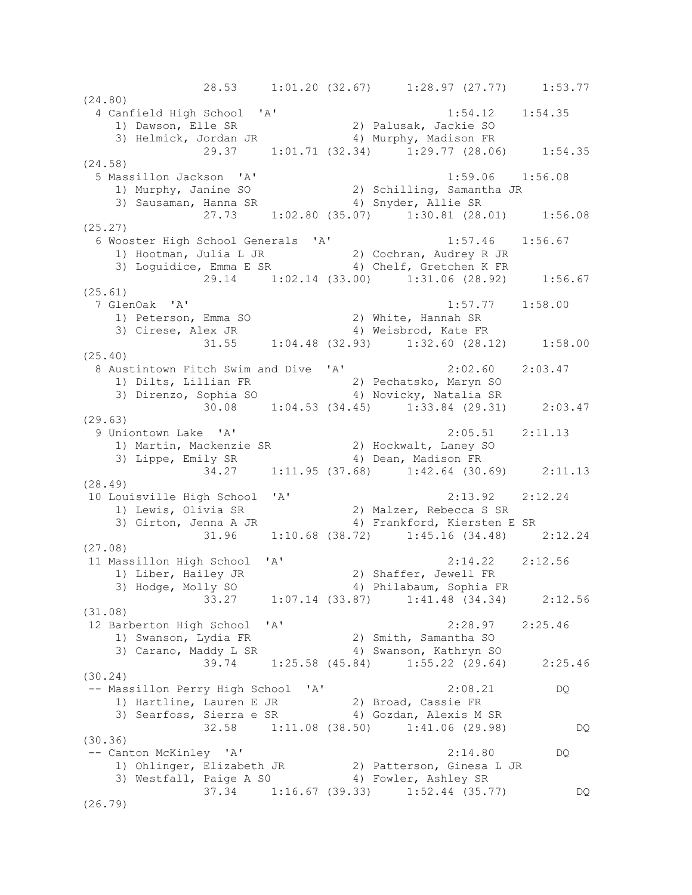28.53 1:01.20 (32.67) 1:28.97 (27.77) 1:53.77  $(24.80)$ <br>4 Canfield High School 'A' 4 Canfield High School 'A' 1:54.12 1:54.35 1) Dawson, Elle SR 2) Palusak, Jackie SO 3) Helmick, Jordan JR 4) Murphy, Madison FR 29.37 1:01.71 (32.34) 1:29.77 (28.06) 1:54.35 (24.58) 5 Massillon Jackson 'A' 1:59.06 1:56.08 1) Murphy, Janine SO 2) Schilling, Samantha JR 3) Sausaman, Hanna SR 4) Snyder, Allie SR 27.73 1:02.80 (35.07) 1:30.81 (28.01) 1:56.08 (25.27) 6 Wooster High School Generals 'A' 1:57.46 1:56.67 1) Hootman, Julia L JR 2) Cochran, Audrey R JR 3) Loguidice, Emma E SR 4) Chelf, Gretchen K FR 29.14 1:02.14 (33.00) 1:31.06 (28.92) 1:56.67 (25.61) 7 GlenOak 'A' 1:57.77 1:58.00 1) Peterson, Emma SO 2) White, Hannah SR 3) Cirese, Alex JR 4) Weisbrod, Kate FR 31.55 1:04.48 (32.93) 1:32.60 (28.12) 1:58.00 (25.40) 8 Austintown Fitch Swim and Dive 'A' 2:02.60 2:03.47 1) Dilts, Lillian FR 2) Pechatsko, Maryn SO 3) Direnzo, Sophia SO 4) Novicky, Natalia SR 30.08 1:04.53 (34.45) 1:33.84 (29.31) 2:03.47 (29.63) 9 Uniontown Lake 'A' 2:05.51 2:11.13 1) Martin, Mackenzie SR 2) Hockwalt, Laney SO 3) Lippe, Emily SR 4) Dean, Madison FR 34.27 1:11.95 (37.68) 1:42.64 (30.69) 2:11.13 (28.49) 10 Louisville High School 'A' 2:13.92 2:12.24 1) Lewis, Olivia SR 2) Malzer, Rebecca S SR 3) Girton, Jenna A JR 4) Frankford, Kiersten E SR 31.96 1:10.68 (38.72) 1:45.16 (34.48) 2:12.24 (27.08) 11 Massillon High School 'A' 2:14.22 2:12.56 1) Liber, Hailey JR 2) Shaffer, Jewell FR 3) Hodge, Molly SO 4) Philabaum, Sophia FR 33.27 1:07.14 (33.87) 1:41.48 (34.34) 2:12.56 (31.08) 12 Barberton High School 'A' 2:28.97 2:25.46 1) Swanson, Lydia FR 2) Smith, Samantha SO 3) Carano, Maddy L SR 4) Swanson, Kathryn SO 39.74 1:25.58 (45.84) 1:55.22 (29.64) 2:25.46 (30.24) -- Massillon Perry High School 'A' 2:08.21 DQ 1) Hartline, Lauren E JR 2) Broad, Cassie FR 3) Searfoss, Sierra e SR 4) Gozdan, Alexis M SR 32.58 1:11.08 (38.50) 1:41.06 (29.98) DQ (30.36) -- Canton McKinley 'A' 2:14.80 DQ 1) Ohlinger, Elizabeth JR 2) Patterson, Ginesa L JR 3) Westfall, Paige A S0 4) Fowler, Ashley SR 37.34 1:16.67 (39.33) 1:52.44 (35.77) DQ (26.79)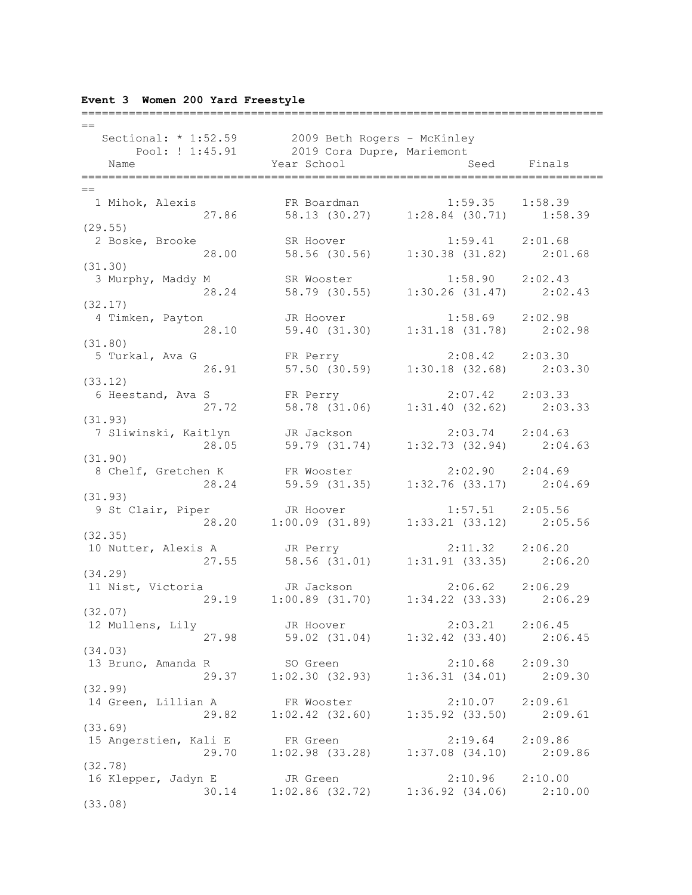|  |  |  |  |  | Event 3 Women 200 Yard Freestyle |
|--|--|--|--|--|----------------------------------|
|--|--|--|--|--|----------------------------------|

| $=$                                                                                        |                                                                                               |                     |  |
|--------------------------------------------------------------------------------------------|-----------------------------------------------------------------------------------------------|---------------------|--|
| Sectional: * 1:52.59 2009 Beth Rogers - McKinley                                           |                                                                                               |                     |  |
| Pool: ! 1:45.91 2019 Cora Dupre, Mariemont                                                 |                                                                                               |                     |  |
| Name                                                                                       | Year School                                                                                   | Seed Finals         |  |
|                                                                                            |                                                                                               |                     |  |
| $==$                                                                                       |                                                                                               |                     |  |
| 1 Mihok, Alexis FR Boardman 1:59.35 1:58.39<br>27.86 58.13 (30.27) 1:28.84 (30.71) 1:58.39 |                                                                                               |                     |  |
|                                                                                            |                                                                                               |                     |  |
| (29.55)                                                                                    |                                                                                               |                     |  |
| 2 Boske, Brooke                                                                            | SR Hoover 1:59.41 2:01.68<br>58.56 (30.56) 1:30.38 (31.82) 2:01.68                            |                     |  |
| 28.00                                                                                      |                                                                                               |                     |  |
| (31.30)                                                                                    |                                                                                               |                     |  |
| 3 Murphy, Maddy M                                                                          | M SR Wooster 1:58.90 2:02.43<br>28.24 58.79 (30.55) 1:30.26 (31.47) 2:02.43                   |                     |  |
|                                                                                            |                                                                                               |                     |  |
| (32.17)                                                                                    |                                                                                               |                     |  |
| 4 Timken, Payton                                                                           | JR Hoover 1:58.69 2:02.98<br>59.40 (31.30) 1:31.18 (31.78) 2:02.98                            |                     |  |
| 28.10                                                                                      |                                                                                               |                     |  |
| (31.80)<br>5 Turkal, Ava G                                                                 | FR Perry                                                                                      | $2:08.42$ $2:03.30$ |  |
| 26.91                                                                                      | 57.50 (30.59) $1:30.18$ (32.68) $2:03.30$                                                     |                     |  |
| (33.12)                                                                                    |                                                                                               |                     |  |
|                                                                                            |                                                                                               |                     |  |
| 6 Heestand, Ava S<br>27.72 58.78 (31.06) 1:31.40 (32.62) 2:03.33                           |                                                                                               |                     |  |
| (31.93)                                                                                    |                                                                                               |                     |  |
| 7 Sliwinski, Kaitlyn JR Jackson 2:03.74 2:04.63                                            |                                                                                               |                     |  |
| 28.05                                                                                      | 59.79 (31.74) 1:32.73 (32.94) 2:04.63                                                         |                     |  |
| (31.90)                                                                                    |                                                                                               |                     |  |
| 8 Chelf, Gretchen K                                                                        |                                                                                               |                     |  |
| 28.24                                                                                      | FR Wooster 2:02.90 2:04.69<br>59.59 (31.35) 1:32.76 (33.17) 2:04.69                           |                     |  |
| (31.93)                                                                                    |                                                                                               |                     |  |
| 9 St Clair, Piper                                                                          |                                                                                               |                     |  |
|                                                                                            | Piper JR Hoover 1:57.51 2:05.56<br>28.20 1:00.09 (31.89) 1:33.21 (33.12) 2:05.56              |                     |  |
| (32.35)                                                                                    |                                                                                               |                     |  |
| 10 Nutter, Alexis A                                                                        | JR Perry                                                                                      |                     |  |
| 27.55                                                                                      | JR Perry 2:11.32 2:06.20<br>58.56 (31.01) 1:31.91 (33.35) 2:06.20                             |                     |  |
| (34.29)                                                                                    |                                                                                               |                     |  |
| 11 Nist, Victoria                                                                          | JR Jackson                                                                                    | $2:06.62$ $2:06.29$ |  |
|                                                                                            | 29.19 1:00.89 (31.70) 1:34.22 (33.33) 2:06.29                                                 |                     |  |
| (32.07)                                                                                    |                                                                                               |                     |  |
| 12 Mullens, Lily Gover                                                                     |                                                                                               | $2:03.21$ $2:06.45$ |  |
|                                                                                            | 27.98 59.02 (31.04) 1:32.42 (33.40) 2:06.45                                                   |                     |  |
| (34.03)                                                                                    |                                                                                               |                     |  |
| 13 Bruno, Amanda R SO Green                                                                | R<br>29.37 1:02.30 (32.93) 1:36.31 (34.01) 2:09.30                                            |                     |  |
|                                                                                            |                                                                                               |                     |  |
| (32.99)                                                                                    |                                                                                               |                     |  |
| 14 Green, Lillian A                                                                        | FR Wooster<br>1 A FR Wooster 2:10.07 2:09.61<br>29.82 1:02.42 (32.60) 1:35.92 (33.50) 2:09.61 | $2:10.07$ $2:09.61$ |  |
|                                                                                            |                                                                                               |                     |  |
| (33.69)                                                                                    |                                                                                               |                     |  |
| 15 Angerstien, Kali E FR Green                                                             |                                                                                               | 2:19.64 2:09.86     |  |
|                                                                                            | 29.70   1:02.98   (33.28)   1:37.08   (34.10)   2:09.86                                       |                     |  |
| (32.78)                                                                                    |                                                                                               |                     |  |
| 16 Klepper, Jadyn E JR Green                                                               |                                                                                               | $2:10.96$ $2:10.00$ |  |
|                                                                                            | 30.14 1:02.86 (32.72) 1:36.92 (34.06) 2:10.00                                                 |                     |  |
| (33.08)                                                                                    |                                                                                               |                     |  |

=============================================================================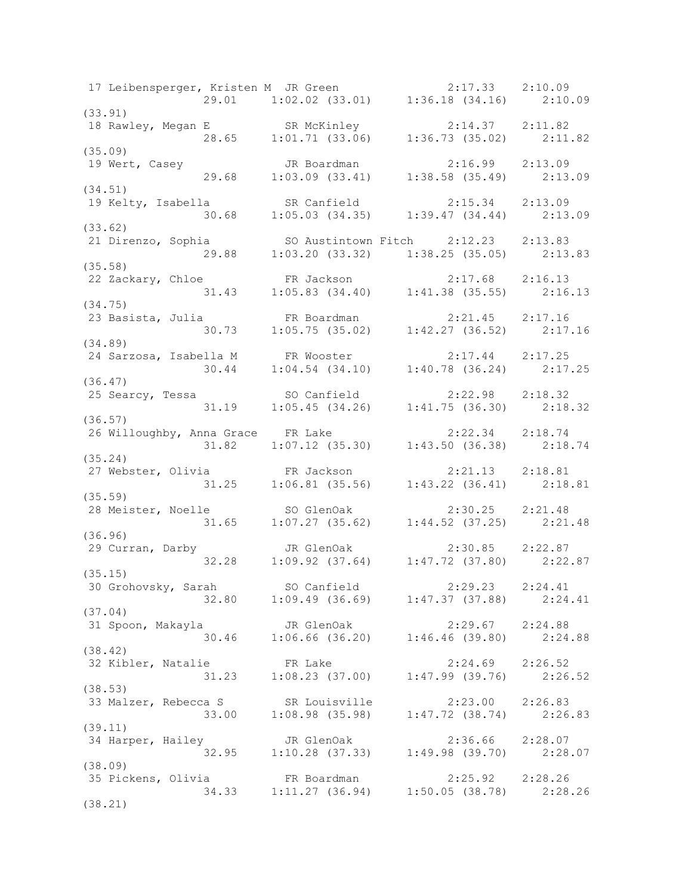17 Leibensperger, Kristen M JR Green 2:17.33 2:10.09 29.01 1:02.02 (33.01) 1:36.18 (34.16) 2:10.09 (33.91) 18 Rawley, Megan E SR McKinley 2:14.37 2:11.82 28.65 1:01.71 (33.06) 1:36.73 (35.02) 2:11.82 (35.09)<br>19 Wert, Casey 19 Wert, Casey JR Boardman 2:16.99 2:13.09 29.68 1:03.09 (33.41) 1:38.58 (35.49) 2:13.09 (34.51) 19 Kelty, Isabella SR Canfield 2:15.34 2:13.09 30.68 1:05.03 (34.35) 1:39.47 (34.44) 2:13.09 (33.62) 21 Direnzo, Sophia SO Austintown Fitch 2:12.23 2:13.83 29.88 1:03.20 (33.32) 1:38.25 (35.05) 2:13.83 (35.58) 22 Zackary, Chloe FR Jackson 2:17.68 2:16.13 31.43 1:05.83 (34.40) 1:41.38 (35.55) 2:16.13 (34.75) 23 Basista, Julia FR Boardman 2:21.45 2:17.16 30.73 1:05.75 (35.02) 1:42.27 (36.52) 2:17.16 (34.89) 24 Sarzosa, Isabella M FR Wooster 2:17.44 2:17.25 30.44 1:04.54 (34.10) 1:40.78 (36.24) 2:17.25 (36.47) 25 Searcy, Tessa SO Canfield 2:22.98 2:18.32 31.19 1:05.45 (34.26) 1:41.75 (36.30) 2:18.32 (36.57) 26 Willoughby, Anna Grace FR Lake 2:22.34 2:18.74 31.82 1:07.12 (35.30) 1:43.50 (36.38) 2:18.74 (35.24) 27 Webster, Olivia FR Jackson 2:21.13 2:18.81 31.25 1:06.81 (35.56) 1:43.22 (36.41) 2:18.81 (35.59) 28 Meister, Noelle SO GlenOak 2:30.25 2:21.48 31.65 1:07.27 (35.62) 1:44.52 (37.25) 2:21.48 (36.96) 29 Curran, Darby JR GlenOak 2:30.85 2:22.87 32.28 1:09.92 (37.64) 1:47.72 (37.80) 2:22.87 (35.15) 30 Grohovsky, Sarah SO Canfield 2:29.23 2:24.41 32.80 1:09.49 (36.69) 1:47.37 (37.88) 2:24.41 (37.04) 31 Spoon, Makayla JR GlenOak 2:29.67 2:24.88 30.46 1:06.66 (36.20) 1:46.46 (39.80) 2:24.88 (38.42) 32 Kibler, Natalie FR Lake 2:24.69 2:26.52 31.23 1:08.23 (37.00) 1:47.99 (39.76) 2:26.52 (38.53) 33 Malzer, Rebecca S SR Louisville 2:23.00 2:26.83 33.00 1:08.98 (35.98) 1:47.72 (38.74) 2:26.83 (39.11) 34 Harper, Hailey JR GlenOak 2:36.66 2:28.07 32.95 1:10.28 (37.33) 1:49.98 (39.70) 2:28.07 (38.09) 35 Pickens, Olivia FR Boardman 2:25.92 2:28.26 34.33 1:11.27 (36.94) 1:50.05 (38.78) 2:28.26 (38.21)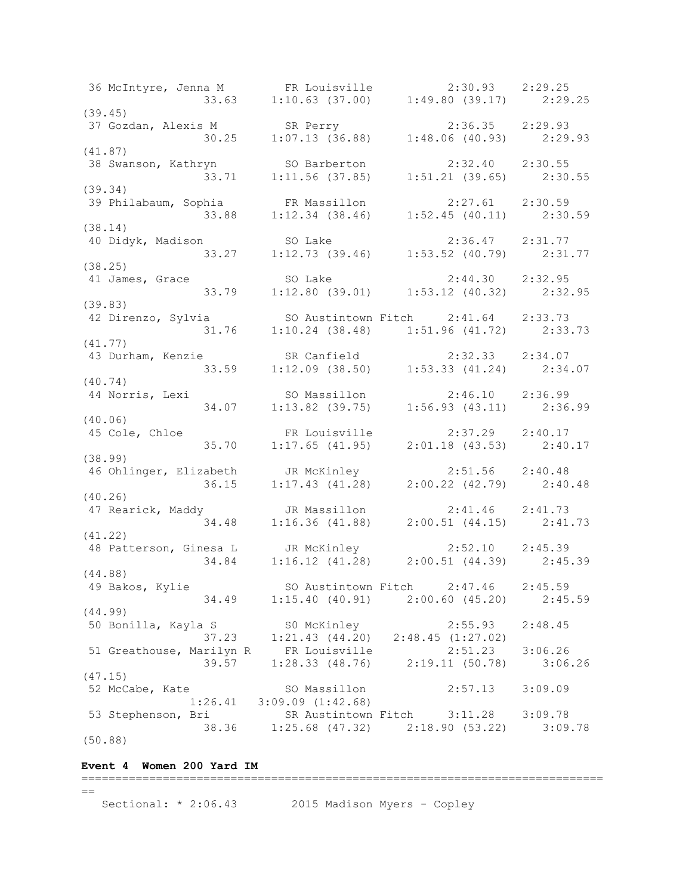36 McIntyre, Jenna M FR Louisville 2:30.93 2:29.25 33.63 1:10.63 (37.00) 1:49.80 (39.17) 2:29.25 (39.45) 37 Gozdan, Alexis M SR Perry 2:36.35 2:29.93 30.25 1:07.13 (36.88) 1:48.06 (40.93) 2:29.93 (41.87) 38 Swanson, Kathryn SO Barberton 2:32.40 2:30.55 33.71 1:11.56 (37.85) 1:51.21 (39.65) 2:30.55 (39.34) 39 Philabaum, Sophia FR Massillon 2:27.61 2:30.59 33.88 1:12.34 (38.46) 1:52.45 (40.11) 2:30.59 (38.14) 40 Didyk, Madison SO Lake 2:36.47 2:31.77 33.27 1:12.73 (39.46) 1:53.52 (40.79) 2:31.77 (38.25) 41 James, Grace SO Lake 2:44.30 2:32.95 33.79 1:12.80 (39.01) 1:53.12 (40.32) 2:32.95 (39.83) 42 Direnzo, Sylvia SO Austintown Fitch 2:41.64 2:33.73 31.76 1:10.24 (38.48) 1:51.96 (41.72) 2:33.73 (41.77) 43 Durham, Kenzie SR Canfield 2:32.33 2:34.07 33.59 1:12.09 (38.50) 1:53.33 (41.24) 2:34.07 (40.74) 44 Norris, Lexi SO Massillon 2:46.10 2:36.99 34.07 1:13.82 (39.75) 1:56.93 (43.11) 2:36.99 (40.06) 45 Cole, Chloe FR Louisville 2:37.29 2:40.17 35.70 1:17.65 (41.95) 2:01.18 (43.53) 2:40.17 (38.99) 46 Ohlinger, Elizabeth JR McKinley 2:51.56 2:40.48 36.15 1:17.43 (41.28) 2:00.22 (42.79) 2:40.48 (40.26) 47 Rearick, Maddy JR Massillon 2:41.46 2:41.73 34.48 1:16.36 (41.88) 2:00.51 (44.15) 2:41.73 (41.22) 48 Patterson, Ginesa L JR McKinley 2:52.10 2:45.39 34.84 1:16.12 (41.28) 2:00.51 (44.39) 2:45.39 (44.88) 49 Bakos, Kylie SO Austintown Fitch 2:47.46 2:45.59 34.49 1:15.40 (40.91) 2:00.60 (45.20) 2:45.59 (44.99) 50 Bonilla, Kayla S S0 McKinley 2:55.93 2:48.45 37.23 1:21.43 (44.20) 2:48.45 (1:27.02) 51 Greathouse, Marilyn R FR Louisville 2:51.23 3:06.26 39.57 1:28.33 (48.76) 2:19.11 (50.78) 3:06.26 (47.15)<br>52 McCabe, Kate 52 McCabe, Kate SO Massillon 2:57.13 3:09.09 1:26.41 3:09.09 (1:42.68) 53 Stephenson, Bri SR Austintown Fitch 3:11.28 3:09.78 38.36 1:25.68 (47.32) 2:18.90 (53.22) 3:09.78 (50.88)

#### **Event 4 Women 200 Yard IM**

=============================================================================  $=$ Sectional: \* 2:06.43 2015 Madison Myers - Copley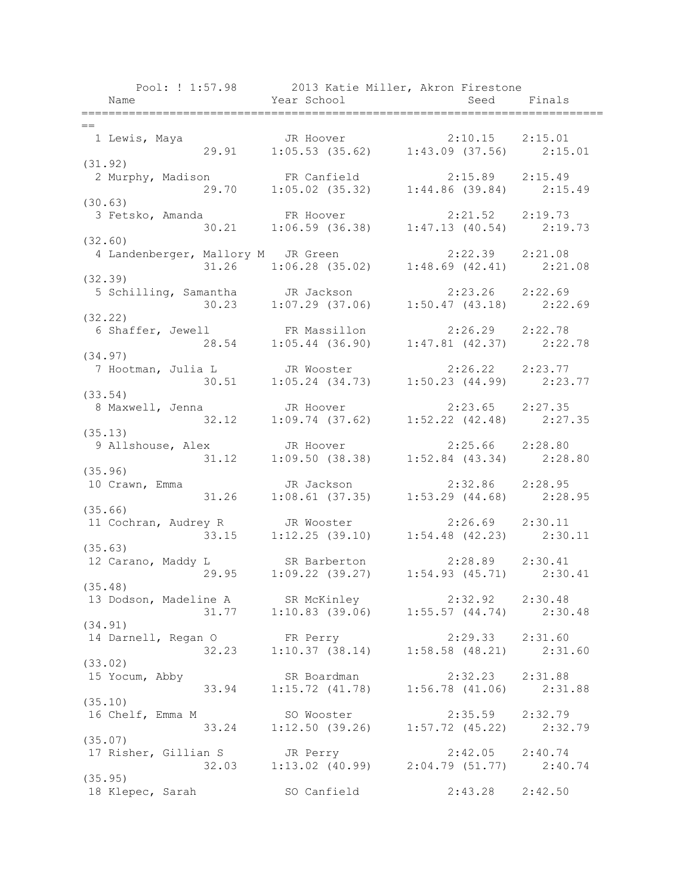|                                                                                              | Pool: ! 1:57.98 2013 Katie Miller, Akron Firestone                         |                     |             |
|----------------------------------------------------------------------------------------------|----------------------------------------------------------------------------|---------------------|-------------|
| Name                                                                                         | Year School                                                                |                     | Seed Finals |
| ====================                                                                         |                                                                            |                     |             |
| $=$                                                                                          |                                                                            |                     |             |
| 1 Lewis, Maya<br>29.91                                                                       | JR Hoover 2:10.15 2:15.01<br>1:05.53 (35.62) 1:43.09 (37.56) 2:15.01       |                     |             |
| (31.92)                                                                                      |                                                                            |                     |             |
| 2 Murphy, Madison FR Canfield 2:15.89 2:15.49                                                |                                                                            |                     |             |
|                                                                                              | 29.70   1:05.02   (35.32)   1:44.86   (39.84)   2:15.49                    |                     |             |
| (30.63)                                                                                      |                                                                            |                     |             |
| 3 Fetsko, Amanda                                                                             |                                                                            | $2:21.52$ $2:19.73$ |             |
|                                                                                              | FR Hoover 2:21.52 2:19.73<br>30.21 1:06.59 (36.38) 1:47.13 (40.54) 2:19.73 |                     |             |
| (32.60)                                                                                      |                                                                            |                     |             |
| 4 Landenberger, Mallory M JR Green                                                           |                                                                            | $2:22.39$ $2:21.08$ |             |
|                                                                                              | $31.26$ 1:06.28 (35.02) 1:48.69 (42.41) 2:21.08                            |                     |             |
| (32.39)                                                                                      |                                                                            |                     |             |
| 5 Schilling, Samantha JR Jackson                                                             |                                                                            | $2:23.26$ $2:22.69$ |             |
|                                                                                              | 30.23 1:07.29 (37.06) 1:50.47 (43.18) 2:22.69                              |                     |             |
| (32.22)                                                                                      |                                                                            |                     |             |
| 6 Shaffer, Jewell 6 Massillon 2:26.29 2:22.78<br>28.54                                       | $1:05.44$ (36.90) $1:47.81$ (42.37) $2:22.78$                              |                     |             |
| (34.97)                                                                                      |                                                                            |                     |             |
| 7 Hootman, Julia L JR Wooster 2:26.22 2:23.77                                                |                                                                            |                     |             |
| 30.51                                                                                        | $1:05.24$ (34.73) $1:50.23$ (44.99) $2:23.77$                              |                     |             |
| (33.54)                                                                                      |                                                                            |                     |             |
| 8 Maxwell, Jenna 50 JR Hoover 2:23.65 2:27.35                                                |                                                                            |                     |             |
| 32.12                                                                                        | $1:09.74$ (37.62) $1:52.22$ (42.48) $2:27.35$                              |                     |             |
| (35.13)                                                                                      |                                                                            |                     |             |
| 9 Allshouse, Alex JR Hoover 2:25.66 2:28.80<br>31.12 1:09.50 (38.38) 1:52.84 (43.34) 2:28.80 |                                                                            |                     |             |
|                                                                                              |                                                                            |                     |             |
| (35.96)                                                                                      |                                                                            |                     |             |
| 10 Crawn, Emma                                                                               | JR Jackson                                                                 | $2:32.86$ $2:28.95$ |             |
| 31.26                                                                                        | $1:08.61$ (37.35) $1:53.29$ (44.68) $2:28.95$                              |                     |             |
| (35.66)                                                                                      |                                                                            |                     |             |
| 11 Cochran, Audrey R JR Wooster                                                              |                                                                            | $2:26.69$ $2:30.11$ |             |
| (35.63)                                                                                      | $33.15$ 1:12.25 (39.10) 1:54.48 (42.23) 2:30.11                            |                     |             |
| 12 Carano, Maddy L                                                                           | SR Barberton 2:28.89 2:30.41                                               |                     |             |
| 29.95                                                                                        | $1:09.22$ (39.27) $1:54.93$ (45.71) $2:30.41$                              |                     |             |
| (35.48)                                                                                      |                                                                            |                     |             |
| 13 Dodson, Madeline A SR McKinley 2:32.92 2:30.48                                            |                                                                            |                     |             |
|                                                                                              | 31.77   1:10.83   (39.06)   1:55.57   (44.74)   2:30.48                    |                     |             |
| (34.91)                                                                                      |                                                                            |                     |             |
| 14 Darnell, Regan O                                                                          | FR Perry                                                                   | $2:29.33$ $2:31.60$ |             |
|                                                                                              | 32.23 1:10.37 (38.14) 1:58.58 (48.21) 2:31.60                              |                     |             |
| (33.02)                                                                                      |                                                                            |                     |             |
| 15 Yocum, Abby                                                                               | SR Boardman                                                                | 2:32.23             | 2:31.88     |
| 33.94                                                                                        | $1:15.72$ (41.78) $1:56.78$ (41.06) $2:31.88$                              |                     |             |
| (35.10)                                                                                      |                                                                            |                     |             |
| 16 Chelf, Emma M                                                                             | SO Wooster                                                                 | 2:35.59 2:32.79     |             |
| 33.24                                                                                        | $1:12.50$ (39.26) $1:57.72$ (45.22) $2:32.79$                              |                     |             |
| (35.07)                                                                                      |                                                                            | $2:42.05$ $2:40.74$ |             |
| 17 Risher, Gillian S JR Perry                                                                | 32.03 1:13.02 (40.99) 2:04.79 (51.77) 2:40.74                              |                     |             |
| (35.95)                                                                                      |                                                                            |                     |             |
| 18 Klepec, Sarah                                                                             | SO Canfield                                                                | 2:43.28             | 2:42.50     |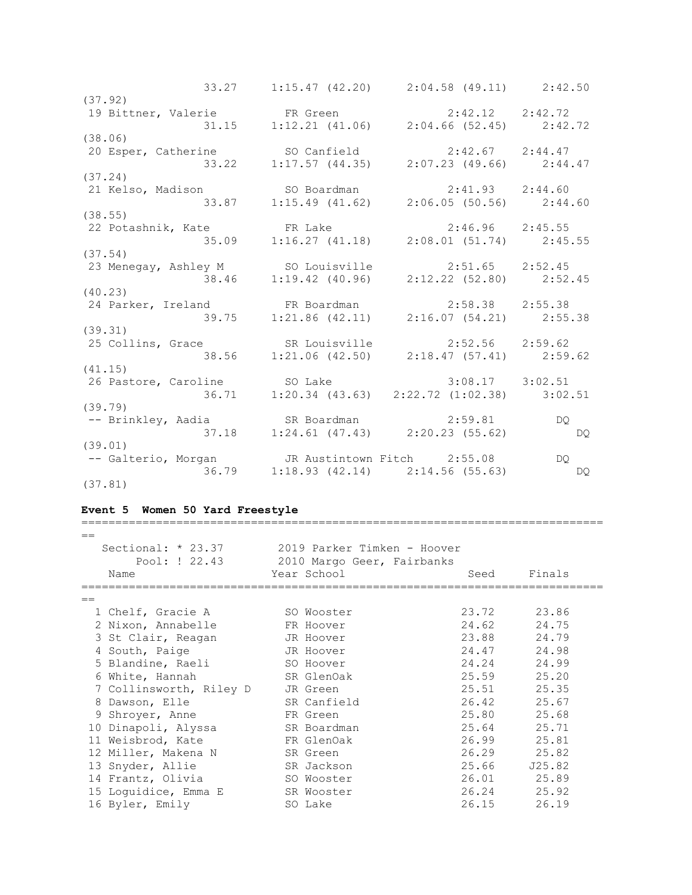33.27 1:15.47 (42.20) 2:04.58 (49.11) 2:42.50 (37.92) 19 Bittner, Valerie FR Green 2:42.12 2:42.72 31.15 1:12.21 (41.06) 2:04.66 (52.45) 2:42.72 (38.06) 20 Esper, Catherine SO Canfield 2:42.67 2:44.47 33.22 1:17.57 (44.35) 2:07.23 (49.66) 2:44.47 (37.24)<br>21 Kelso, Madison 21 Kelso, Madison SO Boardman 2:41.93 2:44.60 33.87 1:15.49 (41.62) 2:06.05 (50.56) 2:44.60 (38.55) 22 Potashnik, Kate FR Lake 2:46.96 2:45.55 35.09 1:16.27 (41.18) 2:08.01 (51.74) 2:45.55 (37.54) 23 Menegay, Ashley M SO Louisville 2:51.65 2:52.45 38.46 1:19.42 (40.96) 2:12.22 (52.80) 2:52.45 (40.23)<br>24 Parker, Ireland 24 Parker, Ireland FR Boardman 2:58.38 2:55.38 39.75 1:21.86 (42.11) 2:16.07 (54.21) 2:55.38 (39.31) 25 Collins, Grace SR Louisville 2:52.56 2:59.62 38.56 1:21.06 (42.50) 2:18.47 (57.41) 2:59.62 (41.15) 26 Pastore, Caroline SO Lake 3:08.17 3:02.51 36.71 1:20.34 (43.63) 2:22.72 (1:02.38) 3:02.51 (39.79) -- Brinkley, Aadia SR Boardman 2:59.81 DQ 37.18 1:24.61 (47.43) 2:20.23 (55.62) DQ (39.01) -- Galterio, Morgan JR Austintown Fitch 2:55.08 DQ 36.79 1:18.93 (42.14) 2:14.56 (55.63) DQ (37.81)

#### **Event 5 Women 50 Yard Freestyle**

| $==$ |                         |             |                             |             |
|------|-------------------------|-------------|-----------------------------|-------------|
|      | Sectional: $*$ 23.37    |             | 2019 Parker Timken - Hoover |             |
|      | Pool: ! 22.43           |             | 2010 Margo Geer, Fairbanks  |             |
|      | Name                    | Year School | Seed                        | Finals      |
| $=$  |                         |             |                             |             |
|      | 1 Chelf, Gracie A       | SO Wooster  | 23.72                       | 23.86       |
|      | 2 Nixon, Annabelle      | FR Hoover   | 24.62                       | 24.75       |
|      | 3 St Clair, Reagan      | JR Hoover   | 23.88                       | 24.79       |
|      | 4 South, Paige          | JR Hoover   | 24.47                       | 24.98       |
|      | 5 Blandine, Raeli       | SO Hoover   | 24.24                       | 24.99       |
|      | 6 White, Hannah         | SR GlenOak  | 25.59                       | 25.20       |
|      | 7 Collinsworth, Riley D | JR Green    | 25.51                       | 25.35       |
|      | 8 Dawson, Elle          | SR Canfield | 26.42                       | 25.67       |
|      | 9 Shroyer, Anne         | FR Green    | 25.80                       | 25.68       |
|      | 10 Dinapoli, Alyssa     | SR Boardman | 25.64                       | 25.71       |
|      | 11 Weisbrod, Kate       | FR GlenOak  | 26.99                       | 25.81       |
|      | 12 Miller, Makena N     | SR Green    | 26.29                       | 25.82       |
|      | 13 Snyder, Allie        | SR Jackson  | 25.66                       | J25.82      |
|      | 14 Frantz, Olivia       | SO Wooster  |                             | 26.01 25.89 |
|      | 15 Loquidice, Emma E    | SR Wooster  | 26.24                       | 25.92       |
|      | 16 Byler, Emily         | SO Lake     | 26.15                       | 26.19       |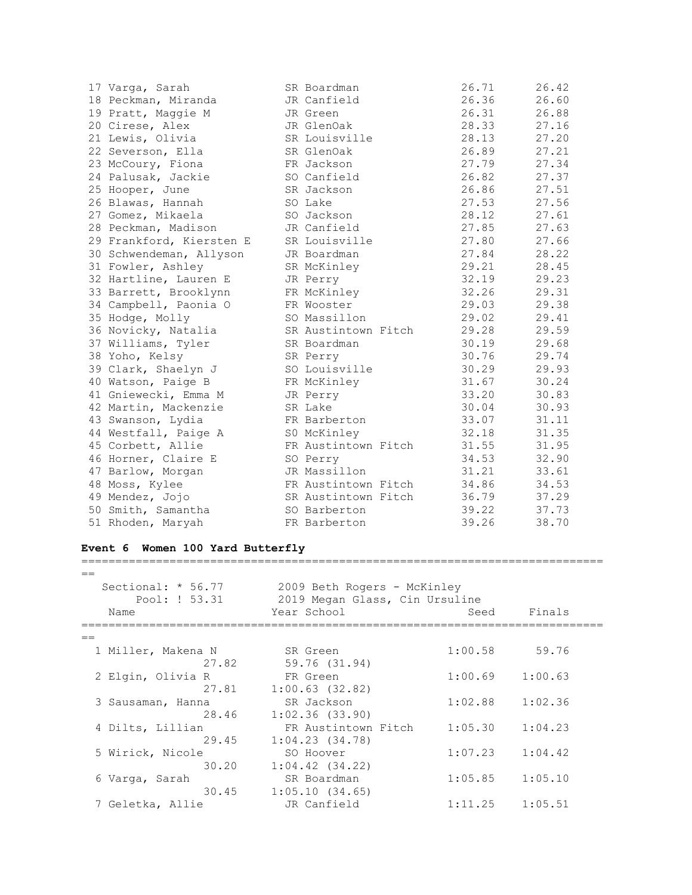| 17 Varga, Sarah          | SR Boardman         | 26.71 | 26.42 |
|--------------------------|---------------------|-------|-------|
| 18 Peckman, Miranda      | JR Canfield         | 26.36 | 26.60 |
| 19 Pratt, Maggie M       | JR Green            | 26.31 | 26.88 |
| 20 Cirese, Alex          | JR GlenOak          | 28.33 | 27.16 |
| 21 Lewis, Olivia         | SR Louisville       | 28.13 | 27.20 |
| 22 Severson, Ella        | SR GlenOak          | 26.89 | 27.21 |
| 23 McCoury, Fiona        | FR Jackson          | 27.79 | 27.34 |
| 24 Palusak, Jackie       | SO Canfield         | 26.82 | 27.37 |
| 25 Hooper, June          | SR Jackson          | 26.86 | 27.51 |
| 26 Blawas, Hannah        | SO Lake             | 27.53 | 27.56 |
| 27 Gomez, Mikaela        | SO Jackson          | 28.12 | 27.61 |
| 28 Peckman, Madison      | JR Canfield         | 27.85 | 27.63 |
| 29 Frankford, Kiersten E | SR Louisville       | 27.80 | 27.66 |
| 30 Schwendeman, Allyson  | JR Boardman         | 27.84 | 28.22 |
| 31 Fowler, Ashley        | SR McKinley         | 29.21 | 28.45 |
| 32 Hartline, Lauren E    | JR Perry            | 32.19 | 29.23 |
| 33 Barrett, Brooklynn    | FR McKinley         | 32.26 | 29.31 |
| 34 Campbell, Paonia O    | FR Wooster          | 29.03 | 29.38 |
| 35 Hodge, Molly          | SO Massillon        | 29.02 | 29.41 |
| 36 Novicky, Natalia      | SR Austintown Fitch | 29.28 | 29.59 |
| 37 Williams, Tyler       | SR Boardman         | 30.19 | 29.68 |
| 38 Yoho, Kelsy           | SR Perry            | 30.76 | 29.74 |
| 39 Clark, Shaelyn J      | SO Louisville       | 30.29 | 29.93 |
| 40 Watson, Paige B       | FR McKinley         | 31.67 | 30.24 |
| 41 Gniewecki, Emma M     | JR Perry            | 33.20 | 30.83 |
| 42 Martin, Mackenzie     | SR Lake             | 30.04 | 30.93 |
| 43 Swanson, Lydia        | FR Barberton        | 33.07 | 31.11 |
| 44 Westfall, Paige A     | S0 McKinley         | 32.18 | 31.35 |
| 45 Corbett, Allie        | FR Austintown Fitch | 31.55 | 31.95 |
| 46 Horner, Claire E      | SO Perry            | 34.53 | 32.90 |
| 47 Barlow, Morgan        | JR Massillon        | 31.21 | 33.61 |
| 48 Moss, Kylee           | FR Austintown Fitch | 34.86 | 34.53 |
| 49 Mendez, Jojo          | SR Austintown Fitch | 36.79 | 37.29 |
| 50 Smith, Samantha       | SO Barberton        | 39.22 | 37.73 |
| 51 Rhoden, Maryah        | FR Barberton        | 39.26 | 38.70 |

## **Event 6 Women 100 Yard Butterfly**

| $=$                  |                                |         |         |  |
|----------------------|--------------------------------|---------|---------|--|
| Sectional: $* 56.77$ | 2009 Beth Rogers - McKinley    |         |         |  |
| Pool: ! 53.31        | 2019 Megan Glass, Cin Ursuline |         |         |  |
| Name                 | Year School                    | Seed    | Finals  |  |
| $=$                  |                                |         |         |  |
| 1 Miller, Makena N   | SR Green                       | 1:00.58 | 59.76   |  |
| 27.82                | 59.76 (31.94)                  |         |         |  |
| 2 Elgin, Olivia R    | FR Green                       | 1:00.69 | 1:00.63 |  |
| 27.81                | $1:00.63$ (32.82)              |         |         |  |
| 3 Sausaman, Hanna    | SR Jackson                     | 1:02.88 | 1:02.36 |  |
| 28.46                | 1:02.36(33.90)                 |         |         |  |
| 4 Dilts, Lillian     | FR Austintown Fitch            | 1:05.30 | 1:04.23 |  |
| 29.45                | 1:04.23(34.78)                 |         |         |  |
| 5 Wirick, Nicole     | SO Hoover                      | 1:07.23 | 1:04.42 |  |
| 30.20                | $1:04.42$ $(34.22)$            |         |         |  |
| 6 Varga, Sarah       | SR Boardman                    | 1:05.85 | 1:05.10 |  |
| 30.45                | 1:05.10(34.65)                 |         |         |  |
| 7 Geletka, Allie     | JR Canfield                    | 1:11.25 | 1:05.51 |  |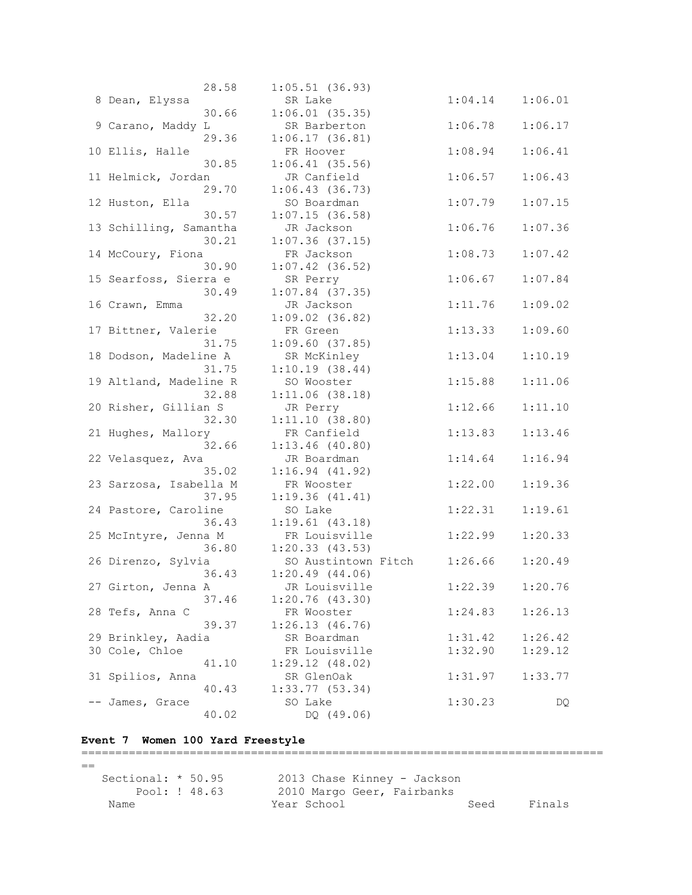| 28.58                  | $1:05.51$ (36.93)   |         |         |
|------------------------|---------------------|---------|---------|
| 8 Dean, Elyssa         | SR Lake             | 1:04.14 | 1:06.01 |
| 30.66                  | $1:06.01$ (35.35)   |         |         |
| 9 Carano, Maddy L      | SR Barberton        | 1:06.78 | 1:06.17 |
| 29.36                  | 1:06.17(36.81)      |         |         |
| 10 Ellis, Halle        | FR Hoover           | 1:08.94 | 1:06.41 |
| 30.85                  | $1:06.41$ (35.56)   |         |         |
| 11 Helmick, Jordan     | JR Canfield         | 1:06.57 | 1:06.43 |
| 29.70                  | 1:06.43(36.73)      |         |         |
| 12 Huston, Ella        | SO Boardman         | 1:07.79 | 1:07.15 |
| 30.57                  | 1:07.15(36.58)      |         |         |
| 13 Schilling, Samantha | JR Jackson          | 1:06.76 | 1:07.36 |
| 30.21                  | $1:07.36$ (37.15)   |         |         |
| 14 McCoury, Fiona      | FR Jackson          | 1:08.73 | 1:07.42 |
| 30.90                  |                     |         |         |
|                        | $1:07.42$ (36.52)   |         |         |
| 15 Searfoss, Sierra e  | SR Perry            | 1:06.67 | 1:07.84 |
| 30.49                  | $1:07.84$ (37.35)   |         |         |
| 16 Crawn, Emma         | JR Jackson          | 1:11.76 | 1:09.02 |
| 32.20                  | $1:09.02$ (36.82)   |         |         |
| 17 Bittner, Valerie    | FR Green            | 1:13.33 | 1:09.60 |
| 31.75                  | $1:09.60$ (37.85)   |         |         |
| 18 Dodson, Madeline A  | SR McKinley         | 1:13.04 | 1:10.19 |
| 31.75                  | 1:10.19(38.44)      |         |         |
| 19 Altland, Madeline R | SO Wooster          | 1:15.88 | 1:11.06 |
| 32.88                  | 1:11.06(38.18)      |         |         |
| 20 Risher, Gillian S   | JR Perry            | 1:12.66 | 1:11.10 |
| 32.30                  | 1:11.10(38.80)      |         |         |
| 21 Hughes, Mallory     | FR Canfield         | 1:13.83 | 1:13.46 |
| 32.66                  | $1:13.46$ (40.80)   |         |         |
| 22 Velasquez, Ava      | JR Boardman         | 1:14.64 | 1:16.94 |
| 35.02                  | 1:16.94(41.92)      |         |         |
| 23 Sarzosa, Isabella M | FR Wooster          | 1:22.00 | 1:19.36 |
| 37.95                  | 1:19.36(41.41)      |         |         |
| 24 Pastore, Caroline   | SO Lake             | 1:22.31 | 1:19.61 |
| 36.43                  | 1:19.61(43.18)      |         |         |
| 25 McIntyre, Jenna M   | FR Louisville       | 1:22.99 | 1:20.33 |
| 36.80                  | 1:20.33(43.53)      |         |         |
| 26 Direnzo, Sylvia     | SO Austintown Fitch | 1:26.66 | 1:20.49 |
| 36.43                  | 1:20.49(44.06)      |         |         |
| 27 Girton, Jenna A     | JR Louisville       | 1:22.39 | 1:20.76 |
| 37.46                  | 1:20.76(43.30)      |         |         |
| 28 Tefs, Anna C        | FR Wooster          | 1:24.83 | 1:26.13 |
| 39.37                  | 1:26.13(46.76)      |         |         |
| 29 Brinkley, Aadia     | SR Boardman         | 1:31.42 | 1:26.42 |
| 30 Cole, Chloe         | FR Louisville       | 1:32.90 | 1:29.12 |
| 41.10                  | 1:29.12(48.02)      |         |         |
| 31 Spilios, Anna       | SR GlenOak          | 1:31.97 | 1:33.77 |
| 40.43                  | $1:33.77$ (53.34)   |         |         |
| -- James, Grace        | SO Lake             | 1:30.23 | DQ      |
| 40.02                  | DQ (49.06)          |         |         |

## **Event 7 Women 100 Yard Freestyle**

============================================================================= == Sectional: \* 50.95 2013 Chase Kinney - Jackson Pool: ! 48.63 2010 Margo Geer, Fairbanks Name Seed Finals (Name Seed Finals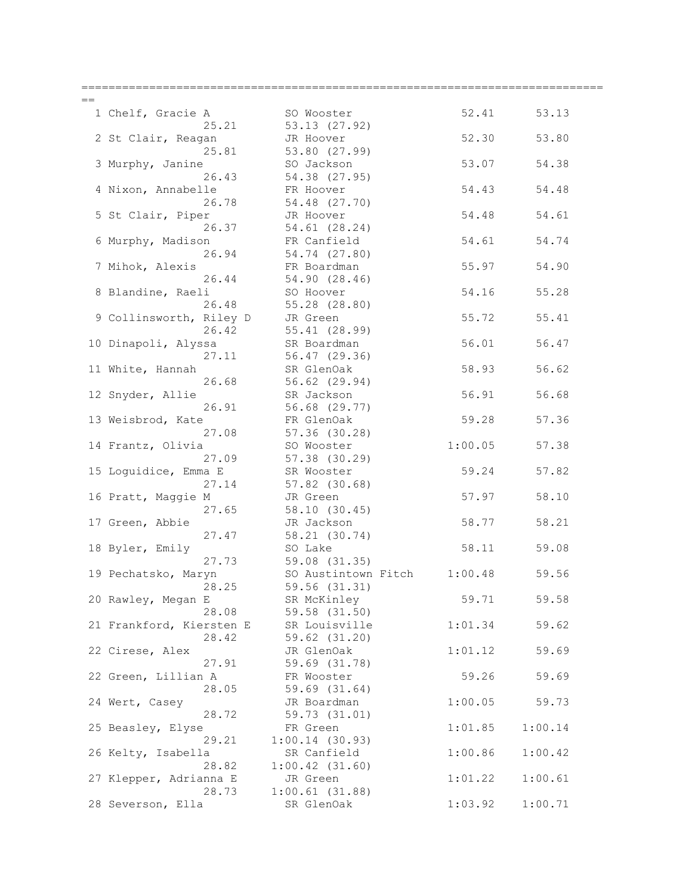| 1 Chelf, Gracie A               | SO Wooster                   | 52.41   | 53.13   |
|---------------------------------|------------------------------|---------|---------|
| 25.21                           | 53.13 (27.92)                |         |         |
| 2 St Clair, Reagan              | JR Hoover                    | 52.30   | 53.80   |
| 25.81                           | 53.80 (27.99)                |         |         |
| 3 Murphy, Janine                | SO Jackson                   | 53.07   | 54.38   |
| 26.43                           | 54.38 (27.95)                |         |         |
| 4 Nixon, Annabelle              | FR Hoover                    | 54.43   | 54.48   |
| 26.78                           | 54.48 (27.70)                |         |         |
| 5 St Clair, Piper<br>26.37      | JR Hoover<br>54.61 (28.24)   | 54.48   | 54.61   |
| 6 Murphy, Madison               | FR Canfield                  | 54.61   | 54.74   |
| 26.94                           | 54.74 (27.80)                |         |         |
| 7 Mihok, Alexis                 | FR Boardman                  | 55.97   | 54.90   |
| 26.44                           | 54.90 (28.46)                |         |         |
| 8 Blandine, Raeli               | SO Hoover                    | 54.16   | 55.28   |
| 26.48                           | 55.28(28.80)                 |         |         |
| 9 Collinsworth, Riley D         | JR Green                     | 55.72   | 55.41   |
| 26.42                           | 55.41 (28.99)                |         |         |
| 10 Dinapoli, Alyssa             | SR Boardman                  | 56.01   | 56.47   |
| 27.11                           | 56.47 (29.36)                |         |         |
| 11 White, Hannah                | SR GlenOak                   | 58.93   | 56.62   |
| 26.68                           | 56.62 (29.94)                |         |         |
| 12 Snyder, Allie                | SR Jackson                   | 56.91   | 56.68   |
| 26.91                           | 56.68 (29.77)                |         |         |
| 13 Weisbrod, Kate               | FR GlenOak                   | 59.28   | 57.36   |
| 27.08                           | 57.36 (30.28)                |         |         |
| 14 Frantz, Olivia               | SO Wooster                   | 1:00.05 | 57.38   |
| 27.09                           | 57.38 (30.29)                |         |         |
| 15 Loguidice, Emma E            | SR Wooster                   | 59.24   | 57.82   |
| 27.14                           | 57.82 (30.68)                |         |         |
| 16 Pratt, Maggie M              | JR Green                     | 57.97   | 58.10   |
| 27.65                           | 58.10 (30.45)                |         |         |
| 17 Green, Abbie                 | JR Jackson                   | 58.77   | 58.21   |
| 27.47                           | 58.21 (30.74)                |         |         |
| 18 Byler, Emily                 | SO Lake                      | 58.11   | 59.08   |
| 27.73                           | 59.08 (31.35)                |         |         |
| 19 Pechatsko, Maryn             | SO Austintown Fitch 1:00.48  |         | 59.56   |
| 28.25                           | 59.56 (31.31)                |         |         |
| 20 Rawley, Megan E              | SR McKinley                  | 59.71   | 59.58   |
| 28.08                           | 59.58 (31.50)                |         |         |
| 21 Frankford, Kiersten E        | SR Louisville                | 1:01.34 | 59.62   |
| 28.42                           | 59.62 (31.20)                |         |         |
| 22 Cirese, Alex                 | JR GlenOak                   | 1:01.12 | 59.69   |
| 27.91                           | 59.69 (31.78)                |         |         |
| 22 Green, Lillian A             | FR Wooster                   | 59.26   | 59.69   |
| 28.05                           | 59.69 (31.64)                |         |         |
| 24 Wert, Casey                  | JR Boardman                  | 1:00.05 | 59.73   |
| 28.72                           | 59.73 (31.01)                |         |         |
| 25 Beasley, Elyse               | FR Green                     | 1:01.85 | 1:00.14 |
| 29.21                           | 1:00.14(30.93)               |         |         |
| 26 Kelty, Isabella              | SR Canfield                  | 1:00.86 | 1:00.42 |
| 28.82                           | $1:00.42$ $(31.60)$          |         |         |
| 27 Klepper, Adrianna E<br>28.73 | JR Green                     | 1:01.22 | 1:00.61 |
| 28 Severson, Ella               | 1:00.61(31.88)<br>SR GlenOak | 1:03.92 | 1:00.71 |
|                                 |                              |         |         |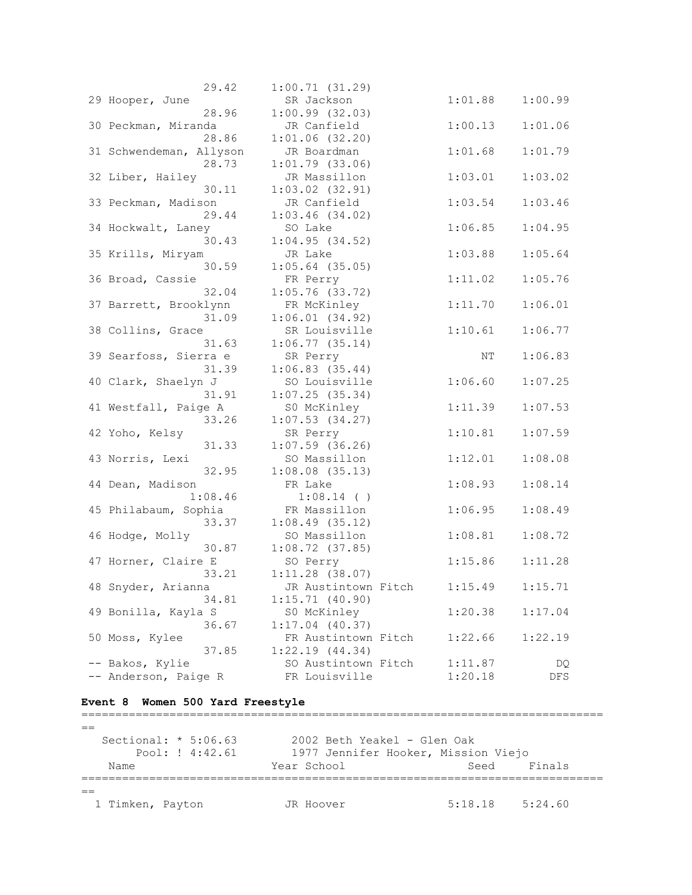| 29.42                   | 1:00.71(31.29)      |         |         |
|-------------------------|---------------------|---------|---------|
| 29 Hooper, June         | SR Jackson          | 1:01.88 | 1:00.99 |
| 28.96                   | 1:00.99(32.03)      |         |         |
| 30 Peckman, Miranda     | JR Canfield         | 1:00.13 | 1:01.06 |
| 28.86                   | $1:01.06$ (32.20)   |         |         |
| 31 Schwendeman, Allyson | JR Boardman         | 1:01.68 | 1:01.79 |
| 28.73                   | $1:01.79$ (33.06)   |         |         |
| 32 Liber, Hailey        | JR Massillon        | 1:03.01 | 1:03.02 |
| 30.11                   | $1:03.02$ (32.91)   |         |         |
| 33 Peckman, Madison     | JR Canfield         | 1:03.54 | 1:03.46 |
| 29.44                   | $1:03.46$ (34.02)   |         |         |
| 34 Hockwalt, Laney      | SO Lake             | 1:06.85 | 1:04.95 |
| 30.43                   | 1:04.95(34.52)      |         |         |
| 35 Krills, Miryam       | JR Lake             | 1:03.88 | 1:05.64 |
| 30.59                   | $1:05.64$ (35.05)   |         |         |
|                         |                     |         |         |
| 36 Broad, Cassie        | FR Perry            | 1:11.02 | 1:05.76 |
| 32.04                   | $1:05.76$ (33.72)   |         |         |
| 37 Barrett, Brooklynn   | FR McKinley         | 1:11.70 | 1:06.01 |
| 31.09                   | 1:06.01(34.92)      |         |         |
| 38 Collins, Grace       | SR Louisville       | 1:10.61 | 1:06.77 |
| 31.63                   | $1:06.77$ (35.14)   |         |         |
| 39 Searfoss, Sierra e   | SR Perry            | ΝT      | 1:06.83 |
| 31.39                   | 1:06.83(35.44)      |         |         |
| 40 Clark, Shaelyn J     | SO Louisville       | 1:06.60 | 1:07.25 |
| 31.91                   | 1:07.25(35.34)      |         |         |
| 41 Westfall, Paige A    | S0 McKinley         | 1:11.39 | 1:07.53 |
| 33.26                   | $1:07.53$ (34.27)   |         |         |
| 42 Yoho, Kelsy          | SR Perry            | 1:10.81 | 1:07.59 |
| 31.33                   | $1:07.59$ (36.26)   |         |         |
| 43 Norris, Lexi         | SO Massillon        | 1:12.01 | 1:08.08 |
| 32.95                   | $1:08.08$ $(35.13)$ |         |         |
| 44 Dean, Madison        | FR Lake             | 1:08.93 | 1:08.14 |
| 1:08.46                 | $1:08.14$ ()        |         |         |
| 45 Philabaum, Sophia    | FR Massillon        | 1:06.95 | 1:08.49 |
| 33.37                   | $1:08.49$ (35.12)   |         |         |
| 46 Hodge, Molly         | SO Massillon        | 1:08.81 | 1:08.72 |
| 30.87                   | $1:08.72$ (37.85)   |         |         |
| 47 Horner, Claire E     | SO Perry            | 1:15.86 | 1:11.28 |
| 33.21                   | $1:11.28$ (38.07)   |         |         |
| 48 Snyder, Arianna      | JR Austintown Fitch | 1:15.49 | 1:15.71 |
| 34.81                   | 1:15.71(40.90)      |         |         |
| 49 Bonilla, Kayla S     | S0 McKinley         | 1:20.38 | 1:17.04 |
| 36.67                   | $1:17.04$ (40.37)   |         |         |
| 50 Moss, Kylee          | FR Austintown Fitch | 1:22.66 | 1:22.19 |
| 37.85                   | 1:22.19(44.34)      |         |         |
| -- Bakos, Kylie         | SO Austintown Fitch | 1:11.87 | DQ.     |
| -- Anderson, Paige R    | FR Louisville       | 1:20.18 | DFS     |
|                         |                     |         |         |

## **Event 8 Women 500 Yard Freestyle**

=============================================================================  $=$  Sectional: \* 5:06.63 2002 Beth Yeakel - Glen Oak Pool: ! 4:42.61 1977 Jennifer Hooker, Mission Viejo Name The Year School Contract Seed Finals =============================================================================  $=$ 1 Timken, Payton JR Hoover 5:18.18 5:24.60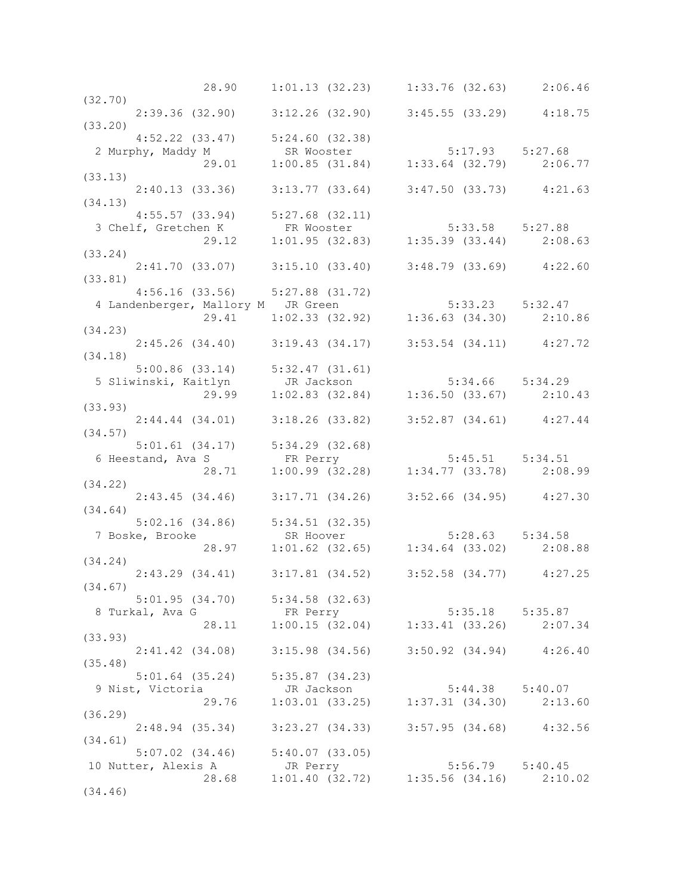|         | 28.90                                                                                                                                          |            | $1:01.13$ (32.23) $1:33.76$ (32.63) $2:06.46$                         |  |  |
|---------|------------------------------------------------------------------------------------------------------------------------------------------------|------------|-----------------------------------------------------------------------|--|--|
| (32.70) |                                                                                                                                                |            |                                                                       |  |  |
|         | $2:39.36$ (32.90) $3:12.26$ (32.90) $3:45.55$ (33.29) $4:18.75$                                                                                |            |                                                                       |  |  |
| (33.20) |                                                                                                                                                |            |                                                                       |  |  |
|         | $4:52.22$ $(33.47)$ $5:24.60$ $(32.38)$                                                                                                        |            |                                                                       |  |  |
|         |                                                                                                                                                |            |                                                                       |  |  |
|         |                                                                                                                                                |            |                                                                       |  |  |
| (33.13) |                                                                                                                                                |            |                                                                       |  |  |
|         | $2:40.13$ (33.36) $3:13.77$ (33.64) $3:47.50$ (33.73) $4:21.63$                                                                                |            |                                                                       |  |  |
| (34.13) |                                                                                                                                                |            |                                                                       |  |  |
|         | $4:55.57$ (33.94) $5:27.68$ (32.11)                                                                                                            |            |                                                                       |  |  |
|         |                                                                                                                                                |            |                                                                       |  |  |
|         | 3 Chelf, Gretchen K and S:27.68 (32.11)<br>3 Chelf, Gretchen K and FR Wooster 5:33.58 5:27.88<br>29.12 1:01.95 (32.83) 1:35.39 (33.44) 2:08.63 |            |                                                                       |  |  |
| (33.24) |                                                                                                                                                |            |                                                                       |  |  |
|         | 2:41.70 (33.07) 3:15.10 (33.40) 3:48.79 (33.69) 4:22.60                                                                                        |            |                                                                       |  |  |
| (33.81) |                                                                                                                                                |            |                                                                       |  |  |
|         |                                                                                                                                                |            |                                                                       |  |  |
|         |                                                                                                                                                |            |                                                                       |  |  |
|         |                                                                                                                                                |            |                                                                       |  |  |
|         | 4:56.16 (33.56) 5:27.88 (31.72)<br>4 Landenberger, Mallory M JR Green 5:33.23 5:32.47<br>29.41 1:02.33 (32.92) 1:36.63 (34.30) 2:10.86         |            |                                                                       |  |  |
| (34.23) |                                                                                                                                                |            |                                                                       |  |  |
|         | 2:45.26 (34.40) 3:19.43 (34.17) 3:53.54 (34.11) 4:27.72                                                                                        |            |                                                                       |  |  |
| (34.18) |                                                                                                                                                |            |                                                                       |  |  |
|         |                                                                                                                                                |            |                                                                       |  |  |
|         |                                                                                                                                                |            |                                                                       |  |  |
|         | 5:00.86 (33.14) 5:32.47 (31.61)<br>5 Sliwinski, Kaitlyn JR Jackson 5:34.66 5:34.29<br>29.99 1:02.83 (32.84) 1:36.50 (33.67) 2:10.43            |            |                                                                       |  |  |
| (33.93) |                                                                                                                                                |            |                                                                       |  |  |
|         | $2:44.44$ (34.01) 3:18.26 (33.82) 3:52.87 (34.61) 4:27.44                                                                                      |            |                                                                       |  |  |
| (34.57) |                                                                                                                                                |            |                                                                       |  |  |
|         | 5:01.61 (34.17) 5:34.29 (32.68)<br>6 Heestand, Ava S FR Perry 5:45.51 5:34.51<br>28.71 1:00.99 (32.28) 1:34.77 (33.78) 2:08.99                 |            |                                                                       |  |  |
|         |                                                                                                                                                |            |                                                                       |  |  |
|         |                                                                                                                                                |            |                                                                       |  |  |
| (34.22) |                                                                                                                                                |            |                                                                       |  |  |
|         | 2:43.45 (34.46) 3:17.71 (34.26) 3:52.66 (34.95) 4:27.30                                                                                        |            |                                                                       |  |  |
| (34.64) |                                                                                                                                                |            |                                                                       |  |  |
|         | 5:02.16 (34.86) 5:34.51 (32.35)<br>E, Brooke SR Hoover 5:28.63 5:34.58<br>28.97 1:01.62 (32.65) 1:34.64 (33.02) 2:08.88                        |            |                                                                       |  |  |
|         | 7 Boske, Brooke                                                                                                                                |            |                                                                       |  |  |
|         |                                                                                                                                                |            |                                                                       |  |  |
| (34.24) |                                                                                                                                                |            |                                                                       |  |  |
|         | 2:43.29 (34.41) 3:17.81 (34.52) 3:52.58 (34.77) 4:27.25                                                                                        |            |                                                                       |  |  |
| (34.67) |                                                                                                                                                |            |                                                                       |  |  |
|         | $5:01.95$ $(34.70)$ $5:34.58$ $(32.63)$                                                                                                        |            |                                                                       |  |  |
|         | 8 Turkal, Ava G                                                                                                                                |            | FR Perry<br>28.11 1:00.15 (32.04) 1:33.41 (33.26) 2:07.34             |  |  |
|         |                                                                                                                                                |            |                                                                       |  |  |
| (33.93) |                                                                                                                                                |            |                                                                       |  |  |
|         |                                                                                                                                                |            |                                                                       |  |  |
| (35.48) | 2:41.42 (34.08) 3:15.98 (34.56) 3:50.92 (34.94) 4:26.40                                                                                        |            |                                                                       |  |  |
|         |                                                                                                                                                |            |                                                                       |  |  |
|         | $5:01.64$ (35.24) $5:35.87$ (34.23)                                                                                                            |            |                                                                       |  |  |
|         | 9 Nist, Victoria<br>29.76                                                                                                                      | JR Jackson | JR Jackson 5:44.38 5:40.07<br>1:03.01 (33.25) 1:37.31 (34.30) 2:13.60 |  |  |
|         |                                                                                                                                                |            |                                                                       |  |  |
| (36.29) |                                                                                                                                                |            |                                                                       |  |  |
|         | 2:48.94 (35.34) 3:23.27 (34.33) 3:57.95 (34.68) 4:32.56                                                                                        |            |                                                                       |  |  |
| (34.61) |                                                                                                                                                |            |                                                                       |  |  |
|         | $5:07.02$ $(34.46)$ $5:40.07$ $(33.05)$                                                                                                        |            |                                                                       |  |  |
|         | 10 Nutter, Alexis A GR Perry 5:56.79 5:40.45<br>28.68 1:01.40 (32.72) 1:35.56 (34.16) 2:10.02                                                  |            |                                                                       |  |  |
|         |                                                                                                                                                |            |                                                                       |  |  |
| (34.46) |                                                                                                                                                |            |                                                                       |  |  |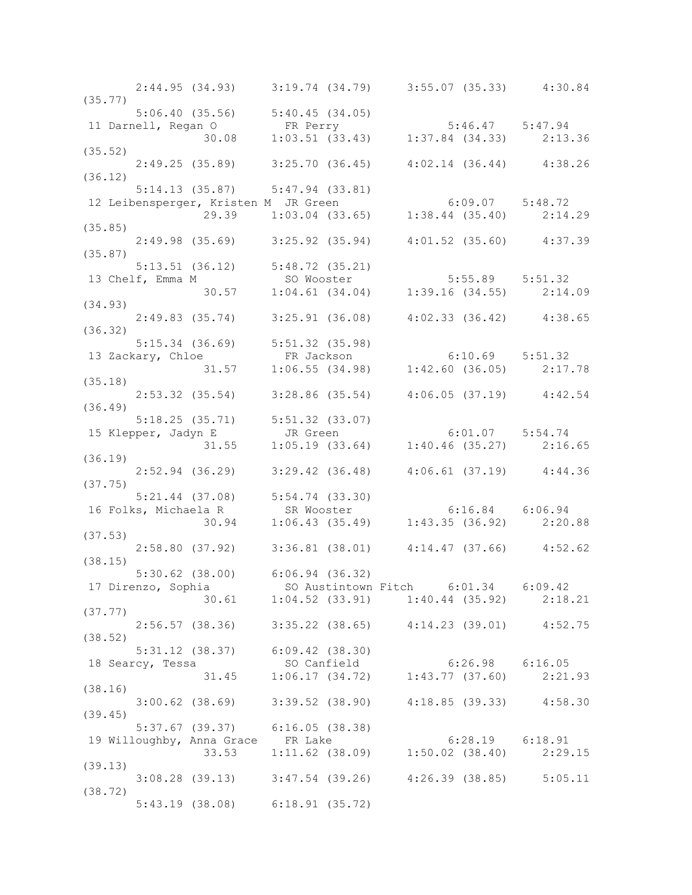|         |                                     | 2:44.95 (34.93) 3:19.74 (34.79) 3:55.07 (35.33) 4:30.84                                                                                  |  |
|---------|-------------------------------------|------------------------------------------------------------------------------------------------------------------------------------------|--|
|         |                                     | 5:06.40 (35.56) 5:40.45 (34.05)<br>11 Darnell, Regan O FR Perry 5:46.47 5:47.94<br>(35.52) 30.08 1:03.51 (33.43) 1:37.84 (34.33) 2:13.36 |  |
|         |                                     |                                                                                                                                          |  |
|         |                                     |                                                                                                                                          |  |
|         |                                     |                                                                                                                                          |  |
|         |                                     | $2:49.25$ (35.89) $3:25.70$ (36.45) $4:02.14$ (36.44) $4:38.26$                                                                          |  |
| (36.12) |                                     |                                                                                                                                          |  |
|         | 5:14.13 (35.87) 5:47.94 (33.81)     |                                                                                                                                          |  |
|         |                                     |                                                                                                                                          |  |
|         |                                     | 5:14.13 (35.87) 5:47.94 (33.81)<br>12 Leibensperger, Kristen M JR Green 6:09.07 5:48.72<br>29.39 1:03.04 (33.65) 1:38.44 (35.40) 2:14.29 |  |
| (35.85) |                                     |                                                                                                                                          |  |
|         |                                     | $2:49.98$ (35.69) 3:25.92 (35.94) 4:01.52 (35.60) 4:37.39                                                                                |  |
| (35.87) |                                     |                                                                                                                                          |  |
|         |                                     |                                                                                                                                          |  |
|         |                                     |                                                                                                                                          |  |
|         |                                     | 5:13.51 (36.12) 5:48.72 (35.21)<br>13 Chelf, Emma M 5:65.89 5:51.32<br>30.57 1:04.61 (34.04) 1:39.16 (34.55) 2:14.09                     |  |
| (34.93) |                                     |                                                                                                                                          |  |
|         |                                     | $2:49.83$ (35.74) 3:25.91 (36.08) 4:02.33 (36.42) 4:38.65                                                                                |  |
| (36.32) |                                     |                                                                                                                                          |  |
|         |                                     |                                                                                                                                          |  |
|         |                                     |                                                                                                                                          |  |
|         |                                     | 5:15.34 (36.69) 5:51.32 (35.98)<br>13 Zackary, Chloe FR Jackson 6:10.69 5:51.32<br>31.57 1:06.55 (34.98) 1:42.60 (36.05) 2:17.78         |  |
| (35.18) |                                     |                                                                                                                                          |  |
|         |                                     | $2:53.32$ (35.54) $3:28.86$ (35.54) $4:06.05$ (37.19) $4:42.54$                                                                          |  |
|         |                                     |                                                                                                                                          |  |
|         |                                     |                                                                                                                                          |  |
|         |                                     |                                                                                                                                          |  |
|         |                                     |                                                                                                                                          |  |
|         |                                     | 5:18.25 (35.71) 5:51.32 (33.07)<br>15 Klepper, Jadyn E JR Green 6:01.07 5:54.74<br>31.55 1:05.19 (33.64) 1:40.46 (35.27) 2:16.65         |  |
|         |                                     | $2:52.94$ (36.29) $3:29.42$ (36.48) $4:06.61$ (37.19) $4:44.36$                                                                          |  |
| (37.75) |                                     |                                                                                                                                          |  |
|         |                                     |                                                                                                                                          |  |
|         |                                     |                                                                                                                                          |  |
|         |                                     | 5:21.44 (37.08) 5:54.74 (33.30)<br>16 Folks, Michaela R SR Wooster 6:16.84 6:06.94<br>30.94 1:06.43 (35.49) 1:43.35 (36.92) 2:20.88      |  |
|         |                                     |                                                                                                                                          |  |
| (37.53) |                                     |                                                                                                                                          |  |
|         |                                     | 2:58.80 (37.92) 3:36.81 (38.01) 4:14.47 (37.66) 4:52.62                                                                                  |  |
| (38.15) |                                     |                                                                                                                                          |  |
|         | $5:30.62$ (38.00) $6:06.94$ (36.32) |                                                                                                                                          |  |
|         |                                     | 17 Direnzo, Sophia 50 Austintown Fitch 6:01.34 6:09.42<br>30.61 1:04.52 (33.91) 1:40.44 (35.92) 2:18.21                                  |  |
|         |                                     |                                                                                                                                          |  |
| (37.77) |                                     |                                                                                                                                          |  |
|         |                                     | 2:56.57 (38.36) 3:35.22 (38.65) 4:14.23 (39.01) 4:52.75                                                                                  |  |
| (38.52) |                                     |                                                                                                                                          |  |
|         | $5:31.12$ (38.37) $6:09.42$ (38.30) |                                                                                                                                          |  |
|         |                                     | 18 Searcy, Tessa 50 Canfield 6:26.98 6:16.05<br>31.45 1:06.17 (34.72) 1:43.77 (37.60) 2:21.93                                            |  |
|         |                                     |                                                                                                                                          |  |
| (38.16) |                                     |                                                                                                                                          |  |
|         |                                     | $3:00.62$ (38.69) $3:39.52$ (38.90) $4:18.85$ (39.33) $4:58.30$                                                                          |  |
| (39.45) |                                     |                                                                                                                                          |  |
|         | 5:37.67 (39.37) 6:16.05 (38.38)     |                                                                                                                                          |  |
|         | 19 Willoughby, Anna Grace FR Lake   | 9 y, Anna Grace FR Lake 6:28.19 6:18.91<br>33.53 1:11.62 (38.09) 1:50.02 (38.40) 2:29.15                                                 |  |
|         |                                     |                                                                                                                                          |  |
| (39.13) |                                     |                                                                                                                                          |  |
|         |                                     | $3:08.28$ (39.13) $3:47.54$ (39.26) $4:26.39$ (38.85) $5:05.11$                                                                          |  |
| (38.72) |                                     |                                                                                                                                          |  |
|         | $5:43.19$ (38.08) $6:18.91$ (35.72) |                                                                                                                                          |  |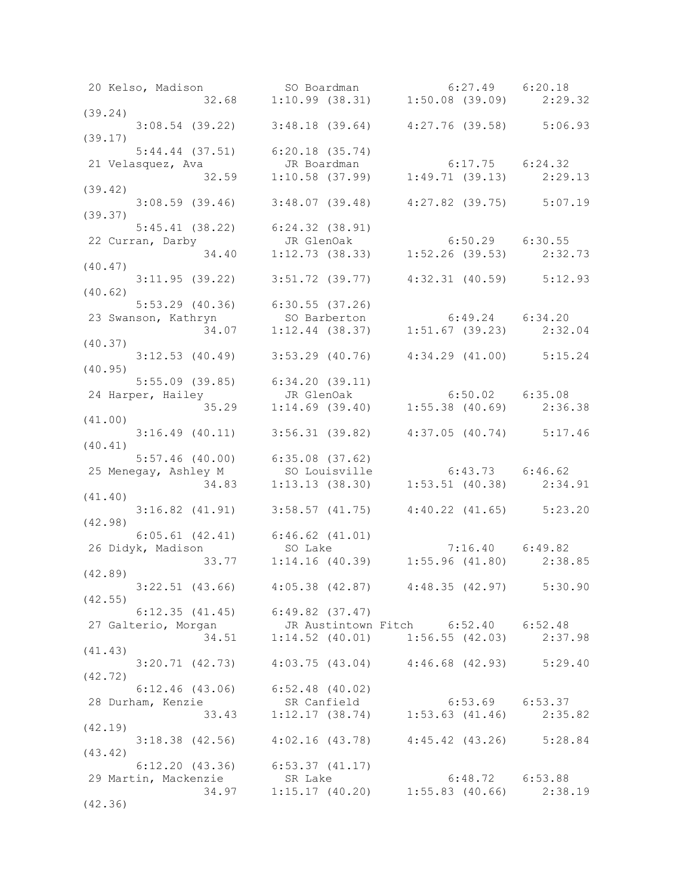| (42.98)                                  |                                                                                                                       |                                                                                                                                                                                                                                                                                                                                                                                                                                                                                                                                                                                                                                                                                                                                                                                                                                                                                                                                                                                                                                                                                                                                                                                                                                                                                                                                                                                                                                                                                                                                                                                                                                                                                                                                                                                                                             |
|------------------------------------------|-----------------------------------------------------------------------------------------------------------------------|-----------------------------------------------------------------------------------------------------------------------------------------------------------------------------------------------------------------------------------------------------------------------------------------------------------------------------------------------------------------------------------------------------------------------------------------------------------------------------------------------------------------------------------------------------------------------------------------------------------------------------------------------------------------------------------------------------------------------------------------------------------------------------------------------------------------------------------------------------------------------------------------------------------------------------------------------------------------------------------------------------------------------------------------------------------------------------------------------------------------------------------------------------------------------------------------------------------------------------------------------------------------------------------------------------------------------------------------------------------------------------------------------------------------------------------------------------------------------------------------------------------------------------------------------------------------------------------------------------------------------------------------------------------------------------------------------------------------------------------------------------------------------------------------------------------------------------|
|                                          |                                                                                                                       |                                                                                                                                                                                                                                                                                                                                                                                                                                                                                                                                                                                                                                                                                                                                                                                                                                                                                                                                                                                                                                                                                                                                                                                                                                                                                                                                                                                                                                                                                                                                                                                                                                                                                                                                                                                                                             |
|                                          |                                                                                                                       |                                                                                                                                                                                                                                                                                                                                                                                                                                                                                                                                                                                                                                                                                                                                                                                                                                                                                                                                                                                                                                                                                                                                                                                                                                                                                                                                                                                                                                                                                                                                                                                                                                                                                                                                                                                                                             |
|                                          |                                                                                                                       |                                                                                                                                                                                                                                                                                                                                                                                                                                                                                                                                                                                                                                                                                                                                                                                                                                                                                                                                                                                                                                                                                                                                                                                                                                                                                                                                                                                                                                                                                                                                                                                                                                                                                                                                                                                                                             |
|                                          |                                                                                                                       |                                                                                                                                                                                                                                                                                                                                                                                                                                                                                                                                                                                                                                                                                                                                                                                                                                                                                                                                                                                                                                                                                                                                                                                                                                                                                                                                                                                                                                                                                                                                                                                                                                                                                                                                                                                                                             |
|                                          |                                                                                                                       |                                                                                                                                                                                                                                                                                                                                                                                                                                                                                                                                                                                                                                                                                                                                                                                                                                                                                                                                                                                                                                                                                                                                                                                                                                                                                                                                                                                                                                                                                                                                                                                                                                                                                                                                                                                                                             |
|                                          |                                                                                                                       |                                                                                                                                                                                                                                                                                                                                                                                                                                                                                                                                                                                                                                                                                                                                                                                                                                                                                                                                                                                                                                                                                                                                                                                                                                                                                                                                                                                                                                                                                                                                                                                                                                                                                                                                                                                                                             |
|                                          |                                                                                                                       |                                                                                                                                                                                                                                                                                                                                                                                                                                                                                                                                                                                                                                                                                                                                                                                                                                                                                                                                                                                                                                                                                                                                                                                                                                                                                                                                                                                                                                                                                                                                                                                                                                                                                                                                                                                                                             |
|                                          |                                                                                                                       |                                                                                                                                                                                                                                                                                                                                                                                                                                                                                                                                                                                                                                                                                                                                                                                                                                                                                                                                                                                                                                                                                                                                                                                                                                                                                                                                                                                                                                                                                                                                                                                                                                                                                                                                                                                                                             |
|                                          |                                                                                                                       |                                                                                                                                                                                                                                                                                                                                                                                                                                                                                                                                                                                                                                                                                                                                                                                                                                                                                                                                                                                                                                                                                                                                                                                                                                                                                                                                                                                                                                                                                                                                                                                                                                                                                                                                                                                                                             |
|                                          |                                                                                                                       |                                                                                                                                                                                                                                                                                                                                                                                                                                                                                                                                                                                                                                                                                                                                                                                                                                                                                                                                                                                                                                                                                                                                                                                                                                                                                                                                                                                                                                                                                                                                                                                                                                                                                                                                                                                                                             |
|                                          |                                                                                                                       |                                                                                                                                                                                                                                                                                                                                                                                                                                                                                                                                                                                                                                                                                                                                                                                                                                                                                                                                                                                                                                                                                                                                                                                                                                                                                                                                                                                                                                                                                                                                                                                                                                                                                                                                                                                                                             |
|                                          |                                                                                                                       |                                                                                                                                                                                                                                                                                                                                                                                                                                                                                                                                                                                                                                                                                                                                                                                                                                                                                                                                                                                                                                                                                                                                                                                                                                                                                                                                                                                                                                                                                                                                                                                                                                                                                                                                                                                                                             |
|                                          |                                                                                                                       |                                                                                                                                                                                                                                                                                                                                                                                                                                                                                                                                                                                                                                                                                                                                                                                                                                                                                                                                                                                                                                                                                                                                                                                                                                                                                                                                                                                                                                                                                                                                                                                                                                                                                                                                                                                                                             |
|                                          |                                                                                                                       |                                                                                                                                                                                                                                                                                                                                                                                                                                                                                                                                                                                                                                                                                                                                                                                                                                                                                                                                                                                                                                                                                                                                                                                                                                                                                                                                                                                                                                                                                                                                                                                                                                                                                                                                                                                                                             |
|                                          |                                                                                                                       |                                                                                                                                                                                                                                                                                                                                                                                                                                                                                                                                                                                                                                                                                                                                                                                                                                                                                                                                                                                                                                                                                                                                                                                                                                                                                                                                                                                                                                                                                                                                                                                                                                                                                                                                                                                                                             |
|                                          |                                                                                                                       |                                                                                                                                                                                                                                                                                                                                                                                                                                                                                                                                                                                                                                                                                                                                                                                                                                                                                                                                                                                                                                                                                                                                                                                                                                                                                                                                                                                                                                                                                                                                                                                                                                                                                                                                                                                                                             |
|                                          |                                                                                                                       |                                                                                                                                                                                                                                                                                                                                                                                                                                                                                                                                                                                                                                                                                                                                                                                                                                                                                                                                                                                                                                                                                                                                                                                                                                                                                                                                                                                                                                                                                                                                                                                                                                                                                                                                                                                                                             |
|                                          |                                                                                                                       |                                                                                                                                                                                                                                                                                                                                                                                                                                                                                                                                                                                                                                                                                                                                                                                                                                                                                                                                                                                                                                                                                                                                                                                                                                                                                                                                                                                                                                                                                                                                                                                                                                                                                                                                                                                                                             |
|                                          |                                                                                                                       |                                                                                                                                                                                                                                                                                                                                                                                                                                                                                                                                                                                                                                                                                                                                                                                                                                                                                                                                                                                                                                                                                                                                                                                                                                                                                                                                                                                                                                                                                                                                                                                                                                                                                                                                                                                                                             |
|                                          |                                                                                                                       |                                                                                                                                                                                                                                                                                                                                                                                                                                                                                                                                                                                                                                                                                                                                                                                                                                                                                                                                                                                                                                                                                                                                                                                                                                                                                                                                                                                                                                                                                                                                                                                                                                                                                                                                                                                                                             |
|                                          |                                                                                                                       |                                                                                                                                                                                                                                                                                                                                                                                                                                                                                                                                                                                                                                                                                                                                                                                                                                                                                                                                                                                                                                                                                                                                                                                                                                                                                                                                                                                                                                                                                                                                                                                                                                                                                                                                                                                                                             |
| (42.89)<br>(42.55)<br>(41.43)<br>(42.72) | (39.24)<br>(39.17)<br>(39.42)<br>(39.37)<br>(40.47)<br>(40.62)<br>(40.37)<br>(40.95)<br>(41.00)<br>(40.41)<br>(41.40) | 20 Kelso, Madison 50 Boardman 6:27.49 6:20.18<br>32.68 1:10.99 (38.31) 1:50.08 (39.09) 2:29.32<br>$3:08.54$ (39.22) $3:48.18$ (39.64) $4:27.76$ (39.58) $5:06.93$<br>$5:44.44$ (37.51) $6:20.18$ (35.74)<br>21 Velasquez, Ava and UR Boardman (37.99) 1:49.71 (39.13) 2:29.13<br>$3:08.59$ (39.46) $3:48.07$ (39.48) $4:27.82$ (39.75) $5:07.19$<br>$5:45.41$ (38.22) $6:24.32$ (38.91)<br>3145.41 (38.22) 6:24.32 (38.91)<br>22 Curran, Darby JR GlenOak 6:50.29 6:30.55<br>34.40 1:12.73 (38.33) 1:52.26 (39.53) 2:32.73<br>$3:11.95$ (39.22) $3:51.72$ (39.77) $4:32.31$ (40.59) $5:12.93$<br>5:53.29 (40.36) 6:30.55 (37.26) 6:49.24 6:34.20<br>23 Swanson, Kathryn SO Barberton 6:49.24 6:34.20<br>34.07 1:12.44 (38.37) 1:51.67 (39.23) 2:32.04 (40.37)<br>$3:12.53$ (40.49) $3:53.29$ (40.76) $4:34.29$ (41.00) $5:15.24$<br>$5:55.09$ (39.85) $6:34.20$ (39.11)<br>$3:16.49$ (40.11) $3:56.31$ (39.82) $4:37.05$ (40.74) $5:17.46$<br>5:57.46 (40.00) 6:35.08 (37.62)<br>25 Menegay, Ashley M so Louisville 6:43.73 6:46.62<br>34.83 1:13.13 (38.30) 1:53.51 (40.38) 2:34.91<br>$3:16.82$ (41.91) $3:58.57$ (41.75) $4:40.22$ (41.65) $5:23.20$<br>6:05.61 (42.41) 6:46.62 (41.01)<br>26 Didyk, Madison so Lake 7:16.40 6:49.82<br>33.77 1:14.16 (40.39) 1:55.96 (41.80) 2:38.85<br>$3:22.51$ (43.66) $4:05.38$ (42.87) $4:48.35$ (42.97) $5:30.90$<br>$6:12.35$ (41.45) $6:49.82$ (37.47)<br>27 Galterio, Morgan JR Austintown Fitch 6:52.40 6:52.48<br>34.51 1:14.52 (40.01) 1:56.55 (42.03) 2:37.98<br>$3:20.71$ (42.73) $4:03.75$ (43.04) $4:46.68$ (42.93) $5:29.40$<br>$6:12.46$ (43.06) $6:52.48$ (40.02)<br>3:18.38 (42.56) 4:02.16 (43.78) 4:45.42 (43.26) 5:28.84<br>$6:12.20$ (43.36) $6:53.37$ (41.17)<br>29 Martin, Mackenzie SR Lake 6:48.72 6:53.88<br>34.97 1:15.17 (40.20) 1:55.83 (40.66) 2:38.19 |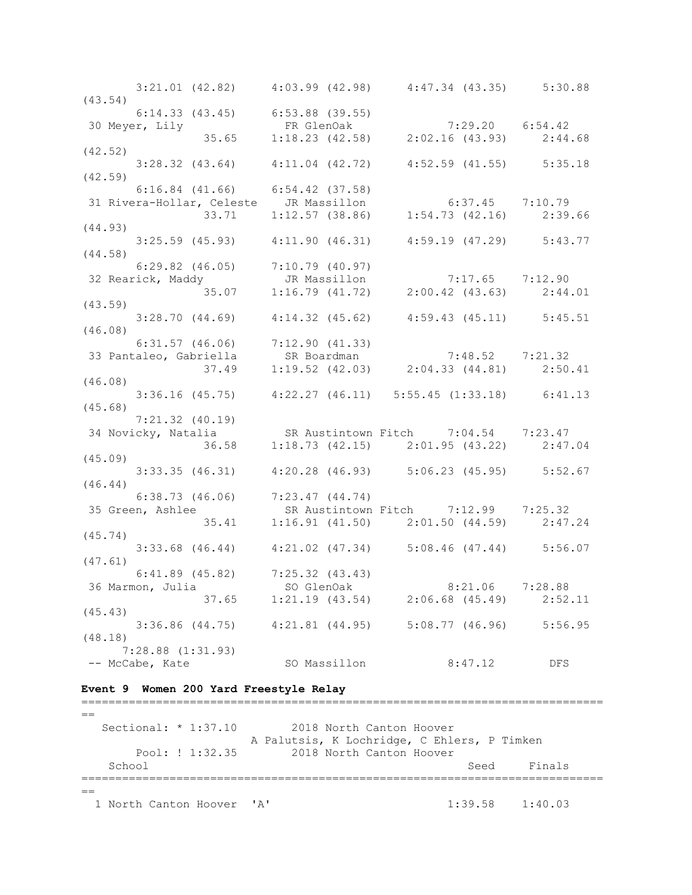| (43.54) |                                     |              | $3:21.01$ (42.82) $4:03.99$ (42.98) $4:47.34$ (43.35) $5:30.88$                                                                                       |         |
|---------|-------------------------------------|--------------|-------------------------------------------------------------------------------------------------------------------------------------------------------|---------|
|         | $6:14.33$ (43.45) $6:53.88$ (39.55) |              |                                                                                                                                                       |         |
|         |                                     |              | 30 Meyer, Lily<br>35.65 1:18.23 (42.58) 2:02.16 (43.93) 2:44.68                                                                                       |         |
|         |                                     |              |                                                                                                                                                       |         |
| (42.52) |                                     |              | $3:28.32$ (43.64) $4:11.04$ (42.72) $4:52.59$ (41.55) $5:35.18$                                                                                       |         |
| (42.59) |                                     |              |                                                                                                                                                       |         |
|         |                                     |              | 6:16.84 (41.66) 6:54.42 (37.58)<br>31 Rivera-Hollar, Celeste JR Massillon 6:37.45 7:10.79<br>33.71 1:12.57 (38.86) 1:54.73 (42.16) 2:39.66<br>(44.93) |         |
|         |                                     |              |                                                                                                                                                       |         |
|         |                                     |              |                                                                                                                                                       |         |
|         |                                     |              | $3:25.59$ (45.93) $4:11.90$ (46.31) $4:59.19$ (47.29) $5:43.77$                                                                                       |         |
| (44.58) |                                     |              |                                                                                                                                                       |         |
|         | $6:29.82$ (46.05) $7:10.79$ (40.97) |              |                                                                                                                                                       |         |
|         |                                     |              | 6:29.82 (46.05) 7:10.79 (40.97)<br>32 Rearick, Maddy JR Massillon 7:17.65 7:12.90<br>35.07 1:16.79 (41.72) 2:00.42 (43.63) 2:44.01                    |         |
|         |                                     |              |                                                                                                                                                       |         |
| (43.59) |                                     |              |                                                                                                                                                       |         |
| (46.08) |                                     |              | $3:28.70$ (44.69) $4:14.32$ (45.62) $4:59.43$ (45.11) $5:45.51$                                                                                       |         |
|         |                                     |              |                                                                                                                                                       |         |
|         |                                     |              |                                                                                                                                                       |         |
|         |                                     |              | 6:31.57 (46.06) 7:12.90 (41.33)<br>33 Pantaleo, Gabriella SR Boardman 7:48.52 7:21.32<br>37.49 1:19.52 (42.03) 2:04.33 (44.81) 2:50.41                |         |
| (46.08) |                                     |              |                                                                                                                                                       |         |
|         |                                     |              | $3:36.16$ (45.75) $4:22.27$ (46.11) 5:55.45 (1:33.18) 6:41.13                                                                                         |         |
| (45.68) | $7:21.32$ $(40.19)$                 |              |                                                                                                                                                       |         |
|         |                                     |              | $(1.21.32)(40.19)$<br>34 Novicky, Natalia SR Austintown Fitch $7:04.54$ 7:23.47                                                                       |         |
|         |                                     |              | $1:18.73$ (42.15) $2:01.95$ (43.22) $2:47.04$                                                                                                         |         |
| (45.09) | 36.58                               |              |                                                                                                                                                       |         |
|         |                                     |              | $3:33.35$ (46.31) $4:20.28$ (46.93) $5:06.23$ (45.95) $5:52.67$                                                                                       |         |
| (46.44) |                                     |              |                                                                                                                                                       |         |
|         | $6:38.73$ (46.06) $7:23.47$ (44.74) |              |                                                                                                                                                       |         |
|         |                                     |              | 35 Green, Ashlee SR Austintown Fitch 7:12.99 7:25.32<br>35.41 1:16.91 (41.50) 2:01.50 (44.59) 2:47.24                                                 |         |
| (45.74) |                                     |              |                                                                                                                                                       |         |
|         |                                     |              | $3:33.68$ (46.44) $4:21.02$ (47.34) $5:08.46$ (47.44) $5:56.07$                                                                                       |         |
| (47.61) |                                     |              |                                                                                                                                                       |         |
|         | $6:41.89$ (45.82) $7:25.32$ (43.43) |              |                                                                                                                                                       |         |
|         | 37.65                               |              | 36 Marmon, Julia (50 GlenOak 8:21.06 7:28.88<br>$1:21.19$ (43.54) $2:06.68$ (45.49)                                                                   | 2:52.11 |
| (45.43) |                                     |              |                                                                                                                                                       |         |
|         | $3:36.86$ $(44.75)$                 |              | $4:21.81$ $(44.95)$ $5:08.77$ $(46.96)$                                                                                                               | 5:56.95 |
| (48.18) |                                     |              |                                                                                                                                                       |         |
|         | $7:28.88$ $(1:31.93)$               |              |                                                                                                                                                       |         |
|         | -- McCabe, Kate                     | SO Massillon | 8:47.12                                                                                                                                               | DFS     |

#### **Event 9 Women 200 Yard Freestyle Relay**

=============================================================================  $=$ Sectional: \* 1:37.10 2018 North Canton Hoover A Palutsis, K Lochridge, C Ehlers, P Timken Pool: ! 1:32.35 2018 North Canton Hoover School Seed Finals =============================================================================  $==$ 1 North Canton Hoover 'A' 1:39.58 1:40.03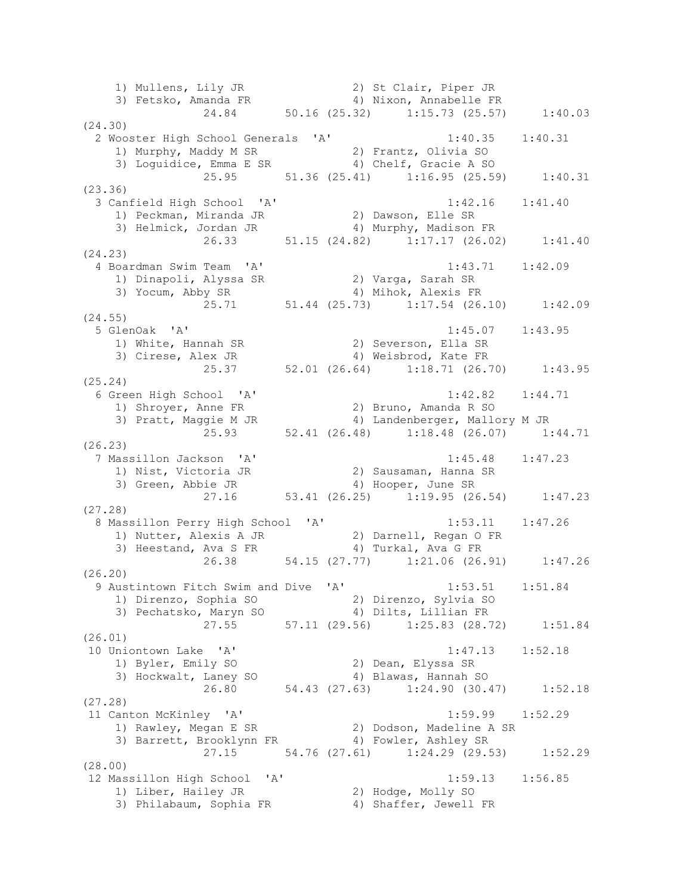1) Mullens, Lily JR 2) St Clair, Piper JR 3) Fetsko, Amanda FR 4) Nixon, Annabelle FR 24.84 50.16 (25.32) 1:15.73 (25.57) 1:40.03 (24.30) 2 Wooster High School Generals 'A' 1:40.35 1:40.31 1) Murphy, Maddy M SR 2) Frantz, Olivia SO 3) Loguidice, Emma E SR 4) Chelf, Gracie A SO 25.95 51.36 (25.41) 1:16.95 (25.59) 1:40.31 (23.36) 3 Canfield High School 'A' 1:42.16 1:41.40 1) Peckman, Miranda JR 2) Dawson, Elle SR 3) Helmick, Jordan JR 4) Murphy, Madison FR 26.33 51.15 (24.82) 1:17.17 (26.02) 1:41.40 (24.23) 4 Boardman Swim Team 'A' 1:43.71 1:42.09 1) Dinapoli, Alyssa SR 2) Varga, Sarah SR 3) Yocum, Abby SR 4) Mihok, Alexis FR 25.71 51.44 (25.73) 1:17.54 (26.10) 1:42.09 (24.55) 5 GlenOak 'A' 1:45.07 1:43.95 1) White, Hannah SR 2) Severson, Ella SR 3) Cirese, Alex JR 4) Weisbrod, Kate FR 25.37 52.01 (26.64) 1:18.71 (26.70) 1:43.95 (25.24) 6 Green High School 'A' 1:42.82 1:44.71 1) Shroyer, Anne FR 2) Bruno, Amanda R SO 3) Pratt, Maggie M JR 4) Landenberger, Mallory M JR 25.93 52.41 (26.48) 1:18.48 (26.07) 1:44.71 (26.23) 7 Massillon Jackson 'A' 1:45.48 1:47.23 1) Nist, Victoria JR 2) Sausaman, Hanna SR 3) Green, Abbie JR 4) Hooper, June SR 27.16 53.41 (26.25) 1:19.95 (26.54) 1:47.23 (27.28) 8 Massillon Perry High School 'A' 1:53.11 1:47.26 1) Nutter, Alexis A JR 2) Darnell, Regan O FR 3) Heestand, Ava S FR 4) Turkal, Ava G FR 26.38 54.15 (27.77) 1:21.06 (26.91) 1:47.26 (26.20) 9 Austintown Fitch Swim and Dive 'A' 1:53.51 1:51.84 1) Direnzo, Sophia SO 2) Direnzo, Sylvia SO 3) Pechatsko, Maryn SO 4) Dilts, Lillian FR 27.55 57.11 (29.56) 1:25.83 (28.72) 1:51.84 (26.01) 10 Uniontown Lake 'A' 1:47.13 1:52.18 1) Byler, Emily SO 2) Dean, Elyssa SR 3) Hockwalt, Laney SO 4) Blawas, Hannah SO 26.80 54.43 (27.63) 1:24.90 (30.47) 1:52.18 (27.28) 11 Canton McKinley 'A' 1:59.99 1:52.29 1) Rawley, Megan E SR 2) Dodson, Madeline A SR 3) Barrett, Brooklynn FR 4) Fowler, Ashley SR 27.15 54.76 (27.61) 1:24.29 (29.53) 1:52.29 (28.00) 12 Massillon High School 'A' 1:59.13 1:56.85 1) Liber, Hailey JR 2) Hodge, Molly SO 3) Philabaum, Sophia FR 4) Shaffer, Jewell FR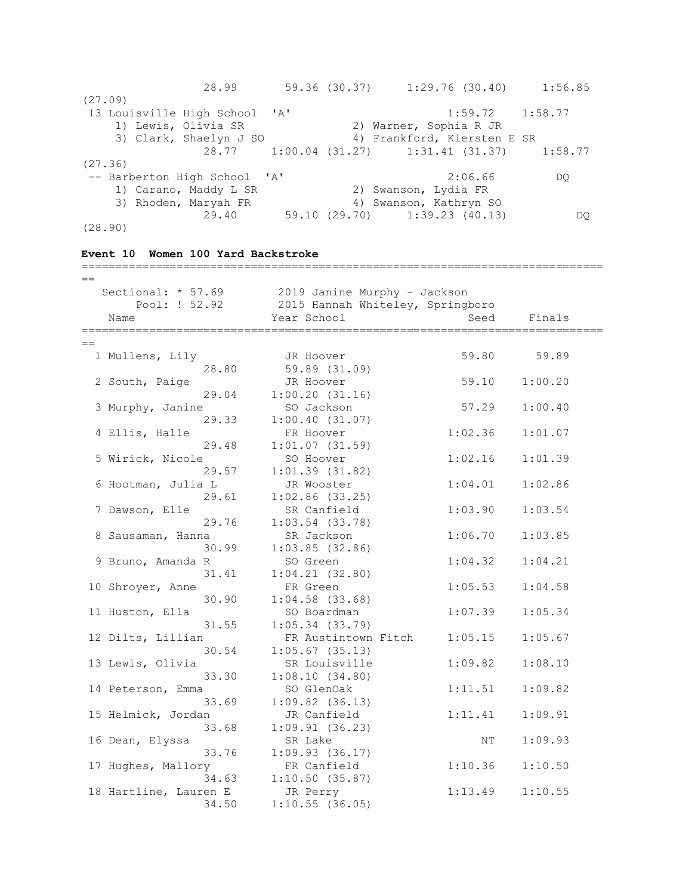| 28.99                         | 59.36 (30.37) | $1:29.76$ (30.40)             |         | 1:56.85                                       |
|-------------------------------|---------------|-------------------------------|---------|-----------------------------------------------|
| (27.09)                       |               |                               |         |                                               |
| 13 Louisville High School 'A' |               |                               |         | $1:59.72$ $1:58.77$                           |
| 1) Lewis, Olivia SR           |               | 2) Warner, Sophia R JR        |         |                                               |
| 3) Clark, Shaelyn J SO        |               | 4) Frankford, Kiersten E SR   |         |                                               |
|                               |               |                               |         | 28.77 1:00.04 (31.27) 1:31.41 (31.37) 1:58.77 |
| (27.36)                       |               |                               |         |                                               |
| -- Barberton High School 'A'  |               |                               | 2:06.66 | DO                                            |
| 1) Carano, Maddy L SR         |               | 2) Swanson, Lydia FR          |         |                                               |
| 3) Rhoden, Maryah FR          |               | 4) Swanson, Kathryn SO        |         |                                               |
| 29.40                         |               | 59.10 (29.70) 1:39.23 (40.13) |         | DO                                            |
| (28.90)                       |               |                               |         |                                               |

| Event 10 Women 100 Yard Backstroke    |                                                                  |         |         |  |  |  |
|---------------------------------------|------------------------------------------------------------------|---------|---------|--|--|--|
| Sectional: $* 57.69$<br>Pool: ! 52.92 | 2019 Janine Murphy - Jackson<br>2015 Hannah Whiteley, Springboro |         |         |  |  |  |
| Name                                  | Year School                                                      | Seed    | Finals  |  |  |  |
| ==================                    | =======================                                          |         |         |  |  |  |
|                                       |                                                                  |         |         |  |  |  |
| 1 Mullens, Lily                       | JR Hoover                                                        | 59.80   | 59.89   |  |  |  |
| 28.80                                 | 59.89 (31.09)                                                    |         |         |  |  |  |
| 2 South, Paige                        | JR Hoover                                                        | 59.10   | 1:00.20 |  |  |  |
| 29.04                                 | 1:00.20(31.16)                                                   |         |         |  |  |  |
| 3 Murphy, Janine                      | SO Jackson                                                       | 57.29   | 1:00.40 |  |  |  |
| 29.33                                 | 1:00.40(31.07)                                                   |         |         |  |  |  |
| 4 Ellis, Halle                        | FR Hoover                                                        | 1:02.36 | 1:01.07 |  |  |  |
| 29.48                                 | $1:01.07$ (31.59)                                                |         |         |  |  |  |
| 5 Wirick, Nicole                      | SO Hoover                                                        | 1:02.16 | 1:01.39 |  |  |  |
| 29.57                                 | 1:01.39(31.82)                                                   |         |         |  |  |  |
| 6 Hootman, Julia L                    | JR Wooster                                                       | 1:04.01 | 1:02.86 |  |  |  |
| 29.61                                 | $1:02.86$ (33.25)                                                |         |         |  |  |  |
| 7 Dawson, Elle                        | SR Canfield                                                      | 1:03.90 | 1:03.54 |  |  |  |
| 29.76                                 | $1:03.54$ (33.78)                                                |         |         |  |  |  |
| 8 Sausaman, Hanna                     | SR Jackson                                                       | 1:06.70 | 1:03.85 |  |  |  |
| 30.99                                 | $1:03.85$ (32.86)                                                |         |         |  |  |  |
| 9 Bruno, Amanda R                     | SO Green                                                         | 1:04.32 | 1:04.21 |  |  |  |
| 31.41                                 | 1:04.21(32.80)                                                   |         |         |  |  |  |
| 10 Shroyer, Anne                      | FR Green                                                         | 1:05.53 | 1:04.58 |  |  |  |
| 30.90                                 | $1:04.58$ $(33.68)$                                              |         |         |  |  |  |
| 11 Huston, Ella                       | SO Boardman                                                      | 1:07.39 | 1:05.34 |  |  |  |
| 31.55                                 | $1:05.34$ (33.79)                                                |         |         |  |  |  |
| 12 Dilts, Lillian                     | FR Austintown Fitch                                              | 1:05.15 | 1:05.67 |  |  |  |
| 30.54                                 | $1:05.67$ (35.13)                                                |         |         |  |  |  |
| 13 Lewis, Olivia                      | SR Louisville                                                    | 1:09.82 | 1:08.10 |  |  |  |
| 33.30                                 | 1:08.10(34.80)                                                   |         |         |  |  |  |
| 14 Peterson, Emma                     | SO GlenOak                                                       | 1:11.51 | 1:09.82 |  |  |  |
| 33.69                                 | $1:09.82$ (36.13)                                                |         |         |  |  |  |
| 15 Helmick, Jordan                    | JR Canfield                                                      | 1:11.41 | 1:09.91 |  |  |  |
| 33.68                                 | 1:09.91(36.23)                                                   |         |         |  |  |  |
| 16 Dean, Elyssa                       | SR Lake                                                          | ΝT      | 1:09.93 |  |  |  |
| 33.76                                 | $1:09.93$ (36.17)                                                |         |         |  |  |  |
| 17 Hughes, Mallory                    | FR Canfield                                                      | 1:10.36 | 1:10.50 |  |  |  |
| 34.63                                 | 1:10.50(35.87)                                                   |         |         |  |  |  |
| 18 Hartline, Lauren E                 | JR Perry                                                         | 1:13.49 | 1:10.55 |  |  |  |
| 34.50                                 | $1:10.55$ (36.05)                                                |         |         |  |  |  |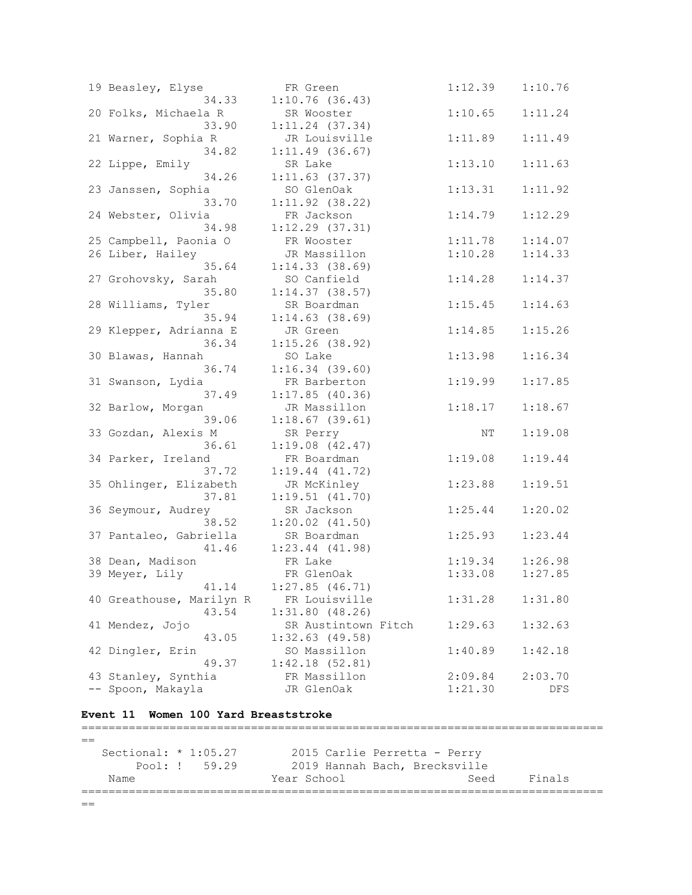| 19 Beasley, Elyse        | FR Green            | 1:12.39 | 1:10.76 |
|--------------------------|---------------------|---------|---------|
| 34.33                    | 1:10.76(36.43)      |         |         |
| 20 Folks, Michaela R     | SR Wooster          | 1:10.65 | 1:11.24 |
| 33.90                    | $1:11.24$ (37.34)   |         |         |
| 21 Warner, Sophia R      | JR Louisville       | 1:11.89 | 1:11.49 |
| 34.82                    | 1:11.49(36.67)      |         |         |
| 22 Lippe, Emily          | SR Lake             | 1:13.10 | 1:11.63 |
| 34.26                    | $1:11.63$ (37.37)   |         |         |
| 23 Janssen, Sophia       | SO GlenOak          | 1:13.31 | 1:11.92 |
| 33.70                    | $1:11.92$ (38.22)   |         |         |
| 24 Webster, Olivia       | FR Jackson          | 1:14.79 | 1:12.29 |
| 34.98                    | $1:12.29$ $(37.31)$ |         |         |
| 25 Campbell, Paonia O    | FR Wooster          | 1:11.78 | 1:14.07 |
| 26 Liber, Hailey         | JR Massillon        | 1:10.28 | 1:14.33 |
| 35.64                    | 1:14.33(38.69)      |         |         |
| 27 Grohovsky, Sarah      | SO Canfield         | 1:14.28 | 1:14.37 |
| 35.80                    | $1:14.37$ (38.57)   |         |         |
| 28 Williams, Tyler       | SR Boardman         | 1:15.45 | 1:14.63 |
| 35.94                    | $1:14.63$ (38.69)   |         |         |
| 29 Klepper, Adrianna E   | JR Green            | 1:14.85 | 1:15.26 |
| 36.34                    | $1:15.26$ (38.92)   |         |         |
| 30 Blawas, Hannah        | SO Lake             | 1:13.98 | 1:16.34 |
| 36.74                    | $1:16.34$ (39.60)   |         |         |
| 31 Swanson, Lydia        | FR Barberton        | 1:19.99 | 1:17.85 |
| 37.49                    | 1:17.85(40.36)      |         |         |
| 32 Barlow, Morgan        | JR Massillon        | 1:18.17 | 1:18.67 |
| 39.06                    | $1:18.67$ (39.61)   |         |         |
| 33 Gozdan, Alexis M      | SR Perry            | NΤ      | 1:19.08 |
| 36.61                    | $1:19.08$ $(42.47)$ |         |         |
| 34 Parker, Ireland       | FR Boardman         | 1:19.08 | 1:19.44 |
| 37.72                    | $1:19.44$ $(41.72)$ |         |         |
| 35 Ohlinger, Elizabeth   | JR McKinley         | 1:23.88 | 1:19.51 |
| 37.81                    | 1:19.51(41.70)      |         |         |
| 36 Seymour, Audrey       | SR Jackson          | 1:25.44 | 1:20.02 |
| 38.52                    | $1:20.02$ $(41.50)$ |         |         |
| 37 Pantaleo, Gabriella   | SR Boardman         | 1:25.93 | 1:23.44 |
| 41.46                    | $1:23.44$ $(41.98)$ |         |         |
| 38 Dean, Madison         | FR Lake             | 1:19.34 | 1:26.98 |
| 39 Meyer, Lily           | FR GlenOak          | 1:33.08 | 1:27.85 |
| 41.14                    | $1:27.85$ (46.71)   |         |         |
| 40 Greathouse, Marilyn R | FR Louisville       | 1:31.28 | 1:31.80 |
| 43.54                    | 1:31.80(48.26)      |         |         |
| 41 Mendez, Jojo          | SR Austintown Fitch | 1:29.63 | 1:32.63 |
| 43.05                    | $1:32.63$ (49.58)   |         |         |
| 42 Dingler, Erin         | SO Massillon        | 1:40.89 | 1:42.18 |
| 49.37                    | 1:42.18(52.81)      |         |         |
| 43 Stanley, Synthia      | FR Massillon        | 2:09.84 | 2:03.70 |
| -- Spoon, Makayla        | JR GlenOak          | 1:21.30 | DFS     |

## **Event 11 Women 100 Yard Breaststroke**

=============================================================================  $=$  Sectional: \* 1:05.27 2015 Carlie Perretta - Perry Pool: ! 59.29 2019 Hannah Bach, Brecksville Name Year School Seed Finals =============================================================================

 $=$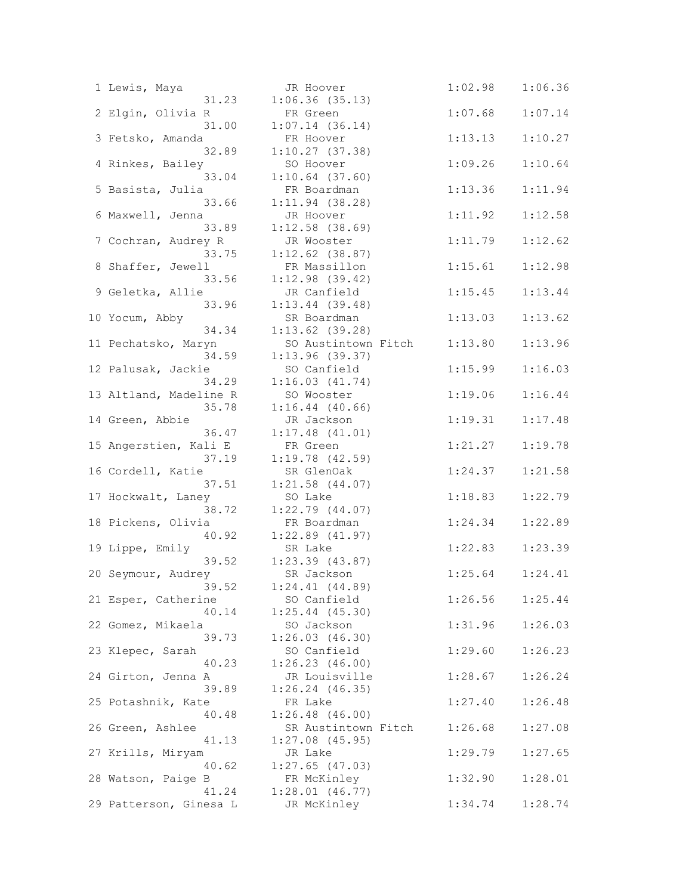| 1 Lewis, Maya              | JR Hoover                     | 1:02.98 | 1:06.36             |
|----------------------------|-------------------------------|---------|---------------------|
| 31.23                      | 1:06.36(35.13)                | 1:07.68 |                     |
| 2 Elgin, Olivia R<br>31.00 | FR Green<br>1:07.14(36.14)    |         | 1:07.14             |
| 3 Fetsko, Amanda           | FR Hoover                     | 1:13.13 | 1:10.27             |
| 32.89                      | 1:10.27(37.38)                |         |                     |
| 4 Rinkes, Bailey           | SO Hoover                     | 1:09.26 | 1:10.64             |
| 33.04                      | $1:10.64$ (37.60)             |         |                     |
| 5 Basista, Julia           | FR Boardman                   | 1:13.36 | 1:11.94             |
| 33.66                      | $1:11.94$ (38.28)             |         |                     |
| 6 Maxwell, Jenna           | JR Hoover                     | 1:11.92 | 1:12.58             |
| 33.89                      | $1:12.58$ (38.69)             |         |                     |
| 7 Cochran, Audrey R        | JR Wooster                    | 1:11.79 | 1:12.62             |
| 33.75                      | $1:12.62$ (38.87)             |         |                     |
| 8 Shaffer, Jewell          | FR Massillon                  | 1:15.61 | 1:12.98             |
| 33.56                      | $1:12.98$ (39.42)             |         |                     |
| 9 Geletka, Allie           | JR Canfield                   | 1:15.45 | 1:13.44             |
| 33.96                      | $1:13.44$ (39.48)             |         |                     |
| 10 Yocum, Abby             | SR Boardman                   | 1:13.03 | 1:13.62             |
| 34.34                      | $1:13.62$ (39.28)             |         |                     |
| 11 Pechatsko, Maryn        | SO Austintown Fitch           | 1:13.80 | 1:13.96             |
| 34.59                      | 1:13.96(39.37)                |         |                     |
| 12 Palusak, Jackie         | SO Canfield                   | 1:15.99 | 1:16.03             |
| 34.29                      | 1:16.03(41.74)                |         |                     |
| 13 Altland, Madeline R     | SO Wooster                    | 1:19.06 | 1:16.44             |
| 35.78                      | $1:16.44$ (40.66)             |         |                     |
| 14 Green, Abbie            | JR Jackson                    | 1:19.31 | 1:17.48             |
| 36.47                      | $1:17.48$ $(41.01)$           |         |                     |
| 15 Angerstien, Kali E      | FR Green                      | 1:21.27 | 1:19.78             |
| 37.19                      | $1:19.78$ $(42.59)$           |         |                     |
| 16 Cordell, Katie          | SR GlenOak                    | 1:24.37 | 1:21.58             |
| 37.51                      | $1:21.58$ $(44.07)$           |         |                     |
| 17 Hockwalt, Laney         | SO Lake                       | 1:18.83 | 1:22.79             |
| 38.72                      | $1:22.79$ $(44.07)$           |         |                     |
| 18 Pickens, Olivia         | FR Boardman                   | 1:24.34 | 1:22.89             |
| 40.92                      | $1:22.89$ $(41.97)$           |         |                     |
| 19 Lippe, Emily            | SR Lake                       | 1:22.83 | 1:23.39             |
| 39.52                      | $1:23.39$ $(43.87)$           |         |                     |
| 20 Seymour, Audrey         | SR Jackson                    |         | $1:25.64$ $1:24.41$ |
| 39.52                      | $1:24.41$ $(44.89)$           |         |                     |
| 21 Esper, Catherine        | SO Canfield                   | 1:26.56 | 1:25.44             |
| 40.14                      | $1:25.44$ (45.30)             |         |                     |
| 22 Gomez, Mikaela          | SO Jackson                    | 1:31.96 | 1:26.03             |
| 39.73                      | 1:26.03(46.30)                |         |                     |
| 23 Klepec, Sarah<br>40.23  | SO Canfield<br>1:26.23(46.00) | 1:29.60 | 1:26.23             |
| 24 Girton, Jenna A         | JR Louisville                 | 1:28.67 | 1:26.24             |
| 39.89                      | $1:26.24$ $(46.35)$           |         |                     |
| 25 Potashnik, Kate         | FR Lake                       | 1:27.40 | 1:26.48             |
| 40.48                      | $1:26.48$ (46.00)             |         |                     |
| 26 Green, Ashlee           | SR Austintown Fitch           | 1:26.68 | 1:27.08             |
| 41.13                      | $1:27.08$ (45.95)             |         |                     |
| 27 Krills, Miryam          | JR Lake                       | 1:29.79 | 1:27.65             |
| 40.62                      | $1:27.65$ (47.03)             |         |                     |
| 28 Watson, Paige B         | FR McKinley                   | 1:32.90 | 1:28.01             |
| 41.24                      | $1:28.01$ $(46.77)$           |         |                     |
| 29 Patterson, Ginesa L     | JR McKinley                   | 1:34.74 | 1:28.74             |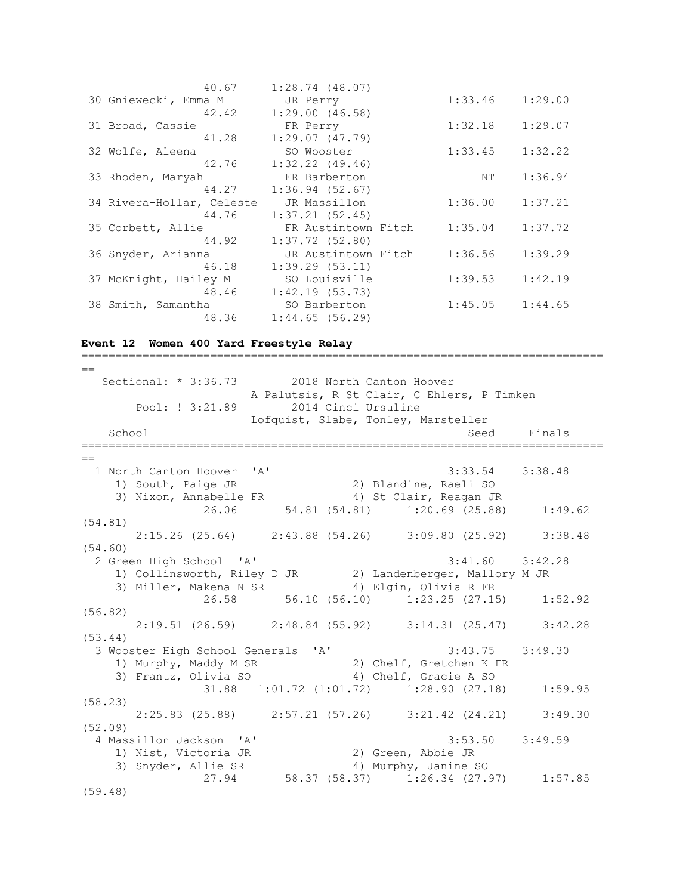| 40.67                     | 1:28.74(48.07)      |         |         |
|---------------------------|---------------------|---------|---------|
| 30 Gniewecki, Emma M      | JR Perry            | 1:33.46 | 1:29.00 |
| 42.42                     | 1:29.00(46.58)      |         |         |
| 31 Broad, Cassie          | FR Perry            | 1:32.18 | 1:29.07 |
| 41.28                     | 1:29.07(47.79)      |         |         |
| 32 Wolfe, Aleena          | SO Wooster          | 1:33.45 | 1:32.22 |
| 42.76                     | $1:32.22$ $(49.46)$ |         |         |
| 33 Rhoden, Maryah         | FR Barberton        | NΤ      | 1:36.94 |
| 44.27                     | 1:36.94(52.67)      |         |         |
| 34 Rivera-Hollar, Celeste | JR Massillon        | 1:36.00 | 1:37.21 |
| 44.76                     | 1:37.21(52.45)      |         |         |
| 35 Corbett, Allie         | FR Austintown Fitch | 1:35.04 | 1:37.72 |
| 44.92                     | $1:37.72$ (52.80)   |         |         |
| 36 Snyder, Arianna        | JR Austintown Fitch | 1:36.56 | 1:39.29 |
| 46.18                     | 1:39.29(53.11)      |         |         |
| 37 McKnight, Hailey M     | SO Louisville       | 1:39.53 | 1:42.19 |
| 48.46                     | 1:42.19(53.73)      |         |         |
| 38 Smith, Samantha        | SO Barberton        | 1:45.05 | 1:44.65 |
| 48.36                     | 1:44.65(56.29)      |         |         |

#### **Event 12 Women 400 Yard Freestyle Relay**

=============================================================================  $=$ Sectional: \* 3:36.73 2018 North Canton Hoover A Palutsis, R St Clair, C Ehlers, P Timken Pool: ! 3:21.89 2014 Cinci Ursuline Lofquist, Slabe, Tonley, Marsteller School School Seed Finals =============================================================================  $=$  1 North Canton Hoover 'A' 3:33.54 3:38.48 1) South, Paige JR 2) Blandine, Raeli SO 3) Nixon, Annabelle FR 4) St Clair, Reagan JR 26.06 54.81 (54.81) 1:20.69 (25.88) 1:49.62 (54.81) 2:15.26 (25.64) 2:43.88 (54.26) 3:09.80 (25.92) 3:38.48 (54.60) 2 Green High School 'A' 3:41.60 3:42.28 1) Collinsworth, Riley D JR 2) Landenberger, Mallory M JR 3) Miller, Makena N SR 4) Elgin, Olivia R FR 26.58 56.10 (56.10) 1:23.25 (27.15) 1:52.92 (56.82) 2:19.51 (26.59) 2:48.84 (55.92) 3:14.31 (25.47) 3:42.28 (53.44) 3 Wooster High School Generals 'A' 3:43.75 3:49.30 1) Murphy, Maddy M SR 2) Chelf, Gretchen K FR 3) Frantz, Olivia SO 4) Chelf, Gracie A SO 31.88 1:01.72 (1:01.72) 1:28.90 (27.18) 1:59.95 (58.23) 2:25.83 (25.88) 2:57.21 (57.26) 3:21.42 (24.21) 3:49.30 (52.09) 4 Massillon Jackson 'A' 3:53.50 3:49.59 1) Nist, Victoria JR 2) Green, Abbie JR 3) Snyder, Allie SR 4) Murphy, Janine SO 3) Snyder, Allie SR (27.94 58.37 (58.37) 1:26.34 (27.97) 1:57.85 (59.48)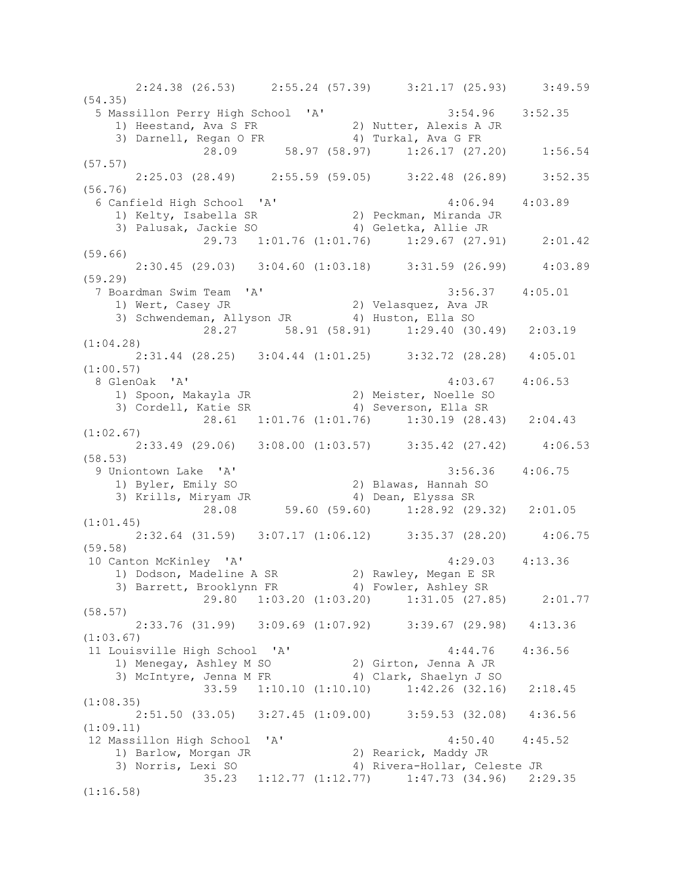2:24.38 (26.53) 2:55.24 (57.39) 3:21.17 (25.93) 3:49.59 (54.35) 5 Massillon Perry High School 'A' 3:54.96 3:52.35 1) Heestand, Ava S FR 2) Nutter, Alexis A JR 3) Darnell, Regan O FR 4) Turkal, Ava G FR 28.09 58.97 (58.97) 1:26.17 (27.20) 1:56.54 (57.57) 2:25.03 (28.49) 2:55.59 (59.05) 3:22.48 (26.89) 3:52.35 (56.76) 6 Canfield High School 'A' 4:06.94 4:03.89 1) Kelty, Isabella SR 2) Peckman, Miranda JR 3) Palusak, Jackie SO 4) Geletka, Allie JR 29.73 1:01.76 (1:01.76) 1:29.67 (27.91) 2:01.42 (59.66) 2:30.45 (29.03) 3:04.60 (1:03.18) 3:31.59 (26.99) 4:03.89 (59.29) 7 Boardman Swim Team 'A' 3:56.37 4:05.01 1) Wert, Casey JR 2) Velasquez, Ava JR 3) Schwendeman, Allyson JR 4) Huston, Ella SO 28.27 58.91 (58.91) 1:29.40 (30.49) 2:03.19 (1:04.28) 2:31.44 (28.25) 3:04.44 (1:01.25) 3:32.72 (28.28) 4:05.01 (1:00.57) 8 GlenOak 'A' 4:03.67 4:06.53 1) Spoon, Makayla JR 2) Meister, Noelle SO 3) Cordell, Katie SR 4) Severson, Ella SR 28.61 1:01.76 (1:01.76) 1:30.19 (28.43) 2:04.43 (1:02.67) 2:33.49 (29.06) 3:08.00 (1:03.57) 3:35.42 (27.42) 4:06.53 (58.53) 9 Uniontown Lake 'A' 3:56.36 4:06.75 1) Byler, Emily SO 2) Blawas, Hannah SO 3) Krills, Miryam JR 4) Dean, Elyssa SR 28.08 59.60 (59.60) 1:28.92 (29.32) 2:01.05 (1:01.45) 2:32.64 (31.59) 3:07.17 (1:06.12) 3:35.37 (28.20) 4:06.75 (59.58) 10 Canton McKinley 'A' 4:29.03 4:13.36 1) Dodson, Madeline A SR 2) Rawley, Megan E SR 3) Barrett, Brooklynn FR 4) Fowler, Ashley SR 29.80 1:03.20 (1:03.20) 1:31.05 (27.85) 2:01.77 (58.57) 2:33.76 (31.99) 3:09.69 (1:07.92) 3:39.67 (29.98) 4:13.36 (1:03.67)<br>11 Louisville High School 'A' 11 Louisville High School 'A' 4:44.76 4:36.56 1) Menegay, Ashley M SO 2) Girton, Jenna A JR 3) McIntyre, Jenna M FR 4) Clark, Shaelyn J SO 33.59 1:10.10 (1:10.10) 1:42.26 (32.16) 2:18.45 (1:08.35) 2:51.50 (33.05) 3:27.45 (1:09.00) 3:59.53 (32.08) 4:36.56 (1:09.11) 12 Massillon High School 'A' 4:50.40 4:45.52 1) Barlow, Morgan JR 2) Rearick, Maddy JR 3) Norris, Lexi SO 4) Rivera-Hollar, Celeste JR 35.23 1:12.77 (1:12.77) 1:47.73 (34.96) 2:29.35 (1:16.58)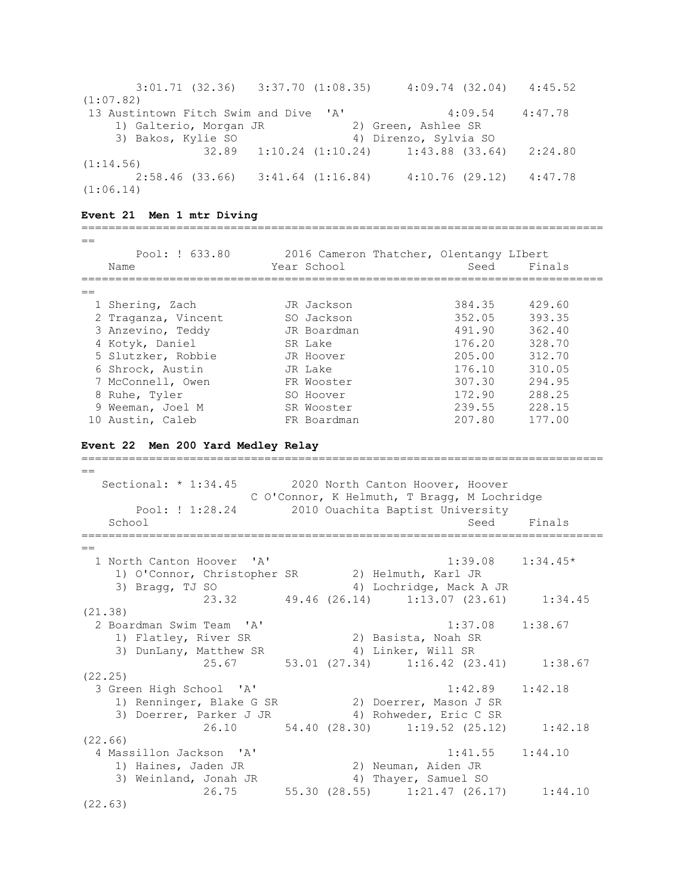| $3:01.71$ (32.36) $3:37.70$ (1:08.35) |  |  | 4:09.74(32.04)                                    | 4:45.52 |
|---------------------------------------|--|--|---------------------------------------------------|---------|
| (1:07.82)                             |  |  |                                                   |         |
| 13 Austintown Fitch Swim and Dive 'A' |  |  | 4:09.54                                           | 4:47.78 |
| 1) Galterio, Morgan JR                |  |  | 2) Green, Ashlee SR                               |         |
| 3) Bakos, Kylie SO                    |  |  | 4) Direnzo, Sylvia SO                             |         |
|                                       |  |  | $32.89$ $1:10.24$ $(1:10.24)$ $1:43.88$ $(33.64)$ | 2:24.80 |
| (1:14.56)                             |  |  |                                                   |         |
| $2:58.46$ (33.66) 3:41.64 (1:16.84)   |  |  | 4:10.76(29.12)                                    | 4:47.78 |
| (1:06.14)                             |  |  |                                                   |         |

#### **Event 21 Men 1 mtr Diving**

=============================================================================  $=$  Pool: ! 633.80 2016 Cameron Thatcher, Olentangy LIbert Name Seed Finals (Name Seed Finals ============================================================================= == 1 Shering, Zach JR Jackson 384.35 429.60 2 Traganza, Vincent SO Jackson 352.05 393.35 3 Anzevino, Teddy JR Boardman 491.90 362.40 4 Kotyk, Daniel SR Lake 176.20 328.70 5 Slutzker, Robbie JR Hoover 205.00 312.70 6 Shrock, Austin JR Lake 176.10 310.05 7 McConnell, Owen FR Wooster 307.30 294.95 8 Ruhe, Tyler SO Hoover 172.90 288.25 9 Weeman, Joel M SR Wooster 239.55 228.15 10 Austin, Caleb FR Boardman 207.80 177.00

#### **Event 22 Men 200 Yard Medley Relay**

=============================================================================  $\overline{\phantom{0}}$ Sectional: \* 1:34.45 2020 North Canton Hoover, Hoover C O'Connor, K Helmuth, T Bragg, M Lochridge Pool: ! 1:28.24 2010 Ouachita Baptist University School School Seed Finals =============================================================================  $=$  1 North Canton Hoover 'A' 1:39.08 1:34.45\* 1) O'Connor, Christopher SR 2) Helmuth, Karl JR 3) Bragg, TJ SO 4) Lochridge, Mack A JR 23.32 49.46 (26.14) 1:13.07 (23.61) 1:34.45 (21.38) 2 Boardman Swim Team 'A' 1:37.08 1:38.67 1) Flatley, River SR 2) Basista, Noah SR 3) DunLany, Matthew SR 4) Linker, Will SR 25.67 53.01 (27.34) 1:16.42 (23.41) 1:38.67 (22.25) 3 Green High School 'A' 1:42.89 1:42.18 1) Renninger, Blake G SR 2) Doerrer, Mason J SR 3) Doerrer, Parker J JR 4) Rohweder, Eric C SR 26.10 54.40 (28.30) 1:19.52 (25.12) 1:42.18 (22.66) 4 Massillon Jackson 'A' 1:41.55 1:44.10 1) Haines, Jaden JR 2) Neuman, Aiden JR 3) Weinland, Jonah JR 4) Thayer, Samuel SO 26.75 55.30 (28.55) 1:21.47 (26.17) 1:44.10 (22.63)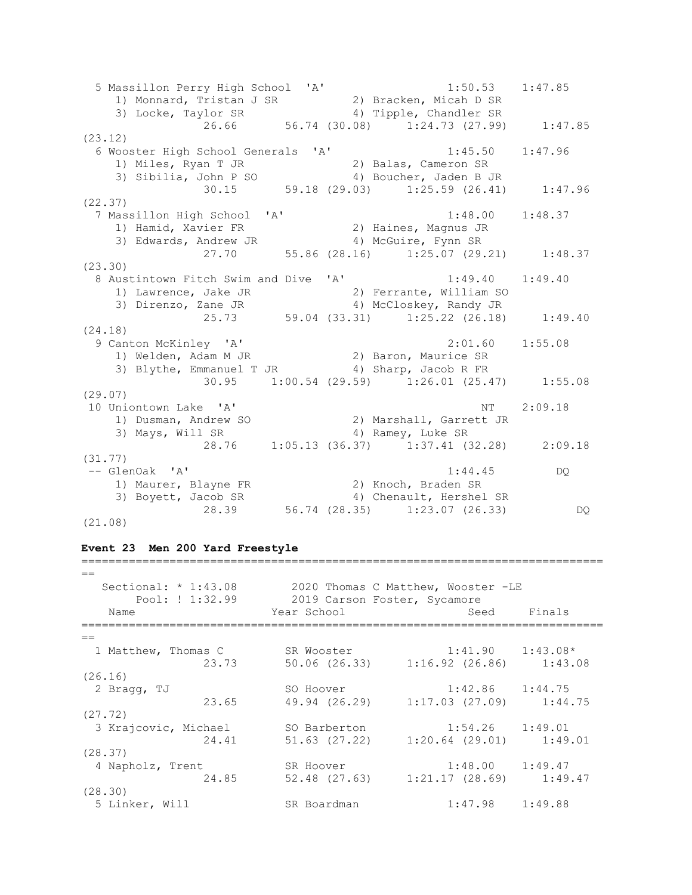5 Massillon Perry High School 'A' 1:50.53 1:47.85 1) Monnard, Tristan J SR 2) Bracken, Micah D SR 3) Locke, Taylor SR 4) Tipple, Chandler SR 26.66 56.74 (30.08) 1:24.73 (27.99) 1:47.85 (23.12) 6 Wooster High School Generals 'A' 1:45.50 1:47.96 1) Miles, Ryan T JR 2) Balas, Cameron SR 3) Sibilia, John P SO 4) Boucher, Jaden B JR 30.15 59.18 (29.03) 1:25.59 (26.41) 1:47.96 (22.37) 7 Massillon High School 'A' 1:48.00 1:48.37 1) Hamid, Xavier FR 2) Haines, Magnus JR 3) Edwards, Andrew JR 4) McGuire, Fynn SR 27.70 55.86 (28.16) 1:25.07 (29.21) 1:48.37 (23.30) 8 Austintown Fitch Swim and Dive 'A' 1:49.40 1:49.40 1) Lawrence, Jake JR 2) Ferrante, William SO 3) Direnzo, Zane JR 4) McCloskey, Randy JR 25.73 59.04 (33.31) 1:25.22 (26.18) 1:49.40 (24.18) 9 Canton McKinley 'A' 2:01.60 1:55.08 1) Welden, Adam M JR 2) Baron, Maurice SR 3) Blythe, Emmanuel T JR 4) Sharp, Jacob R FR  $30.95$   $1:00.54$   $(29.59)$   $1:26.01$   $(25.47)$   $1:55.08$ (29.07) 10 Uniontown Lake 'A' NT 2:09.18 1) Dusman, Andrew SO 2) Marshall, Garrett JR 3) Mays, Will SR 4) Ramey, Luke SR 28.76 1:05.13 (36.37) 1:37.41 (32.28) 2:09.18 (31.77) -- GlenOak 'A' 1:44.45 DQ 1) Maurer, Blayne FR 2) Knoch, Braden SR 3) Boyett, Jacob SR 4) Chenault, Hershel SR 28.39 56.74 (28.35) 1:23.07 (26.33) DQ (21.08)

#### **Event 23 Men 200 Yard Freestyle**

| $=$                    |                              |                                             |        |
|------------------------|------------------------------|---------------------------------------------|--------|
| Sectional: $*$ 1:43.08 |                              | 2020 Thomas C Matthew, Wooster -LE          |        |
| Pool: ! 1:32.99        | 2019 Carson Foster, Sycamore |                                             |        |
| Name                   | Year School                  | Seed                                        | Finals |
| $=$                    |                              |                                             |        |
| 1 Matthew, Thomas C    | SR Wooster                   | $1:41.90$ $1:43.08*$                        |        |
| 23.73                  |                              | 50.06 (26.33) 1:16.92 (26.86) 1:43.08       |        |
| (26.16)                |                              |                                             |        |
| 2 Bragg, TJ            | SO Hoover                    | $1:42.86$ $1:44.75$                         |        |
| 23.65                  |                              | 49.94 (26.29) 1:17.03 (27.09) 1:44.75       |        |
| (27.72)                |                              |                                             |        |
| 3 Krajcovic, Michael   | SO Barberton                 | $1:54.26$ $1:49.01$                         |        |
| 24.41                  |                              | $51.63$ (27.22) $1:20.64$ (29.01) $1:49.01$ |        |
| (28.37)                |                              |                                             |        |
| 4 Napholz, Trent       | SR Hoover                    | $1:48.00$ $1:49.47$                         |        |
| 24.85                  |                              | 52.48 (27.63) 1:21.17 (28.69) 1:49.47       |        |
| (28.30)                |                              |                                             |        |
| 5 Linker, Will         | SR Boardman                  | $1:47.98$ $1:49.88$                         |        |

=============================================================================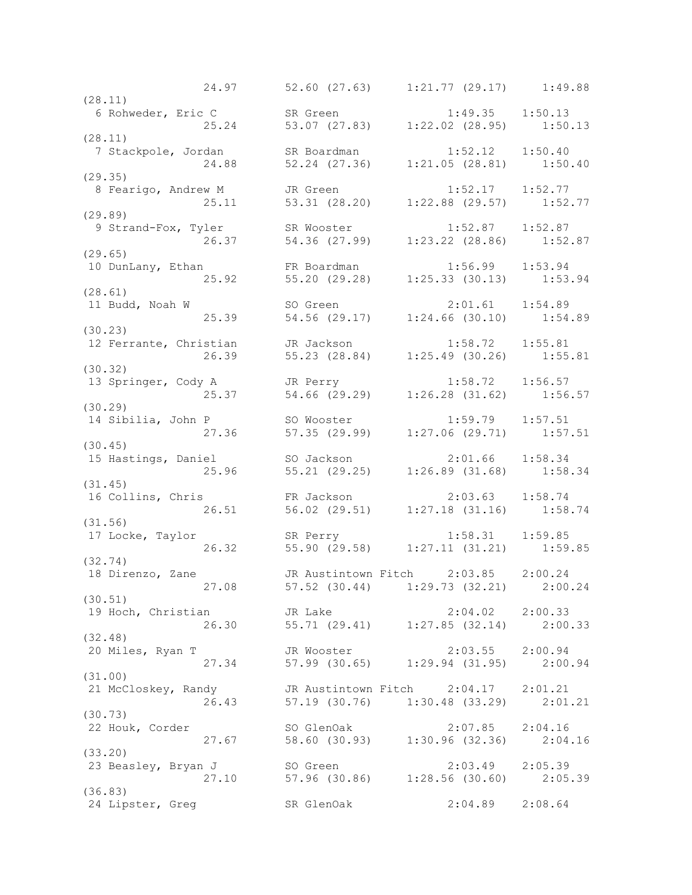24.97 52.60 (27.63) 1:21.77 (29.17) 1:49.88 (28.11) 6 Rohweder, Eric C SR Green 1:49.35 1:50.13 25.24 53.07 (27.83) 1:22.02 (28.95) 1:50.13 (28.11) 7 Stackpole, Jordan SR Boardman 1:52.12 1:50.40 24.88 52.24 (27.36) 1:21.05 (28.81) 1:50.40 (29.35) 8 Fearigo, Andrew M JR Green 1:52.17 1:52.77 25.11 53.31 (28.20) 1:22.88 (29.57) 1:52.77 (29.89) 9 Strand-Fox, Tyler SR Wooster 1:52.87 1:52.87 26.37 54.36 (27.99) 1:23.22 (28.86) 1:52.87 (29.65) 10 DunLany, Ethan FR Boardman 1:56.99 1:53.94 25.92 55.20 (29.28) 1:25.33 (30.13) 1:53.94 (28.61) 11 Budd, Noah W SO Green 2:01.61 1:54.89 25.39 54.56 (29.17) 1:24.66 (30.10) 1:54.89 (30.23) 12 Ferrante, Christian JR Jackson 1:58.72 1:55.81 26.39 55.23 (28.84) 1:25.49 (30.26) 1:55.81 (30.32) 13 Springer, Cody A JR Perry 1:58.72 1:56.57 25.37 54.66 (29.29) 1:26.28 (31.62) 1:56.57 (30.29) 14 Sibilia, John P SO Wooster 1:59.79 1:57.51 27.36 57.35 (29.99) 1:27.06 (29.71) 1:57.51 (30.45) 15 Hastings, Daniel SO Jackson 2:01.66 1:58.34 25.96 55.21 (29.25) 1:26.89 (31.68) 1:58.34 (31.45) 16 Collins, Chris FR Jackson 2:03.63 1:58.74 26.51 56.02 (29.51) 1:27.18 (31.16) 1:58.74 (31.56) 17 Locke, Taylor SR Perry 1:58.31 1:59.85 26.32 55.90 (29.58) 1:27.11 (31.21) 1:59.85 (32.74) 18 Direnzo, Zane JR Austintown Fitch 2:03.85 2:00.24 27.08 57.52 (30.44) 1:29.73 (32.21) 2:00.24 (30.51) 19 Hoch, Christian JR Lake 2:04.02 2:00.33 26.30 55.71 (29.41) 1:27.85 (32.14) 2:00.33 (32.48) 20 Miles, Ryan T JR Wooster 2:03.55 2:00.94 27.34 57.99 (30.65) 1:29.94 (31.95) 2:00.94 (31.00) 21 McCloskey, Randy JR Austintown Fitch 2:04.17 2:01.21 26.43 57.19 (30.76) 1:30.48 (33.29) 2:01.21 (30.73) 22 Houk, Corder SO GlenOak 2:07.85 2:04.16 27.67 58.60 (30.93) 1:30.96 (32.36) 2:04.16 (33.20) 23 Beasley, Bryan J SO Green 2:03.49 2:05.39 27.10 57.96 (30.86) 1:28.56 (30.60) 2:05.39 (36.83) 24 Lipster, Greg SR GlenOak 2:04.89 2:08.64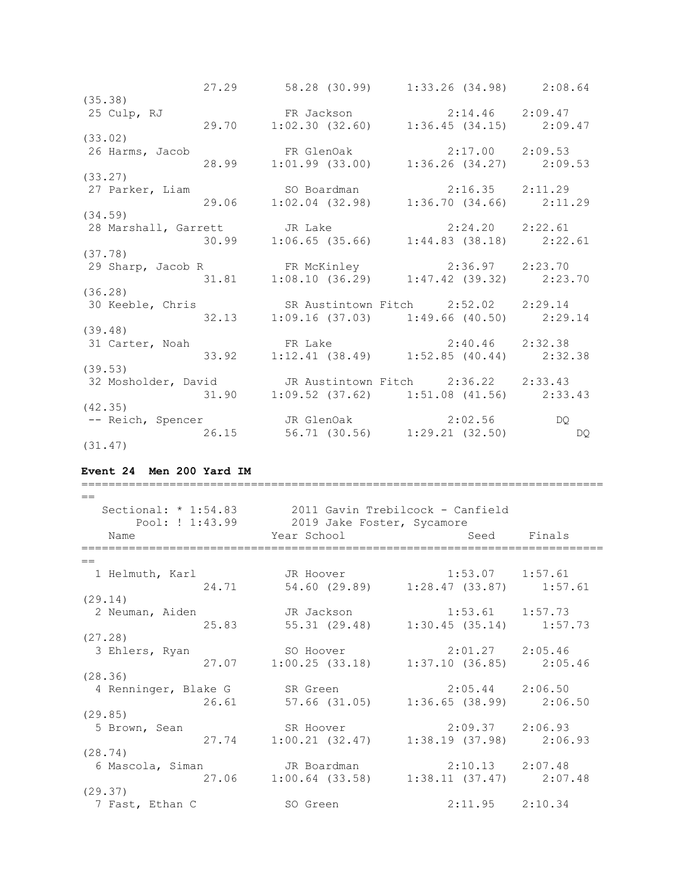|                 |       | 27.29 58.28 (30.99) 1:33.26 (34.98) 2:08.64                                                    |    |
|-----------------|-------|------------------------------------------------------------------------------------------------|----|
| (35.38)         |       |                                                                                                |    |
| 25 Culp, RJ     |       | FR Jackson 2:14.46 2:09.47<br>29.70 1:02.30 (32.60) 1:36.45 (34.15) 2:09.47                    |    |
|                 |       |                                                                                                |    |
| (33.02)         |       |                                                                                                |    |
| 26 Harms, Jacob |       | FR GlenOak 2:17.00 2:09.53<br>28.99 1:01.99 (33.00) 1:36.26 (34.27) 2:09.53                    |    |
|                 |       |                                                                                                |    |
| (33.27)         |       |                                                                                                |    |
|                 |       | 27 Parker, Liam 50 Boardman 2:16.35 2:11.29<br>29.06 1:02.04 (32.98) 1:36.70 (34.66) 2:11.29   |    |
|                 |       |                                                                                                |    |
| (34.59)         |       |                                                                                                |    |
|                 |       | 28 Marshall, Garrett JR Lake 2:24.20 2:22.61<br>30.99 1:06.65 (35.66) 1:44.83 (38.18) 2:22.61  |    |
|                 |       |                                                                                                |    |
| (37.78)         |       |                                                                                                |    |
|                 |       |                                                                                                |    |
|                 |       | 29 Sharp, Jacob R FR McKinley 2:36.97 2:23.70<br>31.81 1:08.10 (36.29) 1:47.42 (39.32) 2:23.70 |    |
| (36.28)         |       |                                                                                                |    |
|                 |       | 30 Keeble, Chris SR Austintown Fitch 2:52.02 2:29.14                                           |    |
|                 |       | 32.13 1:09.16 (37.03) 1:49.66 (40.50) 2:29.14                                                  |    |
| (39.48)         |       |                                                                                                |    |
| 31 Carter, Noah |       | FR Lake 2:40.46 2:32.38                                                                        |    |
|                 | 33.92 | $1:12.41$ (38.49) $1:52.85$ (40.44) $2:32.38$                                                  |    |
| (39.53)         |       |                                                                                                |    |
|                 |       | 32 Mosholder, David GJR Austintown Fitch 2:36.22 2:33.43                                       |    |
|                 |       | 31.90   1:09.52   (37.62)   1:51.08   (41.56)   2:33.43                                        |    |
| (42.35)         |       |                                                                                                |    |
|                 |       | -- Reich, Spencer TR GlenOak 2:02.56                                                           | DQ |
|                 |       | 26.15 56.71 (30.56) 1:29.21 (32.50)                                                            | DQ |
| (31.47)         |       |                                                                                                |    |

# **Event 24 Men 200 Yard IM**

| $==$<br>Sectional: $*$ 1:54.83 |                                               | 2011 Gavin Trebilcock - Canfield      |             |
|--------------------------------|-----------------------------------------------|---------------------------------------|-------------|
| Pool: ! 1:43.99                | 2019 Jake Foster, Sycamore                    |                                       |             |
| Name                           | Year School                                   |                                       | Seed Finals |
| $=$                            |                                               |                                       |             |
| 1 Helmuth, Karl                | JR Hoover                                     | $1:53.07$ $1:57.61$                   |             |
| 24.71                          |                                               | 54.60 (29.89) 1:28.47 (33.87) 1:57.61 |             |
| (29.14)                        |                                               |                                       |             |
| 2 Neuman, Aiden                |                                               |                                       |             |
|                                | 25.83                                         | 55.31 (29.48) 1:30.45 (35.14) 1:57.73 |             |
| (27.28)                        |                                               |                                       |             |
| 3 Ehlers, Ryan                 | SO Hoover 2:01.27 2:05.46                     |                                       |             |
|                                | 27.07 1:00.25 (33.18) 1:37.10 (36.85) 2:05.46 |                                       |             |
| (28.36)                        |                                               |                                       |             |
| 4 Renninger, Blake G           | SR Green                                      | $2:05.44$ $2:06.50$                   |             |
|                                | 26.61 57.66 (31.05)                           | $1:36.65$ (38.99) $2:06.50$           |             |
| (29.85)                        |                                               |                                       |             |
| 5 Brown, Sean                  | SR Hoover 2:09.37 2:06.93                     |                                       |             |
|                                | 27.74 1:00.21 (32.47) 1:38.19 (37.98) 2:06.93 |                                       |             |
| (28.74)                        |                                               |                                       |             |
| 6 Mascola, Siman               | JR Boardman                                   | $2:10.13$ $2:07.48$                   |             |
|                                | 27.06 1:00.64 (33.58) 1:38.11 (37.47) 2:07.48 |                                       |             |
| (29.37)                        |                                               |                                       |             |
| 7 Fast, Ethan C                | SO Green                                      | $2:11.95$ $2:10.34$                   |             |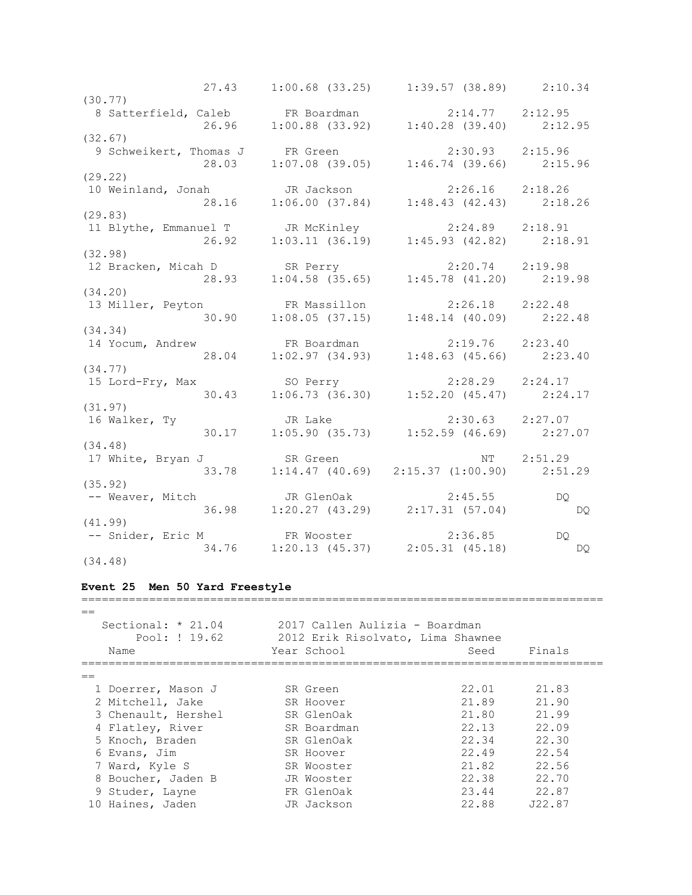27.43 1:00.68 (33.25) 1:39.57 (38.89) 2:10.34 (30.77) 8 Satterfield, Caleb FR Boardman 2:14.77 2:12.95 26.96 1:00.88 (33.92) 1:40.28 (39.40) 2:12.95 (32.67) 9 Schweikert, Thomas J FR Green 2:30.93 2:15.96 28.03 1:07.08 (39.05) 1:46.74 (39.66) 2:15.96 (29.22) 10 Weinland, Jonah JR Jackson 2:26.16 2:18.26 28.16 1:06.00 (37.84) 1:48.43 (42.43) 2:18.26 (29.83) 11 Blythe, Emmanuel T JR McKinley 2:24.89 2:18.91 26.92 1:03.11 (36.19) 1:45.93 (42.82) 2:18.91 (32.98) 12 Bracken, Micah D SR Perry 2:20.74 2:19.98 28.93 1:04.58 (35.65) 1:45.78 (41.20) 2:19.98 (34.20) 13 Miller, Peyton FR Massillon 2:26.18 2:22.48 30.90 1:08.05 (37.15) 1:48.14 (40.09) 2:22.48 (34.34) 14 Yocum, Andrew FR Boardman 2:19.76 2:23.40 28.04 1:02.97 (34.93) 1:48.63 (45.66) 2:23.40 (34.77) 15 Lord-Fry, Max SO Perry 2:28.29 2:24.17 30.43 1:06.73 (36.30) 1:52.20 (45.47) 2:24.17 (31.97) 16 Walker, Ty JR Lake 2:30.63 2:27.07 30.17 1:05.90 (35.73) 1:52.59 (46.69) 2:27.07 (34.48) 17 White, Bryan J SR Green NT 2:51.29 33.78 1:14.47 (40.69) 2:15.37 (1:00.90) 2:51.29 (35.92) -- Weaver, Mitch JR GlenOak 2:45.55 DQ 36.98 1:20.27 (43.29) 2:17.31 (57.04) DQ (41.99) -- Snider, Eric M FR Wooster 2:36.85 DQ 34.76 1:20.13 (45.37) 2:05.31 (45.18) DQ (34.48)

#### **Event 25 Men 50 Yard Freestyle**

| $=$ | Sectional: $* 21.04$<br>Pool: ! 19.62<br>Name | 2017 Callen Aulizia - Boardman<br>2012 Erik Risolvato, Lima Shawnee<br>Year School | Seed  | Finals |  |
|-----|-----------------------------------------------|------------------------------------------------------------------------------------|-------|--------|--|
| $=$ |                                               |                                                                                    |       |        |  |
|     | 1 Doerrer, Mason J                            | SR Green                                                                           | 22.01 | 21.83  |  |
|     | 2 Mitchell, Jake                              | SR Hoover                                                                          | 21.89 | 21.90  |  |
|     | 3 Chenault, Hershel                           | SR GlenOak                                                                         | 21.80 | 21.99  |  |
|     | 4 Flatley, River                              | SR Boardman                                                                        | 22.13 | 22.09  |  |
|     | 5 Knoch, Braden                               | SR GlenOak                                                                         | 22.34 | 22.30  |  |
|     | 6 Evans, Jim                                  | SR Hoover                                                                          | 22.49 | 22.54  |  |
|     | 7 Ward, Kyle S                                | SR Wooster                                                                         | 21.82 | 22.56  |  |
|     | 8 Boucher, Jaden B                            | JR Wooster                                                                         | 22.38 | 22.70  |  |
|     | 9 Studer, Layne                               | FR GlenOak                                                                         | 23.44 | 22.87  |  |
|     | 10 Haines, Jaden                              | JR Jackson                                                                         | 22.88 | J22.87 |  |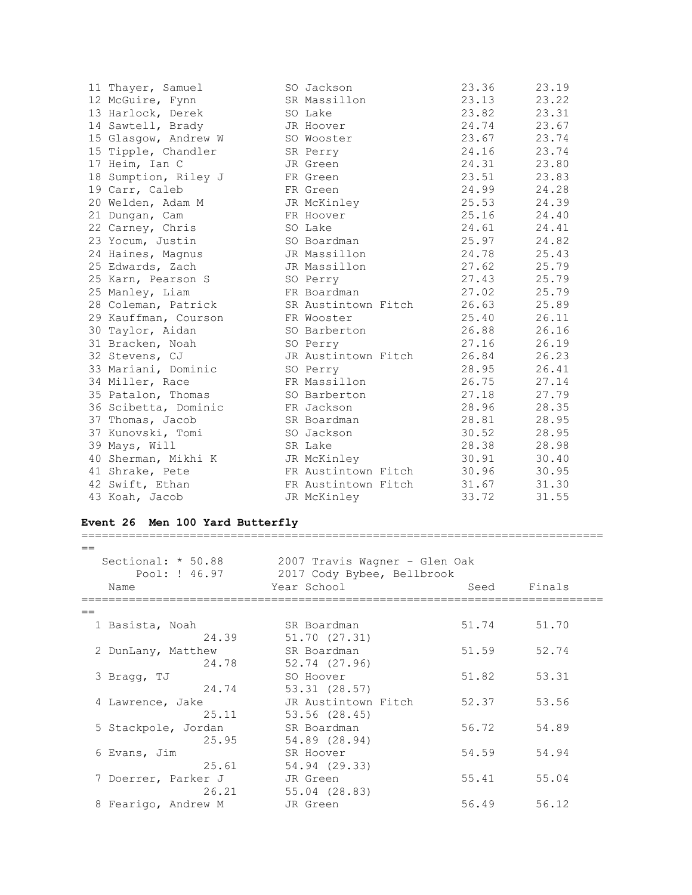| 11 Thayer, Samuel    | SO Jackson          | 23.36 | 23.19 |
|----------------------|---------------------|-------|-------|
| 12 McGuire, Fynn     | SR Massillon        | 23.13 | 23.22 |
| 13 Harlock, Derek    | SO Lake             | 23.82 | 23.31 |
| 14 Sawtell, Brady    | JR Hoover           | 24.74 | 23.67 |
| 15 Glasgow, Andrew W | SO Wooster          | 23.67 | 23.74 |
| 15 Tipple, Chandler  | SR Perry            | 24.16 | 23.74 |
| 17 Heim, Ian C       | JR Green            | 24.31 | 23.80 |
| 18 Sumption, Riley J | FR Green            | 23.51 | 23.83 |
| 19 Carr, Caleb       | FR Green            | 24.99 | 24.28 |
| 20 Welden, Adam M    | JR McKinley         | 25.53 | 24.39 |
| 21 Dungan, Cam       | FR Hoover           | 25.16 | 24.40 |
| 22 Carney, Chris     | SO Lake             | 24.61 | 24.41 |
| 23 Yocum, Justin     | SO Boardman         | 25.97 | 24.82 |
| 24 Haines, Magnus    | JR Massillon        | 24.78 | 25.43 |
| 25 Edwards, Zach     | JR Massillon        | 27.62 | 25.79 |
| 25 Karn, Pearson S   | SO Perry            | 27.43 | 25.79 |
| 25 Manley, Liam      | FR Boardman         | 27.02 | 25.79 |
| 28 Coleman, Patrick  | SR Austintown Fitch | 26.63 | 25.89 |
| 29 Kauffman, Courson | FR Wooster          | 25.40 | 26.11 |
| 30 Taylor, Aidan     | SO Barberton        | 26.88 | 26.16 |
| 31 Bracken, Noah     | SO Perry            | 27.16 | 26.19 |
| 32 Stevens, CJ       | JR Austintown Fitch | 26.84 | 26.23 |
| 33 Mariani, Dominic  | SO Perry            | 28.95 | 26.41 |
| 34 Miller, Race      | FR Massillon        | 26.75 | 27.14 |
| 35 Patalon, Thomas   | SO Barberton        | 27.18 | 27.79 |
| 36 Scibetta, Dominic | FR Jackson          | 28.96 | 28.35 |
| 37 Thomas, Jacob     | SR Boardman         | 28.81 | 28.95 |
| 37 Kunovski, Tomi    | SO Jackson          | 30.52 | 28.95 |
| 39 Mays, Will        | SR Lake             | 28.38 | 28.98 |
| 40 Sherman, Mikhi K  | JR McKinley         | 30.91 | 30.40 |
| 41 Shrake, Pete      | FR Austintown Fitch | 30.96 | 30.95 |
| 42 Swift, Ethan      | FR Austintown Fitch | 31.67 | 31.30 |
| 43 Koah, Jacob       | JR McKinley         | 33.72 | 31.55 |

## **Event 26 Men 100 Yard Butterfly**

| $=$                 |                               |       |        |  |
|---------------------|-------------------------------|-------|--------|--|
| Sectional: * 50.88  | 2007 Travis Wagner - Glen Oak |       |        |  |
| Pool: ! 46.97       | 2017 Cody Bybee, Bellbrook    |       |        |  |
| Name                | Year School                   | Seed  | Finals |  |
| $=$                 |                               |       |        |  |
| 1 Basista, Noah     | SR Boardman                   | 51.74 | 51.70  |  |
| 24.39               | 51.70 (27.31)                 |       |        |  |
| 2 DunLany, Matthew  | SR Boardman                   | 51.59 | 52.74  |  |
| 24.78               | 52.74 (27.96)                 |       |        |  |
| 3 Bragg, TJ         | SO Hoover                     | 51.82 | 53.31  |  |
| 24.74               | 53.31 (28.57)                 |       |        |  |
| 4 Lawrence, Jake    | JR Austintown Fitch           | 52.37 | 53.56  |  |
| 25.11               | 53.56 (28.45)                 |       |        |  |
| 5 Stackpole, Jordan | SR Boardman                   | 56.72 | 54.89  |  |
| 25.95               | 54.89 (28.94)                 |       |        |  |
| 6 Evans, Jim        | SR Hoover                     | 54.59 | 54.94  |  |
| 25.61               | 54.94 (29.33)                 |       |        |  |
| 7 Doerrer, Parker J | JR Green                      | 55.41 | 55.04  |  |
| 26.21               | 55.04 (28.83)                 |       |        |  |
| 8 Fearigo, Andrew M | JR Green                      | 56.49 | 56.12  |  |

=============================================================================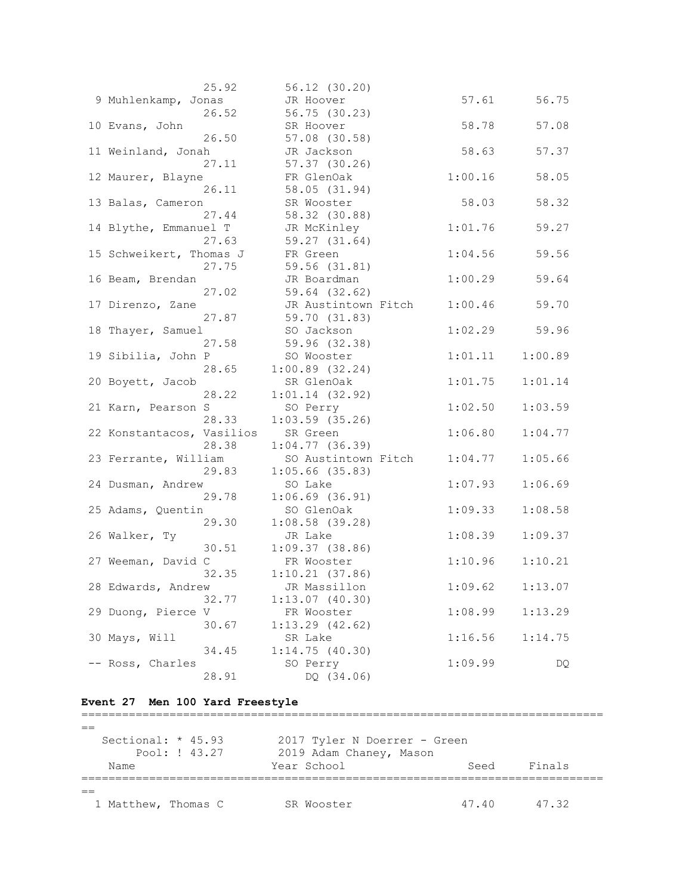| 25.92                       | 56.12 (30.20)                |         |         |
|-----------------------------|------------------------------|---------|---------|
| 9 Muhlenkamp, Jonas         | JR Hoover                    | 57.61   | 56.75   |
| 26.52                       | 56.75 (30.23)                |         |         |
| 10 Evans, John              | SR Hoover                    | 58.78   | 57.08   |
| 26.50                       | 57.08 (30.58)                |         |         |
| 11 Weinland, Jonah          | JR Jackson                   | 58.63   | 57.37   |
| 27.11                       | $57.37$ $(30.26)$            |         |         |
| 12 Maurer, Blayne           | FR GlenOak                   | 1:00.16 | 58.05   |
| 26.11                       | 58.05 (31.94)                |         |         |
| 13 Balas, Cameron           | SR Wooster                   | 58.03   | 58.32   |
| 27.44                       | 58.32 (30.88)                |         |         |
| 14 Blythe, Emmanuel T       | JR McKinley                  | 1:01.76 | 59.27   |
| 27.63                       | 59.27 (31.64)                |         |         |
| 15 Schweikert, Thomas J     | FR Green                     | 1:04.56 | 59.56   |
| 27.75                       | 59.56 (31.81)                |         |         |
| 16 Beam, Brendan            | JR Boardman                  | 1:00.29 | 59.64   |
| 27.02                       | 59.64 (32.62)                |         |         |
| 17 Direnzo, Zane            | JR Austintown Fitch          | 1:00.46 | 59.70   |
| 27.87                       | 59.70 (31.83)                |         |         |
| 18 Thayer, Samuel           | SO Jackson                   | 1:02.29 | 59.96   |
| 27.58                       | 59.96 (32.38)                |         |         |
| 19 Sibilia, John P          | SO Wooster                   | 1:01.11 | 1:00.89 |
| 28.65                       | $1:00.89$ (32.24)            |         |         |
| 20 Boyett, Jacob            | SR GlenOak                   | 1:01.75 | 1:01.14 |
| 28.22                       | $1:01.14$ (32.92)            |         |         |
| 21 Karn, Pearson S          | SO Perry                     | 1:02.50 | 1:03.59 |
| 28.33                       | $1:03.59$ (35.26)            |         |         |
| 22 Konstantacos, Vasilios   | SR Green                     | 1:06.80 | 1:04.77 |
| 28.38                       | $1:04.77$ (36.39)            |         |         |
| 23 Ferrante, William        | SO Austintown Fitch          | 1:04.77 | 1:05.66 |
| 29.83                       | $1:05.66$ (35.83)            |         |         |
| 24 Dusman, Andrew           | SO Lake                      | 1:07.93 | 1:06.69 |
| 29.78                       | $1:06.69$ (36.91)            |         |         |
|                             | SO GlenOak                   | 1:09.33 | 1:08.58 |
| 25 Adams, Quentin<br>29.30  | $1:08.58$ (39.28)            |         |         |
| 26 Walker, Ty               | JR Lake                      | 1:08.39 | 1:09.37 |
| 30.51                       | 1:09.37(38.86)               |         |         |
|                             |                              |         | 1:10.21 |
| 27 Weeman, David C<br>32.35 | FR Wooster<br>1:10.21(37.86) | 1:10.96 |         |
|                             |                              |         |         |
| 28 Edwards, Andrew<br>32.77 | JR Massillon                 | 1:09.62 | 1:13.07 |
| 29 Duong, Pierce V          | 1:13.07(40.30)               | 1:08.99 | 1:13.29 |
|                             | FR Wooster                   |         |         |
| 30.67<br>30 Mays, Will      | $1:13.29$ $(42.62)$          | 1:16.56 |         |
|                             | SR Lake                      |         | 1:14.75 |
| 34.45                       | 1:14.75(40.30)               |         |         |
| -- Ross, Charles<br>28.91   | SO Perry                     | 1:09.99 | DQ      |
|                             | DQ (34.06)                   |         |         |

## **Event 27 Men 100 Yard Freestyle**

| $=$ |                      |                              |       |        |  |
|-----|----------------------|------------------------------|-------|--------|--|
|     | Sectional: $*$ 45.93 | 2017 Tyler N Doerrer - Green |       |        |  |
|     | Pool: ! 43.27        | 2019 Adam Chaney, Mason      |       |        |  |
|     | Name                 | Year School                  | Seed  | Finals |  |
|     |                      |                              |       |        |  |
| $=$ |                      |                              |       |        |  |
|     | 1 Matthew, Thomas C  | SR Wooster                   | 47.40 | 47.32  |  |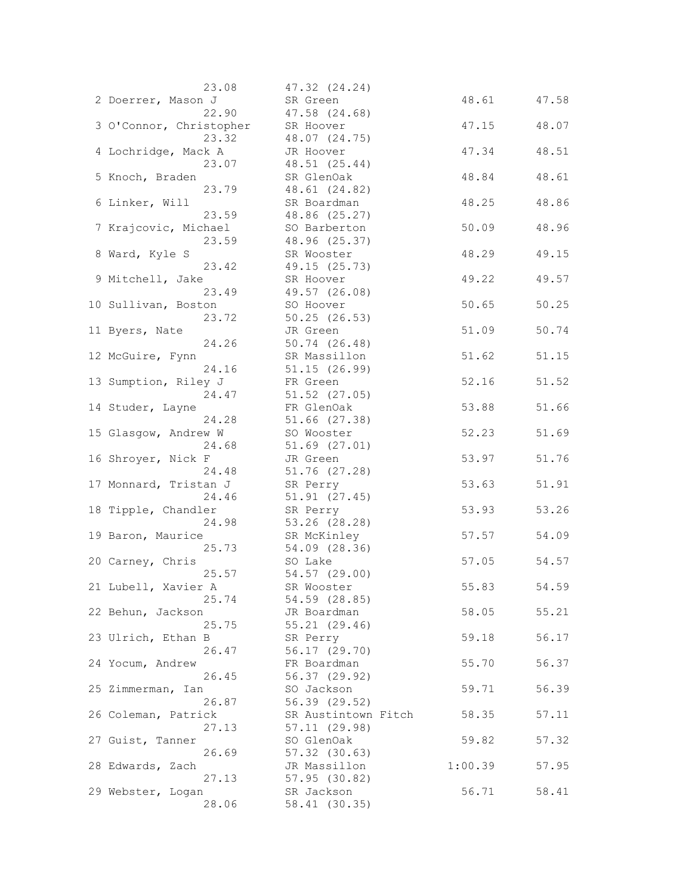| 23.08                   | 47.32 (24.24)       |         |       |
|-------------------------|---------------------|---------|-------|
| 2 Doerrer, Mason J      | SR Green            | 48.61   | 47.58 |
| 22.90                   | 47.58 (24.68)       |         |       |
| 3 O'Connor, Christopher | SR Hoover           | 47.15   | 48.07 |
| 23.32                   | 48.07 (24.75)       |         |       |
| 4 Lochridge, Mack A     | JR Hoover           | 47.34   | 48.51 |
| 23.07                   | 48.51 (25.44)       |         |       |
| 5 Knoch, Braden         | SR GlenOak          | 48.84   | 48.61 |
| 23.79                   | 48.61 (24.82)       |         |       |
| 6 Linker, Will          | SR Boardman         | 48.25   | 48.86 |
| 23.59                   | 48.86 (25.27)       |         |       |
| 7 Krajcovic, Michael    | SO Barberton        | 50.09   | 48.96 |
| 23.59                   | 48.96 (25.37)       |         |       |
|                         |                     | 48.29   | 49.15 |
| 8 Ward, Kyle S<br>23.42 | SR Wooster          |         |       |
|                         | 49.15 (25.73)       |         |       |
| 9 Mitchell, Jake        | SR Hoover           | 49.22   | 49.57 |
| 23.49                   | 49.57 (26.08)       |         |       |
| 10 Sullivan, Boston     | SO Hoover           | 50.65   | 50.25 |
| 23.72                   | 50.25(26.53)        |         |       |
| 11 Byers, Nate          | JR Green            | 51.09   | 50.74 |
| 24.26                   | 50.74 (26.48)       |         |       |
| 12 McGuire, Fynn        | SR Massillon        | 51.62   | 51.15 |
| 24.16                   | 51.15 (26.99)       |         |       |
| 13 Sumption, Riley J    | FR Green            | 52.16   | 51.52 |
| 24.47                   | 51.52 (27.05)       |         |       |
| 14 Studer, Layne        | FR GlenOak          | 53.88   | 51.66 |
| 24.28                   | 51.66 (27.38)       |         |       |
| 15 Glasgow, Andrew W    | SO Wooster          | 52.23   | 51.69 |
| 24.68                   | 51.69 (27.01)       |         |       |
| 16 Shroyer, Nick F      | JR Green            | 53.97   | 51.76 |
| 24.48                   | 51.76 (27.28)       |         |       |
| 17 Monnard, Tristan J   | SR Perry            | 53.63   | 51.91 |
| 24.46                   | 51.91 (27.45)       |         |       |
| 18 Tipple, Chandler     | SR Perry            | 53.93   | 53.26 |
| 24.98                   | 53.26 (28.28)       |         |       |
| 19 Baron, Maurice       | SR McKinley         | 57.57   | 54.09 |
| 25.73                   | 54.09 (28.36)       |         |       |
| 20 Carney, Chris        | SO Lake             | 57.05   | 54.57 |
| 25.57                   | 54.57 (29.00)       |         |       |
| 21 Lubell, Xavier A     | SR Wooster          | 55.83   | 54.59 |
| 25.74                   | 54.59 (28.85)       |         |       |
| 22 Behun, Jackson       | JR Boardman         | 58.05   | 55.21 |
| 25.75                   | 55.21 (29.46)       |         |       |
| 23 Ulrich, Ethan B      | SR Perry            | 59.18   | 56.17 |
| 26.47                   | 56.17 (29.70)       |         |       |
| 24 Yocum, Andrew        | FR Boardman         | 55.70   | 56.37 |
| 26.45                   | 56.37 (29.92)       |         |       |
| 25 Zimmerman, Ian       | SO Jackson          | 59.71   | 56.39 |
| 26.87                   | 56.39 (29.52)       |         |       |
| 26 Coleman, Patrick     | SR Austintown Fitch | 58.35   | 57.11 |
| 27.13                   | 57.11 (29.98)       |         |       |
| 27 Guist, Tanner        | SO GlenOak          | 59.82   | 57.32 |
| 26.69                   | $57.32$ $(30.63)$   |         |       |
| 28 Edwards, Zach        | JR Massillon        | 1:00.39 | 57.95 |
| 27.13                   | 57.95 (30.82)       |         |       |
| 29 Webster, Logan       | SR Jackson          | 56.71   | 58.41 |
| 28.06                   | 58.41 (30.35)       |         |       |
|                         |                     |         |       |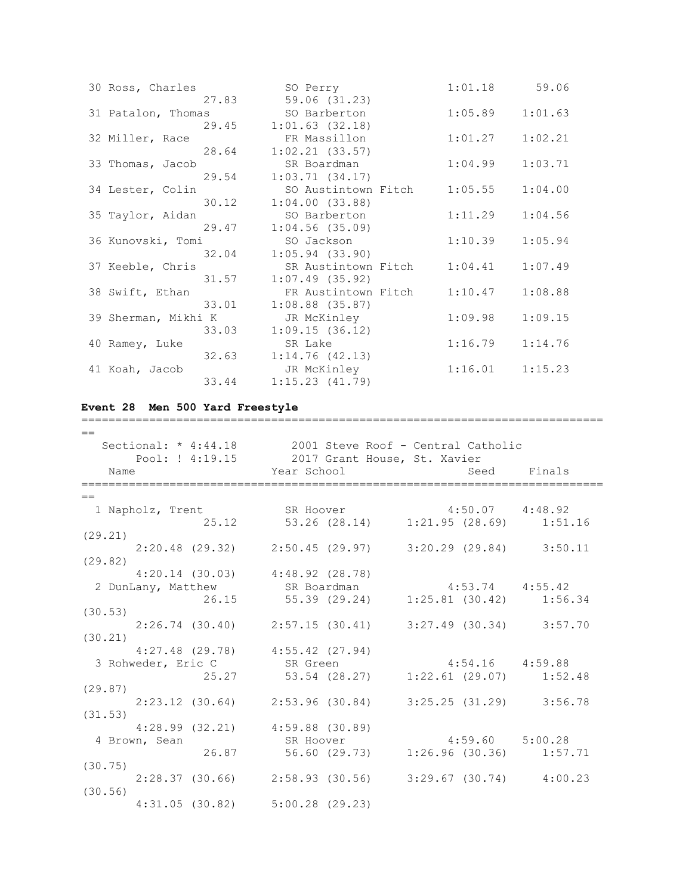| 30 Ross, Charles    |       | SO Perry            | 1:01.18 | 59.06   |
|---------------------|-------|---------------------|---------|---------|
|                     | 27.83 | 59.06 (31.23)       |         |         |
| 31 Patalon, Thomas  |       | SO Barberton        | 1:05.89 | 1:01.63 |
|                     | 29.45 | $1:01.63$ $(32.18)$ |         |         |
| 32 Miller, Race     |       | FR Massillon        | 1:01.27 | 1:02.21 |
|                     | 28.64 | 1:02.21(33.57)      |         |         |
| 33 Thomas, Jacob    |       | SR Boardman         | 1:04.99 | 1:03.71 |
|                     | 29.54 | 1:03.71(34.17)      |         |         |
| 34 Lester, Colin    |       | SO Austintown Fitch | 1:05.55 | 1:04.00 |
|                     | 30.12 | 1:04.00(33.88)      |         |         |
| 35 Taylor, Aidan    |       | SO Barberton        | 1:11.29 | 1:04.56 |
|                     | 29.47 | $1:04.56$ (35.09)   |         |         |
| 36 Kunovski, Tomi   |       | SO Jackson          | 1:10.39 | 1:05.94 |
|                     | 32.04 | $1:05.94$ (33.90)   |         |         |
| 37 Keeble, Chris    |       | SR Austintown Fitch | 1:04.41 | 1:07.49 |
|                     | 31.57 | $1:07.49$ (35.92)   |         |         |
| 38 Swift, Ethan     |       | FR Austintown Fitch | 1:10.47 | 1:08.88 |
|                     | 33.01 | $1:08.88$ $(35.87)$ |         |         |
| 39 Sherman, Mikhi K |       | JR McKinley         | 1:09.98 | 1:09.15 |
|                     | 33.03 | 1:09.15(36.12)      |         |         |
| 40 Ramey, Luke      |       | SR Lake             | 1:16.79 | 1:14.76 |
|                     | 32.63 | 1:14.76(42.13)      |         |         |
| 41 Koah, Jacob      |       | JR McKinley         | 1:16.01 | 1:15.23 |
|                     | 33.44 | 1:15.23(41.79)      |         |         |

## **Event 28 Men 500 Yard Freestyle**

| $=$     |                  |                      |                                                                 |           |                                    |                                                                 |
|---------|------------------|----------------------|-----------------------------------------------------------------|-----------|------------------------------------|-----------------------------------------------------------------|
|         |                  | Sectional: * 4:44.18 |                                                                 |           | 2001 Steve Roof - Central Catholic |                                                                 |
|         |                  | Pool: ! 4:19.15      |                                                                 |           | 2017 Grant House, St. Xavier       |                                                                 |
| Name    |                  |                      | Year School                                                     |           |                                    | Seed Finals                                                     |
| $=$     |                  |                      |                                                                 |           |                                    |                                                                 |
|         | 1 Napholz, Trent |                      | SR Hoover 4:50.07 4:48.92                                       |           |                                    |                                                                 |
|         |                  |                      |                                                                 |           |                                    | 25.12 53.26 (28.14) 1:21.95 (28.69) 1:51.16                     |
| (29.21) |                  |                      |                                                                 |           |                                    |                                                                 |
|         |                  |                      |                                                                 |           |                                    | $2:20.48$ (29.32) $2:50.45$ (29.97) $3:20.29$ (29.84) $3:50.11$ |
| (29.82) |                  |                      |                                                                 |           |                                    |                                                                 |
|         |                  |                      | $4:20.14$ (30.03) $4:48.92$ (28.78)                             |           |                                    |                                                                 |
|         |                  | 2 DunLany, Matthew   | SR Boardman                                                     |           | $4:53.74$ $4:55.42$                |                                                                 |
|         |                  |                      | 26.15 55.39 (29.24) 1:25.81 (30.42) 1:56.34                     |           |                                    |                                                                 |
| (30.53) |                  |                      |                                                                 |           |                                    |                                                                 |
|         |                  |                      | $2:26.74$ (30.40) $2:57.15$ (30.41) $3:27.49$ (30.34) $3:57.70$ |           |                                    |                                                                 |
| (30.21) |                  |                      |                                                                 |           |                                    |                                                                 |
|         |                  |                      | $4:27.48$ (29.78) $4:55.42$ (27.94)                             |           |                                    |                                                                 |
|         |                  |                      | 3 Rohweder, Eric C SR Green                                     |           |                                    | $4:54.16$ $4:59.88$                                             |
|         |                  |                      | 25.27 53.54 (28.27) 1:22.61 (29.07) 1:52.48                     |           |                                    |                                                                 |
| (29.87) |                  |                      |                                                                 |           |                                    |                                                                 |
|         |                  |                      | $2:23.12$ (30.64) $2:53.96$ (30.84) $3:25.25$ (31.29) $3:56.78$ |           |                                    |                                                                 |
| (31.53) |                  |                      |                                                                 |           |                                    |                                                                 |
|         |                  |                      | $4:28.99$ $(32.21)$ $4:59.88$ $(30.89)$                         |           |                                    |                                                                 |
|         | 4 Brown, Sean    |                      |                                                                 | SR Hoover | $4:59.60$ $5:00.28$                |                                                                 |
|         |                  |                      | 26.87 56.60 (29.73)                                             |           |                                    | $1:26.96$ (30.36) $1:57.71$                                     |
| (30.75) |                  |                      |                                                                 |           |                                    |                                                                 |
|         |                  |                      |                                                                 |           |                                    | $2:28.37$ (30.66) $2:58.93$ (30.56) $3:29.67$ (30.74) $4:00.23$ |
| (30.56) |                  |                      |                                                                 |           |                                    |                                                                 |
|         |                  |                      | $4:31.05$ (30.82) $5:00.28$ (29.23)                             |           |                                    |                                                                 |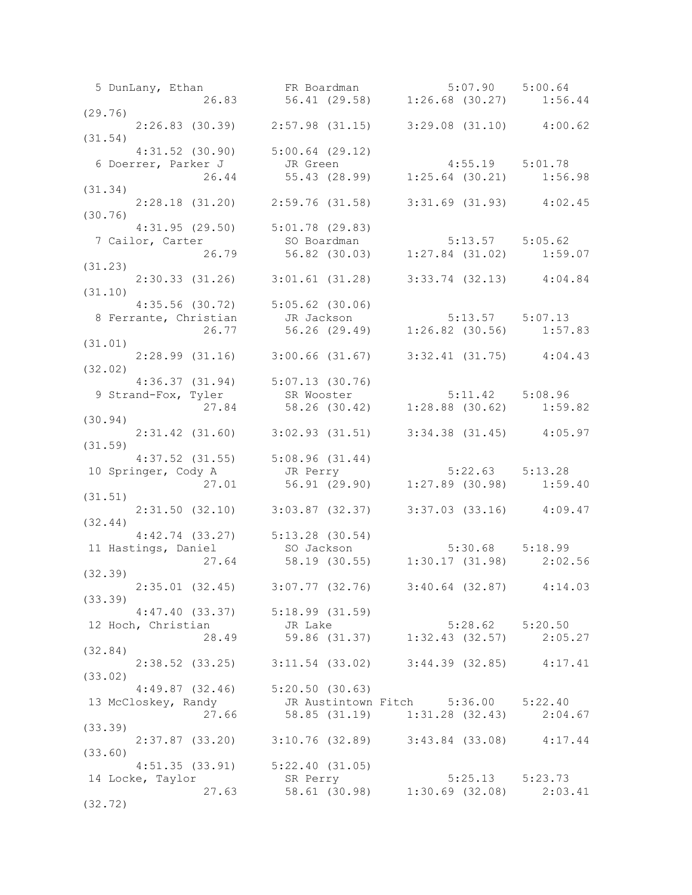|                    |  |                                         |  | 5 DunLany, Ethan FR Boardman 5:07.90 5:00.64<br>26.83 56.41 (29.58) 1:26.68 (30.27) 1:56.44                                        |  |  |
|--------------------|--|-----------------------------------------|--|------------------------------------------------------------------------------------------------------------------------------------|--|--|
| (29.76)            |  |                                         |  |                                                                                                                                    |  |  |
|                    |  |                                         |  | $2:26.83$ (30.39) $2:57.98$ (31.15) $3:29.08$ (31.10) $4:00.62$                                                                    |  |  |
| (31.54)            |  |                                         |  |                                                                                                                                    |  |  |
|                    |  | $4:31.52$ (30.90) $5:00.64$ (29.12)     |  |                                                                                                                                    |  |  |
|                    |  |                                         |  |                                                                                                                                    |  |  |
|                    |  |                                         |  | 6 Doerrer, Parker J<br>26.44 55.43 (28.99) 1:25.64 (30.21) 1:56.98                                                                 |  |  |
|                    |  |                                         |  |                                                                                                                                    |  |  |
| (31.34)            |  |                                         |  |                                                                                                                                    |  |  |
|                    |  |                                         |  | 2:28.18 (31.20) 2:59.76 (31.58) 3:31.69 (31.93) 4:02.45                                                                            |  |  |
| (30.76)            |  |                                         |  |                                                                                                                                    |  |  |
|                    |  | 4:31.95 (29.50) 5:01.78 (29.83)         |  |                                                                                                                                    |  |  |
|                    |  |                                         |  |                                                                                                                                    |  |  |
|                    |  |                                         |  | 4:31.95 (29.50) 5:01.78 (29.83)<br>7 Cailor, Carter 50 Boardman 5:13.57 5:05.62<br>26.79 56.82 (30.03) 1:27.84 (31.02) 1:59.07     |  |  |
| (31.23)            |  |                                         |  |                                                                                                                                    |  |  |
|                    |  |                                         |  | $2:30.33$ (31.26) $3:01.61$ (31.28) $3:33.74$ (32.13) $4:04.84$                                                                    |  |  |
| (31.10)            |  |                                         |  |                                                                                                                                    |  |  |
|                    |  |                                         |  | 4:35.56 (30.72) 5:05.62 (30.06)<br>8 Ferrante, Christian JR Jackson 5:13.57 5:07.13<br>26.77 56.26 (29.49) 1:26.82 (30.56) 1:57.83 |  |  |
|                    |  |                                         |  |                                                                                                                                    |  |  |
|                    |  |                                         |  |                                                                                                                                    |  |  |
| (31.01)            |  |                                         |  |                                                                                                                                    |  |  |
|                    |  |                                         |  | $2:28.99$ (31.16) 3:00.66 (31.67) 3:32.41 (31.75) 4:04.43                                                                          |  |  |
|                    |  |                                         |  |                                                                                                                                    |  |  |
| (32.02)            |  |                                         |  |                                                                                                                                    |  |  |
|                    |  | $4:36.37$ $(31.94)$ $5:07.13$ $(30.76)$ |  |                                                                                                                                    |  |  |
|                    |  |                                         |  |                                                                                                                                    |  |  |
|                    |  |                                         |  |                                                                                                                                    |  |  |
| (30.94)            |  |                                         |  |                                                                                                                                    |  |  |
|                    |  |                                         |  | $2:31.42$ (31.60) $3:02.93$ (31.51) $3:34.38$ (31.45) $4:05.97$                                                                    |  |  |
| (31.59)            |  |                                         |  |                                                                                                                                    |  |  |
|                    |  |                                         |  | 4:37.52 (31.55) 5:08.96 (31.44)<br>10 Springer, Cody A a JR Perry 5:22.63 5:13.28<br>27.01 56.91 (29.90) 1:27.89 (30.98) 1:59.40   |  |  |
|                    |  |                                         |  |                                                                                                                                    |  |  |
|                    |  |                                         |  |                                                                                                                                    |  |  |
| (31.51)            |  |                                         |  |                                                                                                                                    |  |  |
|                    |  |                                         |  | 2:31.50 (32.10) 3:03.87 (32.37) 3:37.03 (33.16) 4:09.47                                                                            |  |  |
| (32.44)            |  |                                         |  |                                                                                                                                    |  |  |
|                    |  |                                         |  |                                                                                                                                    |  |  |
|                    |  | 11 Hastings, Daniel SO Jackson          |  |                                                                                                                                    |  |  |
|                    |  |                                         |  | 4:42.74 (33.27) 5:13.28 (30.54)<br>so Jackson 5:30.68 5:18.99<br>27.64 58.19 (30.55) 1:30.17 (31.98) 2:02.56                       |  |  |
| (32.39)            |  |                                         |  |                                                                                                                                    |  |  |
|                    |  |                                         |  | 2:35.01 (32.45) 3:07.77 (32.76) 3:40.64 (32.87) 4:14.03                                                                            |  |  |
|                    |  |                                         |  |                                                                                                                                    |  |  |
| (33.39)            |  |                                         |  |                                                                                                                                    |  |  |
|                    |  | $4:47.40$ (33.37) $5:18.99$ (31.59)     |  |                                                                                                                                    |  |  |
| 12 Hoch, Christian |  |                                         |  | 1.32.49 JR Lake 5:28.62 5:20.50<br>28.49 59.86 (31.37) 1:32.43 (32.57) 2:05.27                                                     |  |  |
|                    |  |                                         |  |                                                                                                                                    |  |  |
| (32.84)            |  |                                         |  |                                                                                                                                    |  |  |
|                    |  |                                         |  | $2:38.52$ (33.25) $3:11.54$ (33.02) $3:44.39$ (32.85) $4:17.41$                                                                    |  |  |
| (33.02)            |  |                                         |  |                                                                                                                                    |  |  |
|                    |  |                                         |  |                                                                                                                                    |  |  |
|                    |  |                                         |  |                                                                                                                                    |  |  |
|                    |  |                                         |  | 4:49.87 (32.46) 5:20.50 (30.63)<br>13 McCloskey, Randy 5:36.00 5:22.40<br>27.66 58.85 (31.19) 1:31.28 (32.43) 2:04.67              |  |  |
| (33.39)            |  |                                         |  |                                                                                                                                    |  |  |
|                    |  |                                         |  | 2:37.87 (33.20) 3:10.76 (32.89) 3:43.84 (33.08) 4:17.44                                                                            |  |  |
| (33.60)            |  |                                         |  |                                                                                                                                    |  |  |
|                    |  | $4:51.35$ (33.91) $5:22.40$ (31.05)     |  |                                                                                                                                    |  |  |
|                    |  |                                         |  |                                                                                                                                    |  |  |
|                    |  |                                         |  | 14 Locke, Taylor 58.61 (30.98) 5:25.13 5:23.73<br>27.63 58.61 (30.98) 1:30.69 (32.08) 2:03.41                                      |  |  |
| (32.72)            |  |                                         |  |                                                                                                                                    |  |  |
|                    |  |                                         |  |                                                                                                                                    |  |  |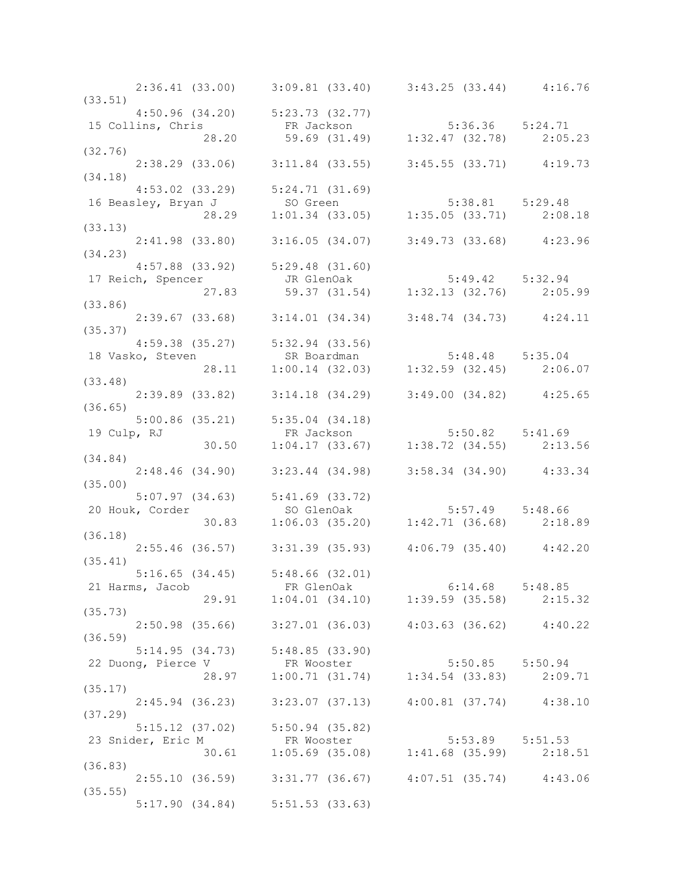|         |                 | 2:36.41 (33.00) 3:09.81 (33.40) 3:43.25 (33.44) 4:16.76                                                                          |  |
|---------|-----------------|----------------------------------------------------------------------------------------------------------------------------------|--|
| (33.51) |                 |                                                                                                                                  |  |
|         |                 | 4:50.96 (34.20) 5:23.73 (32.77)                                                                                                  |  |
|         |                 | 15 Collins, Chris FR Jackson<br>28.20 59.69 (31.49) 1:32.47 (32.78) 2:05.23                                                      |  |
|         |                 |                                                                                                                                  |  |
| (32.76) |                 |                                                                                                                                  |  |
|         |                 | 2:38.29 (33.06) 3:11.84 (33.55) 3:45.55 (33.71) 4:19.73                                                                          |  |
| (34.18) |                 |                                                                                                                                  |  |
|         |                 | 4:53.02 (33.29) 5:24.71 (31.69)                                                                                                  |  |
|         |                 |                                                                                                                                  |  |
|         |                 | 4:53.02 (33.29) 5:24.71 (31.09)<br>16 Beasley, Bryan J so Green 5:38.81 5:29.48<br>28.29 1:01.34 (33.05) 1:35.05 (33.71) 2:08.18 |  |
| (33.13) |                 |                                                                                                                                  |  |
|         |                 | $2:41.98$ (33.80) $3:16.05$ (34.07) $3:49.73$ (33.68) $4:23.96$                                                                  |  |
| (34.23) |                 |                                                                                                                                  |  |
|         |                 |                                                                                                                                  |  |
|         |                 |                                                                                                                                  |  |
|         |                 | 4:57.88 (33.92) 5:29.48 (31.60)<br>17 Reich, Spencer JR GlenOak 5:49.42 5:32.94<br>27.83 59.37 (31.54) 1:32.13 (32.76) 2:05.99   |  |
|         |                 |                                                                                                                                  |  |
| (33.86) |                 |                                                                                                                                  |  |
|         |                 | $2:39.67$ (33.68) $3:14.01$ (34.34) $3:48.74$ (34.73) $4:24.11$                                                                  |  |
| (35.37) |                 |                                                                                                                                  |  |
|         |                 |                                                                                                                                  |  |
|         |                 |                                                                                                                                  |  |
|         |                 | 4:59.38 (35.27) 5:32.94 (33.56)<br>18 Vasko, Steven SR Boardman 5:48.48 5:35.04<br>28.11 1:00.14 (32.03) 1:32.59 (32.45) 2:06.07 |  |
| (33.48) |                 |                                                                                                                                  |  |
|         |                 | $2:39.89$ (33.82) $3:14.18$ (34.29) $3:49.00$ (34.82) $4:25.65$                                                                  |  |
| (36.65) |                 |                                                                                                                                  |  |
|         |                 | 5:00.86 (35.21) 5:35.04 (34.18)<br>19 Culp, RJ ER Jackson 5:50.82 5:41.69<br>30.50 1:04.17 (33.67) 1:38.72 (34.55) 2:13.56       |  |
|         |                 |                                                                                                                                  |  |
|         |                 |                                                                                                                                  |  |
| (34.84) |                 |                                                                                                                                  |  |
|         |                 | $2:48.46$ (34.90) $3:23.44$ (34.98) $3:58.34$ (34.90) $4:33.34$                                                                  |  |
| (35.00) |                 |                                                                                                                                  |  |
|         |                 |                                                                                                                                  |  |
|         |                 |                                                                                                                                  |  |
|         | 20 Houk, Corder | 5:07.97 (34.63) 5:41.69 (33.72)<br>20 Houk, Corder so GlenOak 5:57.49 5:48.66<br>30.83 1:06.03 (35.20) 1:42.71 (36.68) 2:18.89   |  |
|         |                 |                                                                                                                                  |  |
| (36.18) |                 |                                                                                                                                  |  |
|         |                 | $2:55.46$ (36.57) 3:31.39 (35.93) 4:06.79 (35.40) 4:42.20                                                                        |  |
| (35.41) |                 |                                                                                                                                  |  |
|         |                 | $5:16.65$ (34.45) $5:48.66$ (32.01)                                                                                              |  |
|         |                 | 21 Harms, Jacob FR GlenOak 6:14.68 5:48.85<br>29.91 1:04.01 (34.10) 1:39.59 (35.58) 2:15.32                                      |  |
|         |                 |                                                                                                                                  |  |
| (35.73) |                 |                                                                                                                                  |  |
|         |                 | $2:50.98$ (35.66) $3:27.01$ (36.03) $4:03.63$ (36.62) $4:40.22$                                                                  |  |
| (36.59) |                 |                                                                                                                                  |  |
|         |                 | $5:14.95$ (34.73) $5:48.85$ (33.90)                                                                                              |  |
|         |                 | 22 Duong, Pierce V<br>28.97 1:00.71 (31.74) 1:34.54 (33.83) 2:09.71                                                              |  |
|         |                 |                                                                                                                                  |  |
| (35.17) |                 |                                                                                                                                  |  |
|         |                 | $2:45.94$ (36.23) $3:23.07$ (37.13) $4:00.81$ (37.74) $4:38.10$                                                                  |  |
| (37.29) |                 |                                                                                                                                  |  |
|         |                 | $5:15.12$ (37.02) $5:50.94$ (35.82)                                                                                              |  |
|         |                 |                                                                                                                                  |  |
|         |                 | 23 Snider, Eric M<br>30.61 FR Wooster 5:53.89 5:51.53<br>30.61 1:05.69 (35.08) 1:41.68 (35.99) 2:18.51                           |  |
|         |                 |                                                                                                                                  |  |
| (36.83) |                 |                                                                                                                                  |  |
|         |                 | $2:55.10$ (36.59) $3:31.77$ (36.67) $4:07.51$ (35.74) $4:43.06$                                                                  |  |
| (35.55) |                 |                                                                                                                                  |  |
|         |                 | $5:17.90$ $(34.84)$ $5:51.53$ $(33.63)$                                                                                          |  |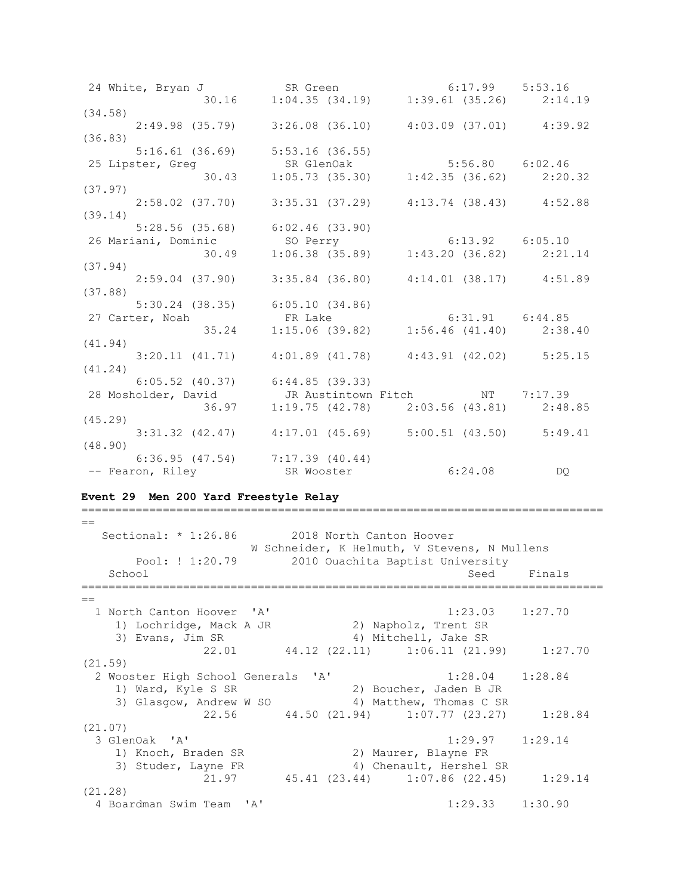24 White, Bryan J SR Green 6:17.99 5:53.16 30.16 1:04.35 (34.19) 1:39.61 (35.26) 2:14.19 (34.58) 2:49.98 (35.79) 3:26.08 (36.10) 4:03.09 (37.01) 4:39.92 (36.83) 5:16.61 (36.69) 5:53.16 (36.55) 25 Lipster, Greg SR GlenOak 5:56.80 6:02.46 30.43 1:05.73 (35.30) 1:42.35 (36.62) 2:20.32 (37.97) 2:58.02 (37.70) 3:35.31 (37.29) 4:13.74 (38.43) 4:52.88 (39.14) 5:28.56 (35.68) 6:02.46 (33.90) 26 Mariani, Dominic SO Perry 6:13.92 6:05.10 30.49 1:06.38 (35.89) 1:43.20 (36.82) 2:21.14 (37.94) 2:59.04 (37.90) 3:35.84 (36.80) 4:14.01 (38.17) 4:51.89 (37.88) 5:30.24 (38.35) 6:05.10 (34.86) 27 Carter, Noah FR Lake 6:31.91 6:44.85 35.24 1:15.06 (39.82) 1:56.46 (41.40) 2:38.40 (41.94) 3:20.11 (41.71) 4:01.89 (41.78) 4:43.91 (42.02) 5:25.15 (41.24) 6:05.52 (40.37) 6:44.85 (39.33) 28 Mosholder, David JR Austintown Fitch NT 7:17.39 36.97 1:19.75 (42.78) 2:03.56 (43.81) 2:48.85 (45.29) 3:31.32 (42.47) 4:17.01 (45.69) 5:00.51 (43.50) 5:49.41 (48.90) 6:36.95 (47.54) 7:17.39 (40.44) -- Fearon, Riley SR Wooster 6:24.08 DQ

#### **Event 29 Men 200 Yard Freestyle Relay**

== Sectional: \* 1:26.86 2018 North Canton Hoover W Schneider, K Helmuth, V Stevens, N Mullens Pool: ! 1:20.79 2010 Ouachita Baptist University School School Seed Finals ============================================================================= == 1 North Canton Hoover 'A' 1:23.03 1:27.70 1) Lochridge, Mack A JR 2) Napholz, Trent SR 3) Evans, Jim SR 4) Mitchell, Jake SR 22.01 44.12 (22.11) 1:06.11 (21.99) 1:27.70 (21.59) 2 Wooster High School Generals 'A' 1:28.04 1:28.84 1) Ward, Kyle S SR 2) Boucher, Jaden B JR 3) Glasgow, Andrew W SO 4) Matthew, Thomas C SR 22.56 44.50 (21.94) 1:07.77 (23.27) 1:28.84  $(21.07)$ <br>3 GlenOak 'A' 3 GlenOak 'A' 1:29.97 1:29.14 1) Knoch, Braden SR 2) Maurer, Blayne FR 3) Studer, Layne FR 4) Chenault, Hershel SR 21.97 45.41 (23.44) 1:07.86 (22.45) 1:29.14 (21.28) 4 Boardman Swim Team 'A' 1:29.33 1:30.90

=============================================================================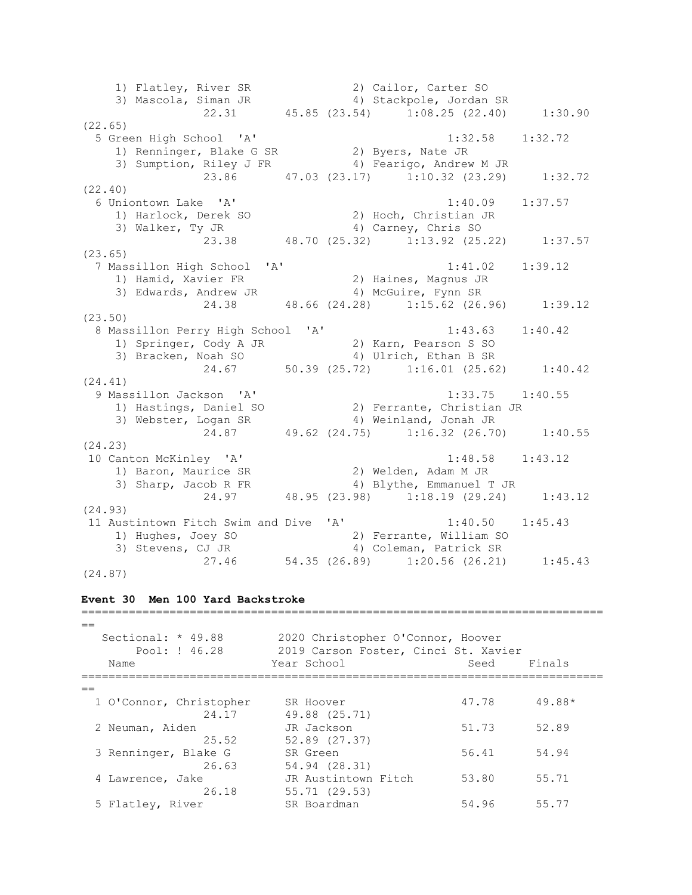1) Flatley, River SR 2) Cailor, Carter SO 3) Mascola, Siman JR 4) Stackpole, Jordan SR 22.31 45.85 (23.54) 1:08.25 (22.40) 1:30.90 (22.65) 5 Green High School 'A' 1:32.58 1:32.72 1) Renninger, Blake G SR 2) Byers, Nate JR 3) Sumption, Riley J FR 4) Fearigo, Andrew M JR 23.86 47.03 (23.17) 1:10.32 (23.29) 1:32.72 (22.40) 6 Uniontown Lake 'A' 1:40.09 1:37.57 1) Harlock, Derek SO 2) Hoch, Christian JR 3) Walker, Ty JR 4) Carney, Chris SO 23.38 48.70 (25.32) 1:13.92 (25.22) 1:37.57 (23.65) 7 Massillon High School 'A' 1:41.02 1:39.12 1) Hamid, Xavier FR 2) Haines, Magnus JR 3) Edwards, Andrew JR 4) McGuire, Fynn SR 24.38 48.66 (24.28) 1:15.62 (26.96) 1:39.12 (23.50) 8 Massillon Perry High School 'A' 1:43.63 1:40.42 1) Springer, Cody A JR 2) Karn, Pearson S SO 3) Bracken, Noah SO 4) Ulrich, Ethan B SR 24.67 50.39 (25.72) 1:16.01 (25.62) 1:40.42 (24.41) 9 Massillon Jackson 'A' 1:33.75 1:40.55 1) Hastings, Daniel SO 2) Ferrante, Christian JR 3) Webster, Logan SR 4) Weinland, Jonah JR 24.87 49.62 (24.75) 1:16.32 (26.70) 1:40.55 (24.23) 10 Canton McKinley 'A' 1:48.58 1:43.12 1) Baron, Maurice SR 2) Welden, Adam M JR 3) Sharp, Jacob R FR 4) Blythe, Emmanuel T JR 24.97 48.95 (23.98) 1:18.19 (29.24) 1:43.12 (24.93) 11 Austintown Fitch Swim and Dive 'A' 1:40.50 1:45.43 1) Hughes, Joey SO 2) Ferrante, William SO 3) Stevens, CJ JR 4) Coleman, Patrick SR 27.46 54.35 (26.89) 1:20.56 (26.21) 1:45.43

```
(24.87)
```
#### **Event 30 Men 100 Yard Backstroke**

=============================================================================  $=$  Sectional: \* 49.88 2020 Christopher O'Connor, Hoover Pool: ! 46.28 2019 Carson Foster, Cinci St. Xavier Name Seed Finals (Name Seed Finals ============================================================================= == 1 O'Connor, Christopher SR Hoover 47.78 49.88\* 24.17 49.88 (25.71) 2 Neuman, Aiden JR Jackson 51.73 52.89 25.52 52.89 (27.37) 3 Renninger, Blake G SR Green 56.41 54.94 26.63 54.94 (28.31) 4 Lawrence, Jake JR Austintown Fitch 53.80 55.71 26.18 55.71 (29.53) 5 Flatley, River SR Boardman 54.96 55.77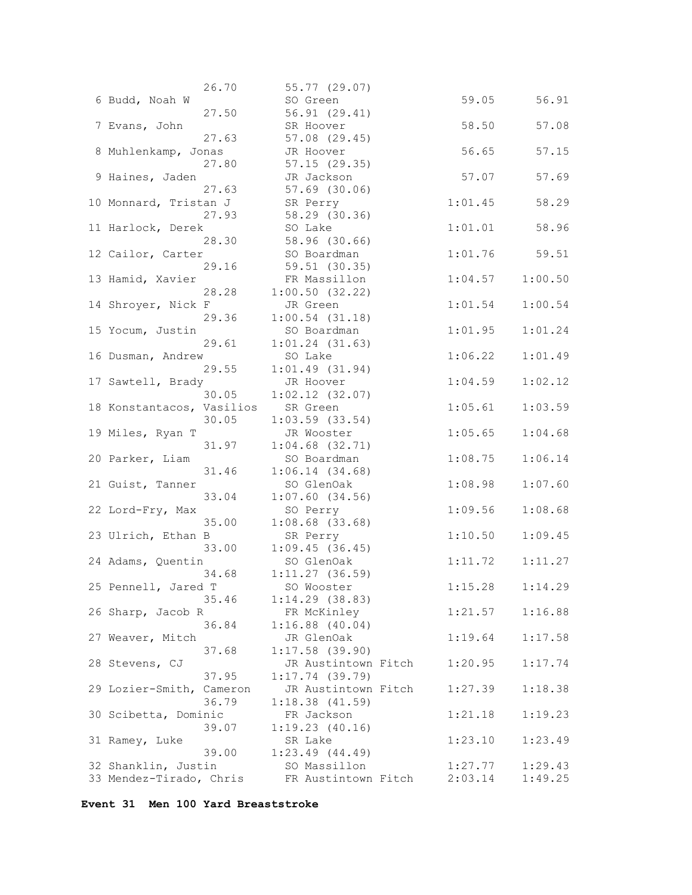| 26.70                      | 55.77 (29.07)       |         |         |
|----------------------------|---------------------|---------|---------|
| 6 Budd, Noah W             | SO Green            | 59.05   | 56.91   |
| 27.50                      | 56.91(29.41)        |         |         |
| 7 Evans, John              | SR Hoover           | 58.50   | 57.08   |
| 27.63                      | 57.08 (29.45)       |         |         |
| 8 Muhlenkamp, Jonas        | JR Hoover           | 56.65   | 57.15   |
| 27.80                      | 57.15(29.35)        |         |         |
| 9 Haines, Jaden            | JR Jackson          | 57.07   | 57.69   |
| 27.63                      | 57.69 (30.06)       |         |         |
| 10 Monnard, Tristan J      | SR Perry            | 1:01.45 | 58.29   |
| 27.93                      | 58.29 (30.36)       |         |         |
| 11 Harlock, Derek          | SO Lake             | 1:01.01 | 58.96   |
| 28.30                      | 58.96 (30.66)       |         |         |
|                            | SO Boardman         | 1:01.76 | 59.51   |
| 12 Cailor, Carter<br>29.16 |                     |         |         |
|                            | 59.51 (30.35)       |         |         |
| 13 Hamid, Xavier           | FR Massillon        | 1:04.57 | 1:00.50 |
| 28.28                      | 1:00.50(32.22)      |         |         |
| 14 Shroyer, Nick F         | JR Green            | 1:01.54 | 1:00.54 |
| 29.36                      | $1:00.54$ (31.18)   |         |         |
| 15 Yocum, Justin           | SO Boardman         | 1:01.95 | 1:01.24 |
| 29.61                      | $1:01.24$ $(31.63)$ |         |         |
| 16 Dusman, Andrew          | SO Lake             | 1:06.22 | 1:01.49 |
| 29.55                      | 1:01.49(31.94)      |         |         |
| 17 Sawtell, Brady          | JR Hoover           | 1:04.59 | 1:02.12 |
| 30.05                      | $1:02.12$ (32.07)   |         |         |
| 18 Konstantacos, Vasilios  | SR Green            | 1:05.61 | 1:03.59 |
| 30.05                      | $1:03.59$ (33.54)   |         |         |
| 19 Miles, Ryan T           | JR Wooster          | 1:05.65 | 1:04.68 |
| 31.97                      | $1:04.68$ (32.71)   |         |         |
| 20 Parker, Liam            | SO Boardman         | 1:08.75 | 1:06.14 |
| 31.46                      | 1:06.14(34.68)      |         |         |
| 21 Guist, Tanner           | SO GlenOak          | 1:08.98 | 1:07.60 |
| 33.04                      | $1:07.60$ (34.56)   |         |         |
| 22 Lord-Fry, Max           | SO Perry            | 1:09.56 | 1:08.68 |
| 35.00                      | $1:08.68$ (33.68)   |         |         |
| 23 Ulrich, Ethan B         | SR Perry            | 1:10.50 | 1:09.45 |
| 33.00                      | 1:09.45(36.45)      |         |         |
| 24 Adams, Quentin          | SO GlenOak          | 1:11.72 | 1:11.27 |
| 34.68                      | $1:11.27$ (36.59)   |         |         |
| 25 Pennell, Jared T        | SO Wooster          | 1:15.28 | 1:14.29 |
| 35.46                      | $1:14.29$ (38.83)   |         |         |
| 26 Sharp, Jacob R          | FR McKinley         | 1:21.57 | 1:16.88 |
| 36.84                      | $1:16.88$ $(40.04)$ |         |         |
|                            |                     | 1:19.64 |         |
| 27 Weaver, Mitch           | JR GlenOak          |         | 1:17.58 |
| 37.68                      | $1:17.58$ (39.90)   |         |         |
| 28 Stevens, CJ             | JR Austintown Fitch | 1:20.95 | 1:17.74 |
| 37.95                      | $1:17.74$ (39.79)   |         |         |
| 29 Lozier-Smith, Cameron   | JR Austintown Fitch | 1:27.39 | 1:18.38 |
| 36.79                      | 1:18.38(41.59)      |         |         |
| 30 Scibetta, Dominic       | FR Jackson          | 1:21.18 | 1:19.23 |
| 39.07                      | 1:19.23(40.16)      |         |         |
| 31 Ramey, Luke             | SR Lake             | 1:23.10 | 1:23.49 |
| 39.00                      | $1:23.49$ $(44.49)$ |         |         |
| 32 Shanklin, Justin        | SO Massillon        | 1:27.77 | 1:29.43 |
| 33 Mendez-Tirado, Chris    | FR Austintown Fitch | 2:03.14 | 1:49.25 |

**Event 31 Men 100 Yard Breaststroke**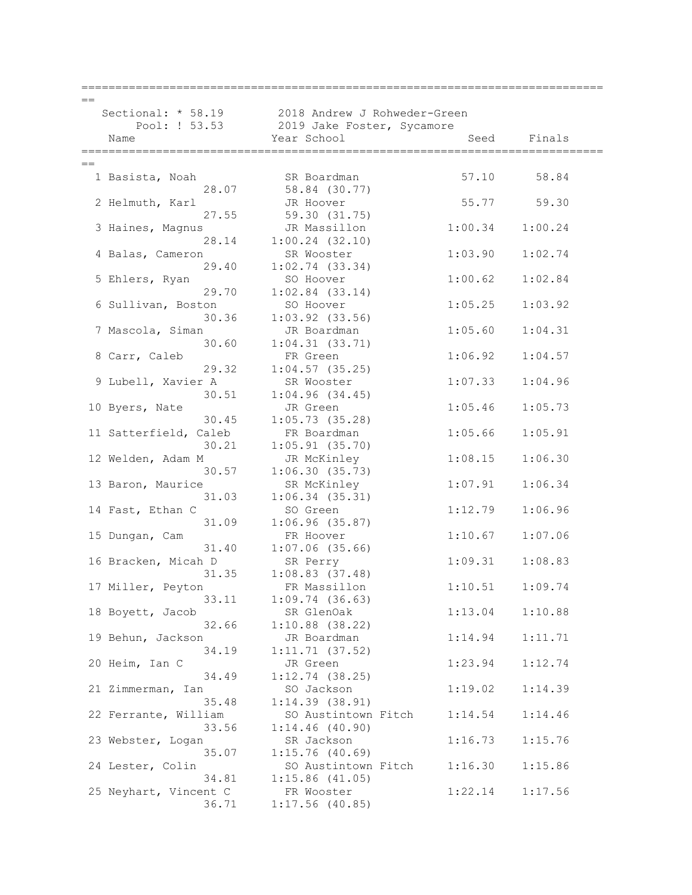|      | ===================       |                                                 |         |         |
|------|---------------------------|-------------------------------------------------|---------|---------|
|      |                           |                                                 |         |         |
|      |                           | Sectional: * 58.19 2018 Andrew J Rohweder-Green |         |         |
|      |                           | Pool: ! 53.53 2019 Jake Foster, Sycamore        |         |         |
|      | Name                      | Year School                                     | Seed    | Finals  |
|      |                           |                                                 |         |         |
| $==$ |                           |                                                 |         |         |
|      | 1 Basista, Noah           | SR Boardman                                     | 57.10   | 58.84   |
|      | 28.07                     | 58.84 (30.77)                                   |         |         |
|      | 2 Helmuth, Karl           | JR Hoover                                       | 55.77   | 59.30   |
|      | 27.55                     | 59.30 (31.75)                                   |         |         |
|      | 3 Haines, Magnus          | JR Massillon                                    | 1:00.34 | 1:00.24 |
|      | 28.14                     | $1:00.24$ $(32.10)$                             |         |         |
|      |                           |                                                 | 1:03.90 | 1:02.74 |
|      | 4 Balas, Cameron<br>29.40 | SR Wooster                                      |         |         |
|      |                           | $1:02.74$ (33.34)                               |         |         |
|      | 5 Ehlers, Ryan            | SO Hoover                                       | 1:00.62 | 1:02.84 |
|      | 29.70                     | $1:02.84$ (33.14)                               |         |         |
|      | 6 Sullivan, Boston        | SO Hoover                                       | 1:05.25 | 1:03.92 |
|      | 30.36                     | $1:03.92$ (33.56)                               |         |         |
|      | 7 Mascola, Siman          | JR Boardman                                     | 1:05.60 | 1:04.31 |
|      | 30.60                     | $1:04.31$ $(33.71)$                             |         |         |
|      | 8 Carr, Caleb             | FR Green                                        | 1:06.92 | 1:04.57 |
|      | 29.32                     | $1:04.57$ (35.25)                               |         |         |
|      | 9 Lubell, Xavier A        | SR Wooster                                      | 1:07.33 | 1:04.96 |
|      | 30.51                     | 1:04.96(34.45)                                  |         |         |
|      | 10 Byers, Nate            | JR Green                                        | 1:05.46 | 1:05.73 |
|      | 30.45                     | 1:05.73(35.28)                                  |         |         |
|      | 11 Satterfield, Caleb     | FR Boardman                                     | 1:05.66 | 1:05.91 |
|      | 30.21                     | $1:05.91$ (35.70)                               |         |         |
|      | 12 Welden, Adam M         | JR McKinley                                     | 1:08.15 | 1:06.30 |
|      | 30.57                     | 1:06.30(35.73)                                  |         |         |
|      | 13 Baron, Maurice         | SR McKinley                                     | 1:07.91 | 1:06.34 |
|      | 31.03                     | 1:06.34(35.31)                                  |         |         |
|      | 14 Fast, Ethan C          | SO Green                                        | 1:12.79 | 1:06.96 |
|      | 31.09                     | 1:06.96(35.87)                                  |         |         |
|      | 15 Dungan, Cam            | FR Hoover                                       | 1:10.67 | 1:07.06 |
|      | 31.40                     | $1:07.06$ (35.66)                               |         |         |
|      | 16 Bracken, Micah D       | SR Perry                                        | 1:09.31 | 1:08.83 |
|      | 31.35                     | $1:08.83$ (37.48)                               |         |         |
|      | 17 Miller, Peyton         | FR Massillon                                    | 1:10.51 | 1:09.74 |
|      | 33.11                     | 1:09.74(36.63)                                  |         |         |
|      | 18 Boyett, Jacob          | SR GlenOak                                      | 1:13.04 | 1:10.88 |
|      | 32.66                     | $1:10.88$ (38.22)                               |         |         |
|      | 19 Behun, Jackson         | JR Boardman                                     | 1:14.94 | 1:11.71 |
|      | 34.19                     | 1:11.71(37.52)                                  |         |         |
|      | 20 Heim, Ian C            | JR Green                                        | 1:23.94 | 1:12.74 |
|      | 34.49                     | $1:12.74$ (38.25)                               |         |         |
|      | 21 Zimmerman, Ian         | SO Jackson                                      | 1:19.02 | 1:14.39 |
|      | 35.48                     | 1:14.39(38.91)                                  |         |         |
|      | 22 Ferrante, William      | SO Austintown Fitch                             | 1:14.54 | 1:14.46 |
|      | 33.56                     | $1:14.46$ (40.90)                               |         |         |
|      | 23 Webster, Logan         | SR Jackson                                      | 1:16.73 | 1:15.76 |
|      | 35.07                     | $1:15.76$ (40.69)                               |         |         |
|      | 24 Lester, Colin          | SO Austintown Fitch                             | 1:16.30 | 1:15.86 |
|      | 34.81                     | $1:15.86$ (41.05)                               |         |         |
|      | 25 Neyhart, Vincent C     | FR Wooster                                      | 1:22.14 | 1:17.56 |
|      | 36.71                     | $1:17.56$ (40.85)                               |         |         |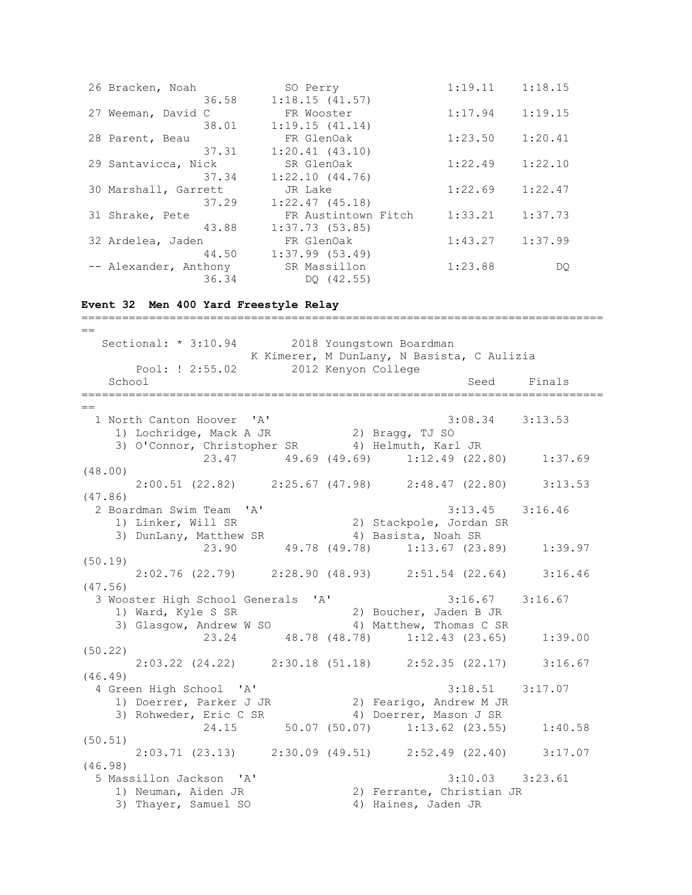| 26 Bracken, Noah      | SO Perry            | 1:19.11 | 1:18.15 |
|-----------------------|---------------------|---------|---------|
| 36.58                 | 1:18.15(41.57)      |         |         |
| 27 Weeman, David C    | FR Wooster          | 1:17.94 | 1:19.15 |
| 38.01                 | 1:19.15(41.14)      |         |         |
| 28 Parent, Beau       | FR GlenOak          | 1:23.50 | 1:20.41 |
| 37.31                 | $1:20.41$ $(43.10)$ |         |         |
| 29 Santavicca, Nick   | SR GlenOak          | 1:22.49 | 1:22.10 |
| 37.34                 | 1:22.10(44.76)      |         |         |
| 30 Marshall, Garrett  | JR Lake             | 1:22.69 | 1:22.47 |
| 37.29                 | 1:22.47(45.18)      |         |         |
| 31 Shrake, Pete       |                     |         |         |
|                       | FR Austintown Fitch | 1:33.21 | 1:37.73 |
| 43.88                 | $1:37.73$ (53.85)   |         |         |
| 32 Ardelea, Jaden     | FR GlenOak          | 1:43.27 | 1:37.99 |
| 44.50                 | $1:37.99$ $(53.49)$ |         |         |
| -- Alexander, Anthony | SR Massillon        | 1:23.88 | DQ.     |

**Event 32 Men 400 Yard Freestyle Relay**

=============================================================================  $=$ Sectional: \* 3:10.94 2018 Youngstown Boardman K Kimerer, M DunLany, N Basista, C Aulizia Pool: ! 2:55.02 2012 Kenyon College School School Seed Finals =============================================================================  $=$  1 North Canton Hoover 'A' 3:08.34 3:13.53 1) Lochridge, Mack A JR 2) Bragg, TJ SO 3) O'Connor, Christopher SR 4) Helmuth, Karl JR 23.47 49.69 (49.69) 1:12.49 (22.80) 1:37.69 (48.00) 2:00.51 (22.82) 2:25.67 (47.98) 2:48.47 (22.80) 3:13.53 (47.86) 2 Boardman Swim Team 'A' 3:13.45 3:16.46 1) Linker, Will SR 2) Stackpole, Jordan SR 3) DunLany, Matthew SR 4) Basista, Noah SR 23.90 49.78 (49.78) 1:13.67 (23.89) 1:39.97 (50.19) 2:02.76 (22.79) 2:28.90 (48.93) 2:51.54 (22.64) 3:16.46 (47.56) 3 Wooster High School Generals 'A' 3:16.67 3:16.67 1) Ward, Kyle S SR 2) Boucher, Jaden B JR 3) Glasgow, Andrew W SO 4) Matthew, Thomas C SR 23.24 48.78 (48.78) 1:12.43 (23.65) 1:39.00 (50.22) 2:03.22 (24.22) 2:30.18 (51.18) 2:52.35 (22.17) 3:16.67 (46.49) 4 Green High School 'A' 3:18.51 3:17.07 1) Doerrer, Parker J JR 2) Fearigo, Andrew M JR 3) Rohweder, Eric C SR 4) Doerrer, Mason J SR 24.15 50.07 (50.07) 1:13.62 (23.55) 1:40.58 (50.51) 2:03.71 (23.13) 2:30.09 (49.51) 2:52.49 (22.40) 3:17.07 (46.98) 5 Massillon Jackson 'A' 3:10.03 3:23.61 2) Ferrante, Christian JR 1) Neuman, Aiden JR (2) Ferrante, Christ.<br>3) Thayer, Samuel SO (4) Haines, Jaden JR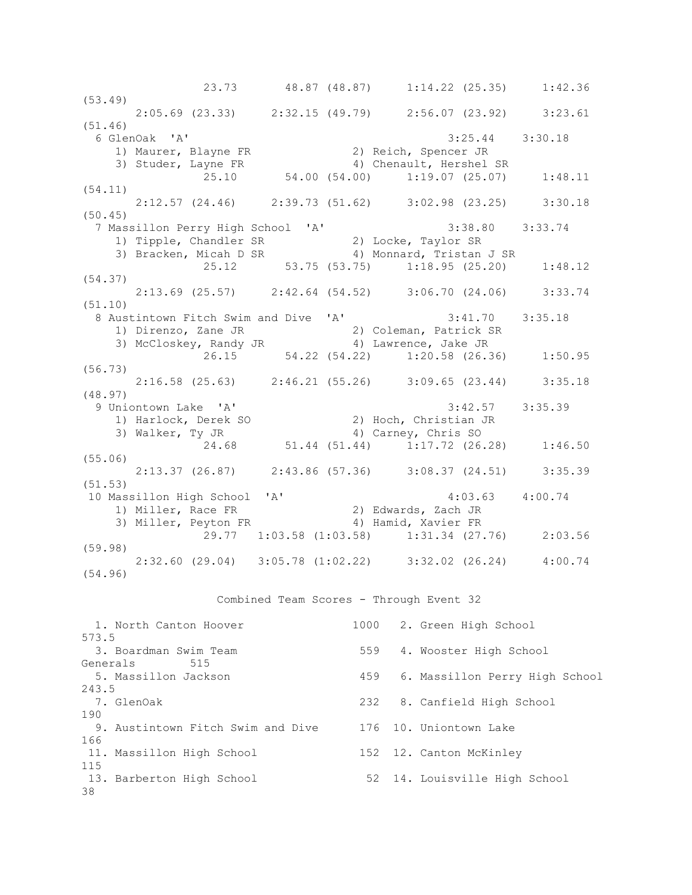23.73 48.87 (48.87) 1:14.22 (25.35) 1:42.36 (53.49) 2:05.69 (23.33) 2:32.15 (49.79) 2:56.07 (23.92) 3:23.61 (51.46) 6 GlenOak 'A' 3:25.44 3:30.18 1) Maurer, Blayne FR 2) Reich, Spencer JR 3) Studer, Layne FR 4) Chenault, Hershel SR 25.10 54.00 (54.00) 1:19.07 (25.07) 1:48.11 (54.11) 2:12.57 (24.46) 2:39.73 (51.62) 3:02.98 (23.25) 3:30.18 (50.45) 7 Massillon Perry High School 'A' 3:38.80 3:33.74 1) Tipple, Chandler SR 2) Locke, Taylor SR 3) Bracken, Micah D SR 4) Monnard, Tristan J SR 25.12 53.75 (53.75) 1:18.95 (25.20) 1:48.12 (54.37) 2:13.69 (25.57) 2:42.64 (54.52) 3:06.70 (24.06) 3:33.74 (51.10) 8 Austintown Fitch Swim and Dive 'A' 3:41.70 3:35.18 1) Direnzo, Zane JR 2) Coleman, Patrick SR 3) McCloskey, Randy JR 4) Lawrence, Jake JR  $26.15$  54.22 (54.22) 1:20.58 (26.36) 1:50.95 (56.73) 2:16.58 (25.63) 2:46.21 (55.26) 3:09.65 (23.44) 3:35.18 (48.97) 9 Uniontown Lake 'A' 3:42.57 3:35.39 1) Harlock, Derek SO 2) Hoch, Christian JR 3) Walker, Ty JR 4) Carney, Chris SO 24.68 51.44 (51.44) 1:17.72 (26.28) 1:46.50 (55.06) 2:13.37 (26.87) 2:43.86 (57.36) 3:08.37 (24.51) 3:35.39 (51.53) 10 Massillon High School 'A' 4:03.63 4:00.74 1) Miller, Race FR 2) Edwards, Zach JR 3) Miller, Peyton FR 4) Hamid, Xavier FR 29.77 1:03.58 (1:03.58) 1:31.34 (27.76) 2:03.56 (59.98) 2:32.60 (29.04) 3:05.78 (1:02.22) 3:32.02 (26.24) 4:00.74 (54.96)

Combined Team Scores - Through Event 32

| 1. North Canton Hoover            |     | 1000 2. Green High School      |
|-----------------------------------|-----|--------------------------------|
| 573.5                             |     |                                |
| 3. Boardman Swim Team             | 559 | 4. Wooster High School         |
| Generals<br>515                   |     |                                |
| 5. Massillon Jackson              | 459 | 6. Massillon Perry High School |
| 243.5                             |     |                                |
| 7. GlenOak                        | 232 | 8. Canfield High School        |
| 190                               |     |                                |
| 9. Austintown Fitch Swim and Dive |     | 176 10. Uniontown Lake         |
| 166                               |     |                                |
| 11. Massillon High School         |     | 152 12. Canton McKinley        |
| 115                               |     |                                |
| 13. Barberton High School         |     | 52 14. Louisville High School  |
| 38                                |     |                                |